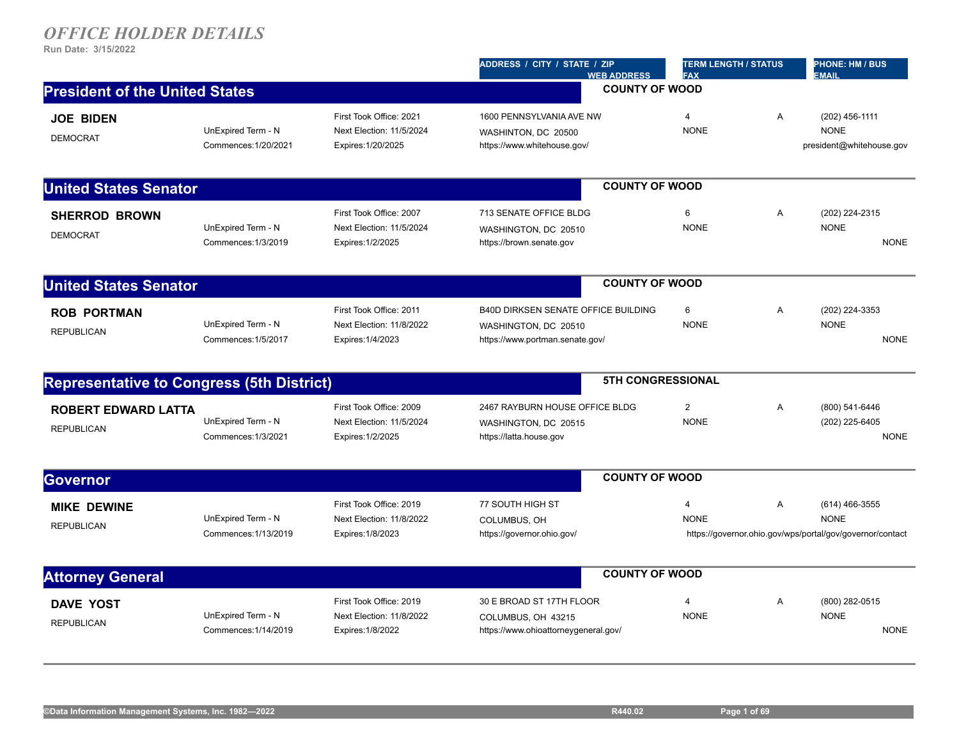|                                            |                                                                           | ADDRESS / CITY / STATE / ZIP<br><b>WEB ADDRESS</b>                                                    | <b>FAX</b>                    |                                                                                                                                                       | <b>PHONE: HM / BUS</b><br><b>EMAIL</b>                                                   |
|--------------------------------------------|---------------------------------------------------------------------------|-------------------------------------------------------------------------------------------------------|-------------------------------|-------------------------------------------------------------------------------------------------------------------------------------------------------|------------------------------------------------------------------------------------------|
| <b>President of the United States</b>      |                                                                           |                                                                                                       |                               |                                                                                                                                                       |                                                                                          |
| UnExpired Term - N<br>Commences: 1/20/2021 | First Took Office: 2021<br>Next Election: 11/5/2024<br>Expires: 1/20/2025 | 1600 PENNSYLVANIA AVE NW<br>WASHINTON, DC 20500<br>https://www.whitehouse.gov/                        | $\overline{4}$<br><b>NONE</b> | Α                                                                                                                                                     | (202) 456-1111<br><b>NONE</b><br>president@whitehouse.gov                                |
| <b>United States Senator</b>               |                                                                           |                                                                                                       |                               |                                                                                                                                                       |                                                                                          |
| UnExpired Term - N<br>Commences: 1/3/2019  | First Took Office: 2007<br>Next Election: 11/5/2024<br>Expires: 1/2/2025  | 713 SENATE OFFICE BLDG<br>WASHINGTON, DC 20510<br>https://brown.senate.gov                            | 6<br><b>NONE</b>              | Α                                                                                                                                                     | (202) 224-2315<br><b>NONE</b><br><b>NONE</b>                                             |
| <b>United States Senator</b>               |                                                                           |                                                                                                       |                               |                                                                                                                                                       |                                                                                          |
| UnExpired Term - N<br>Commences: 1/5/2017  | First Took Office: 2011<br>Next Election: 11/8/2022<br>Expires: 1/4/2023  | <b>B40D DIRKSEN SENATE OFFICE BUILDING</b><br>WASHINGTON, DC 20510<br>https://www.portman.senate.gov/ | 6<br><b>NONE</b>              | A                                                                                                                                                     | (202) 224-3353<br><b>NONE</b><br><b>NONE</b>                                             |
|                                            |                                                                           |                                                                                                       |                               |                                                                                                                                                       |                                                                                          |
| UnExpired Term - N<br>Commences: 1/3/2021  | First Took Office: 2009<br>Next Election: 11/5/2024<br>Expires: 1/2/2025  | 2467 RAYBURN HOUSE OFFICE BLDG<br>WASHINGTON, DC 20515<br>https://latta.house.gov                     | $\overline{2}$<br><b>NONE</b> | A                                                                                                                                                     | (800) 541-6446<br>(202) 225-6405<br><b>NONE</b>                                          |
|                                            |                                                                           |                                                                                                       |                               |                                                                                                                                                       |                                                                                          |
| UnExpired Term - N<br>Commences: 1/13/2019 | First Took Office: 2019<br>Next Election: 11/8/2022<br>Expires: 1/8/2023  | 77 SOUTH HIGH ST<br>COLUMBUS, OH<br>https://governor.ohio.gov/                                        | $\overline{4}$<br><b>NONE</b> | Α                                                                                                                                                     | (614) 466-3555<br><b>NONE</b>                                                            |
|                                            |                                                                           |                                                                                                       |                               |                                                                                                                                                       |                                                                                          |
| UnExpired Term - N<br>Commences: 1/14/2019 | First Took Office: 2019<br>Next Election: 11/8/2022<br>Expires: 1/8/2022  | 30 E BROAD ST 17TH FLOOR<br>COLUMBUS, OH 43215<br>https://www.ohioattorneygeneral.gov/                | 4<br><b>NONE</b>              | Α                                                                                                                                                     | (800) 282-0515<br><b>NONE</b><br><b>NONE</b>                                             |
|                                            |                                                                           | <b>Representative to Congress (5th District)</b>                                                      |                               | <b>COUNTY OF WOOD</b><br><b>COUNTY OF WOOD</b><br><b>COUNTY OF WOOD</b><br><b>5TH CONGRESSIONAL</b><br><b>COUNTY OF WOOD</b><br><b>COUNTY OF WOOD</b> | <b>TERM LENGTH / STATUS</b><br>https://governor.ohio.gov/wps/portal/gov/governor/contact |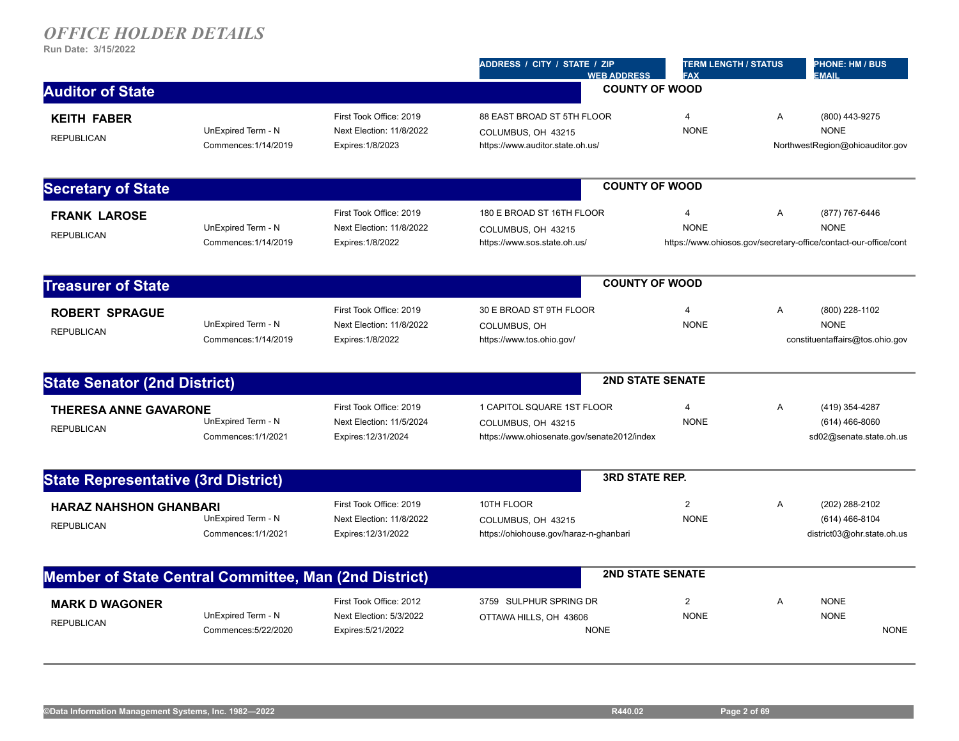|                                                       |                      |                          | ADDRESS / CITY / STATE / ZIP<br><b>WEB ADDRESS</b> | <b>TERM LENGTH / STATUS</b><br><b>FAX</b> |   | <b>PHONE: HM / BUS</b><br><b>EMAIL</b>                           |
|-------------------------------------------------------|----------------------|--------------------------|----------------------------------------------------|-------------------------------------------|---|------------------------------------------------------------------|
| <b>Auditor of State</b>                               |                      |                          |                                                    | <b>COUNTY OF WOOD</b>                     |   |                                                                  |
| <b>KEITH FABER</b>                                    |                      | First Took Office: 2019  | 88 EAST BROAD ST 5TH FLOOR                         | $\overline{4}$                            | A | (800) 443-9275                                                   |
| <b>REPUBLICAN</b>                                     | UnExpired Term - N   | Next Election: 11/8/2022 | COLUMBUS, OH 43215                                 | <b>NONE</b>                               |   | <b>NONE</b>                                                      |
|                                                       | Commences: 1/14/2019 | Expires: 1/8/2023        | https://www.auditor.state.oh.us/                   |                                           |   | NorthwestRegion@ohioauditor.gov                                  |
| <b>Secretary of State</b>                             |                      |                          |                                                    | <b>COUNTY OF WOOD</b>                     |   |                                                                  |
| <b>FRANK LAROSE</b>                                   |                      | First Took Office: 2019  | 180 E BROAD ST 16TH FLOOR                          | $\overline{4}$                            | Α | (877) 767-6446                                                   |
| <b>REPUBLICAN</b>                                     | UnExpired Term - N   | Next Election: 11/8/2022 | COLUMBUS, OH 43215                                 | <b>NONE</b>                               |   | <b>NONE</b>                                                      |
|                                                       | Commences: 1/14/2019 | Expires: 1/8/2022        | https://www.sos.state.oh.us/                       |                                           |   | https://www.ohiosos.gov/secretary-office/contact-our-office/cont |
| <b>Treasurer of State</b>                             |                      |                          |                                                    | <b>COUNTY OF WOOD</b>                     |   |                                                                  |
| <b>ROBERT SPRAGUE</b>                                 |                      | First Took Office: 2019  | 30 E BROAD ST 9TH FLOOR                            | $\overline{4}$                            | Α | (800) 228-1102                                                   |
|                                                       | UnExpired Term - N   | Next Election: 11/8/2022 | COLUMBUS, OH                                       | <b>NONE</b>                               |   | <b>NONE</b>                                                      |
| <b>REPUBLICAN</b>                                     | Commences: 1/14/2019 | Expires: 1/8/2022        | https://www.tos.ohio.gov/                          |                                           |   | constituentaffairs@tos.ohio.gov                                  |
| <b>State Senator (2nd District)</b>                   |                      |                          |                                                    | <b>2ND STATE SENATE</b>                   |   |                                                                  |
| <b>THERESA ANNE GAVARONE</b>                          |                      | First Took Office: 2019  | 1 CAPITOL SQUARE 1ST FLOOR                         | $\overline{4}$                            | Α | (419) 354-4287                                                   |
| <b>REPUBLICAN</b>                                     | UnExpired Term - N   | Next Election: 11/5/2024 | COLUMBUS, OH 43215                                 | <b>NONE</b>                               |   | $(614)$ 466-8060                                                 |
|                                                       | Commences: 1/1/2021  | Expires: 12/31/2024      | https://www.ohiosenate.gov/senate2012/index        |                                           |   | sd02@senate.state.oh.us                                          |
| <b>State Representative (3rd District)</b>            |                      |                          |                                                    | <b>3RD STATE REP.</b>                     |   |                                                                  |
| <b>HARAZ NAHSHON GHANBARI</b>                         |                      | First Took Office: 2019  | 10TH FLOOR                                         | $\overline{2}$                            | A | (202) 288-2102                                                   |
| <b>REPUBLICAN</b>                                     | UnExpired Term - N   | Next Election: 11/8/2022 | COLUMBUS, OH 43215                                 | <b>NONE</b>                               |   | (614) 466-8104                                                   |
|                                                       | Commences: 1/1/2021  | Expires: 12/31/2022      | https://ohiohouse.gov/haraz-n-ghanbari             |                                           |   | district03@ohr.state.oh.us                                       |
| Member of State Central Committee, Man (2nd District) |                      |                          |                                                    | <b>2ND STATE SENATE</b>                   |   |                                                                  |
| <b>MARK D WAGONER</b>                                 |                      | First Took Office: 2012  | 3759 SULPHUR SPRING DR                             | 2                                         | A | <b>NONE</b>                                                      |
| <b>REPUBLICAN</b>                                     | UnExpired Term - N   | Next Election: 5/3/2022  | OTTAWA HILLS, OH 43606                             | <b>NONE</b>                               |   | <b>NONE</b>                                                      |
|                                                       | Commences: 5/22/2020 | Expires: 5/21/2022       | <b>NONE</b>                                        |                                           |   | <b>NONE</b>                                                      |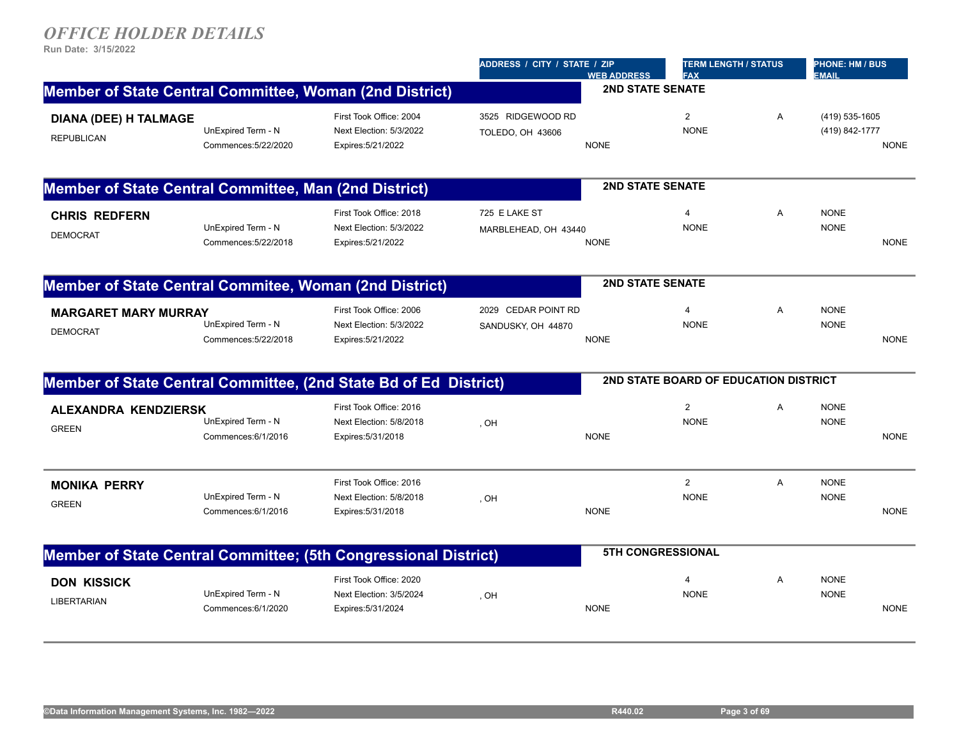|                                                                           |                                                                          |                                                                                                                  | <b>WEB ADDRESS</b>                                                                                                                  | <b>FAX</b>                                                                  |                                                                                                    | <b>PHONE: HM / BUS</b><br><b>EMAIL</b> |                                                                           |
|---------------------------------------------------------------------------|--------------------------------------------------------------------------|------------------------------------------------------------------------------------------------------------------|-------------------------------------------------------------------------------------------------------------------------------------|-----------------------------------------------------------------------------|----------------------------------------------------------------------------------------------------|----------------------------------------|---------------------------------------------------------------------------|
|                                                                           |                                                                          |                                                                                                                  |                                                                                                                                     |                                                                             |                                                                                                    |                                        |                                                                           |
| UnExpired Term - N<br>Commences: 5/22/2020                                | First Took Office: 2004<br>Next Election: 5/3/2022<br>Expires: 5/21/2022 | 3525 RIDGEWOOD RD<br><b>TOLEDO, OH 43606</b>                                                                     | <b>NONE</b>                                                                                                                         | $\overline{\mathbf{c}}$<br><b>NONE</b>                                      | Α                                                                                                  |                                        | <b>NONE</b>                                                               |
|                                                                           |                                                                          |                                                                                                                  |                                                                                                                                     |                                                                             |                                                                                                    |                                        |                                                                           |
| UnExpired Term - N<br>Commences: 5/22/2018                                | First Took Office: 2018<br>Next Election: 5/3/2022<br>Expires: 5/21/2022 | 725 E LAKE ST                                                                                                    | <b>NONE</b>                                                                                                                         | $\overline{4}$<br><b>NONE</b>                                               | A                                                                                                  | <b>NONE</b><br><b>NONE</b>             | <b>NONE</b>                                                               |
| Member of State Central Commitee, Woman (2nd District)                    |                                                                          |                                                                                                                  |                                                                                                                                     |                                                                             |                                                                                                    |                                        |                                                                           |
| <b>MARGARET MARY MURRAY</b><br>UnExpired Term - N<br>Commences: 5/22/2018 | First Took Office: 2006<br>Next Election: 5/3/2022<br>Expires: 5/21/2022 | SANDUSKY, OH 44870                                                                                               | <b>NONE</b>                                                                                                                         | 4<br><b>NONE</b>                                                            | Α                                                                                                  | <b>NONE</b><br><b>NONE</b>             | <b>NONE</b>                                                               |
|                                                                           |                                                                          |                                                                                                                  |                                                                                                                                     |                                                                             |                                                                                                    |                                        |                                                                           |
| ALEXANDRA KENDZIERSK<br>UnExpired Term - N<br>Commences: 6/1/2016         | First Took Office: 2016<br>Next Election: 5/8/2018<br>Expires: 5/31/2018 | , OH                                                                                                             | <b>NONE</b>                                                                                                                         | $\overline{2}$<br><b>NONE</b>                                               | A                                                                                                  | <b>NONE</b><br><b>NONE</b>             | <b>NONE</b>                                                               |
| UnExpired Term - N<br>Commences: 6/1/2016                                 | First Took Office: 2016<br>Next Election: 5/8/2018<br>Expires: 5/31/2018 | , OH                                                                                                             | <b>NONE</b>                                                                                                                         | $\overline{2}$<br><b>NONE</b>                                               | Α                                                                                                  | <b>NONE</b><br><b>NONE</b>             | <b>NONE</b>                                                               |
|                                                                           |                                                                          |                                                                                                                  |                                                                                                                                     |                                                                             |                                                                                                    |                                        |                                                                           |
| UnExpired Term - N                                                        | First Took Office: 2020<br>Next Election: 3/5/2024                       | , OH                                                                                                             |                                                                                                                                     | $\overline{4}$<br><b>NONE</b>                                               | A                                                                                                  | <b>NONE</b><br><b>NONE</b>             |                                                                           |
|                                                                           |                                                                          | Member of State Central Committee, Woman (2nd District)<br>Member of State Central Committee, Man (2nd District) | Member of State Central Committee, (2nd State Bd of Ed District)<br>Member of State Central Committee; (5th Congressional District) | ADDRESS / CITY / STATE / ZIP<br>MARBLEHEAD, OH 43440<br>2029 CEDAR POINT RD | <b>2ND STATE SENATE</b><br><b>2ND STATE SENATE</b><br><b>2ND STATE SENATE</b><br>5TH CONGRESSIONAL | <b>TERM LENGTH / STATUS</b>            | (419) 535-1605<br>(419) 842-1777<br>2ND STATE BOARD OF EDUCATION DISTRICT |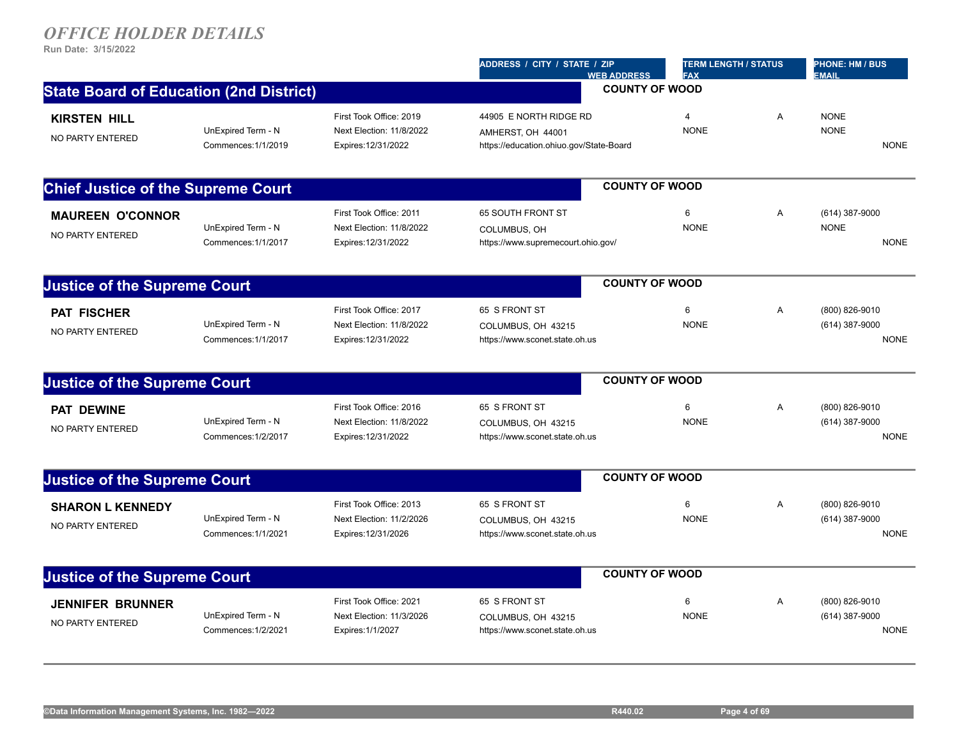|                                                |                                           |                                                                            | ADDRESS / CITY / STATE / ZIP<br><b>WEB ADDRESS</b>                                     | <b>TERM LENGTH / STATUS</b><br><b>FAX</b> |   | <b>PHONE: HM / BUS</b><br><b>EMAIL</b>          |
|------------------------------------------------|-------------------------------------------|----------------------------------------------------------------------------|----------------------------------------------------------------------------------------|-------------------------------------------|---|-------------------------------------------------|
| <b>State Board of Education (2nd District)</b> |                                           |                                                                            |                                                                                        | <b>COUNTY OF WOOD</b>                     |   |                                                 |
| <b>KIRSTEN HILL</b><br>NO PARTY ENTERED        | UnExpired Term - N<br>Commences: 1/1/2019 | First Took Office: 2019<br>Next Election: 11/8/2022<br>Expires: 12/31/2022 | 44905 E NORTH RIDGE RD<br>AMHERST, OH 44001<br>https://education.ohiuo.gov/State-Board | $\overline{4}$<br><b>NONE</b>             | Α | <b>NONE</b><br><b>NONE</b><br><b>NONE</b>       |
|                                                |                                           |                                                                            |                                                                                        |                                           |   |                                                 |
| <b>Chief Justice of the Supreme Court</b>      |                                           |                                                                            |                                                                                        | <b>COUNTY OF WOOD</b>                     |   |                                                 |
| <b>MAUREEN O'CONNOR</b><br>NO PARTY ENTERED    | UnExpired Term - N<br>Commences: 1/1/2017 | First Took Office: 2011<br>Next Election: 11/8/2022<br>Expires: 12/31/2022 | 65 SOUTH FRONT ST<br>COLUMBUS, OH<br>https://www.supremecourt.ohio.gov/                | 6<br><b>NONE</b>                          | Α | (614) 387-9000<br><b>NONE</b><br><b>NONE</b>    |
| <b>Justice of the Supreme Court</b>            |                                           |                                                                            |                                                                                        | <b>COUNTY OF WOOD</b>                     |   |                                                 |
| <b>PAT FISCHER</b><br>NO PARTY ENTERED         | UnExpired Term - N<br>Commences: 1/1/2017 | First Took Office: 2017<br>Next Election: 11/8/2022<br>Expires: 12/31/2022 | 65 S FRONT ST<br>COLUMBUS, OH 43215<br>https://www.sconet.state.oh.us                  | 6<br><b>NONE</b>                          | Α | (800) 826-9010<br>(614) 387-9000<br><b>NONE</b> |
| <b>Justice of the Supreme Court</b>            |                                           |                                                                            |                                                                                        | <b>COUNTY OF WOOD</b>                     |   |                                                 |
| <b>PAT DEWINE</b><br>NO PARTY ENTERED          | UnExpired Term - N<br>Commences: 1/2/2017 | First Took Office: 2016<br>Next Election: 11/8/2022<br>Expires: 12/31/2022 | 65 S FRONT ST<br>COLUMBUS, OH 43215<br>https://www.sconet.state.oh.us                  | 6<br><b>NONE</b>                          | A | (800) 826-9010<br>(614) 387-9000<br><b>NONE</b> |
| <b>Justice of the Supreme Court</b>            |                                           |                                                                            |                                                                                        | <b>COUNTY OF WOOD</b>                     |   |                                                 |
| <b>SHARON L KENNEDY</b><br>NO PARTY ENTERED    | UnExpired Term - N<br>Commences: 1/1/2021 | First Took Office: 2013<br>Next Election: 11/2/2026<br>Expires: 12/31/2026 | 65 S FRONT ST<br>COLUMBUS, OH 43215<br>https://www.sconet.state.oh.us                  | 6<br><b>NONE</b>                          | A | (800) 826-9010<br>(614) 387-9000<br><b>NONE</b> |
| <b>Justice of the Supreme Court</b>            |                                           |                                                                            |                                                                                        | <b>COUNTY OF WOOD</b>                     |   |                                                 |
| <b>JENNIFER BRUNNER</b><br>NO PARTY ENTERED    | UnExpired Term - N<br>Commences: 1/2/2021 | First Took Office: 2021<br>Next Election: 11/3/2026<br>Expires: 1/1/2027   | 65 S FRONT ST<br>COLUMBUS, OH 43215<br>https://www.sconet.state.oh.us                  | 6<br><b>NONE</b>                          | A | (800) 826-9010<br>(614) 387-9000<br><b>NONE</b> |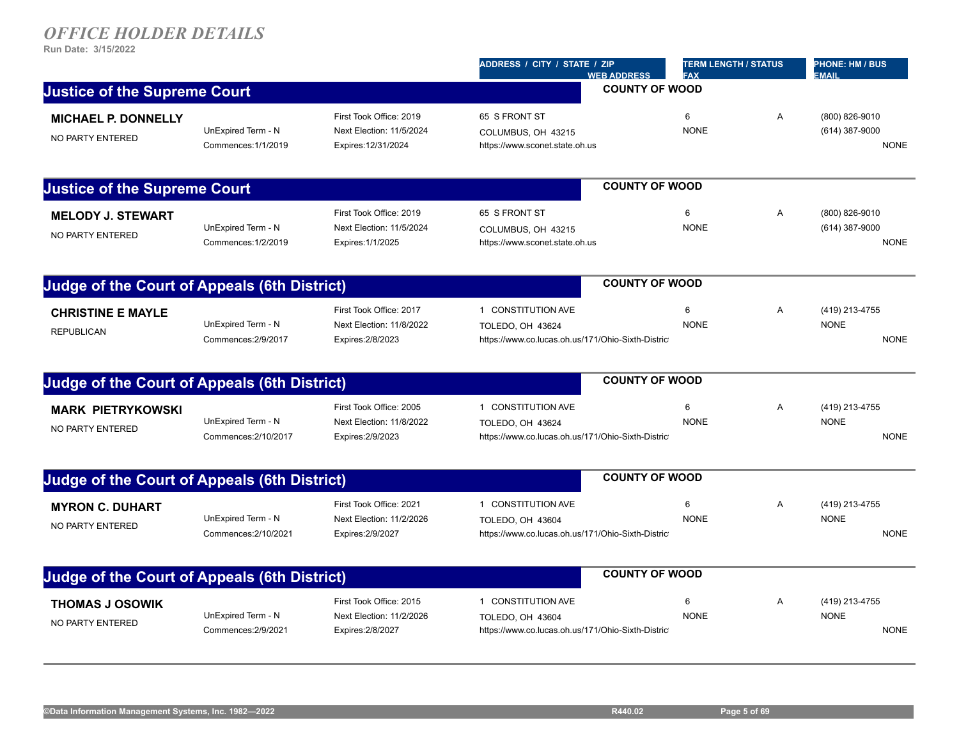| <b>Justice of the Supreme Court</b><br><b>MICHAEL P. DONNELLY</b><br>NO PARTY ENTERED | UnExpired Term - N<br>Commences: 1/1/2019  | First Took Office: 2019<br>Next Election: 11/5/2024                      | <b>WEB ADDRESS</b><br>65 S FRONT ST                                                         | <b>FAX</b><br><b>COUNTY OF WOOD</b><br>6 |   | <b>EMAIL</b>                                    |
|---------------------------------------------------------------------------------------|--------------------------------------------|--------------------------------------------------------------------------|---------------------------------------------------------------------------------------------|------------------------------------------|---|-------------------------------------------------|
|                                                                                       |                                            |                                                                          |                                                                                             |                                          |   |                                                 |
|                                                                                       |                                            | Expires: 12/31/2024                                                      | COLUMBUS, OH 43215<br>https://www.sconet.state.oh.us                                        | <b>NONE</b>                              | Α | (800) 826-9010<br>(614) 387-9000<br><b>NONE</b> |
| <b>Justice of the Supreme Court</b>                                                   |                                            |                                                                          |                                                                                             | <b>COUNTY OF WOOD</b>                    |   |                                                 |
| <b>MELODY J. STEWART</b><br>NO PARTY ENTERED                                          | UnExpired Term - N<br>Commences: 1/2/2019  | First Took Office: 2019<br>Next Election: 11/5/2024<br>Expires: 1/1/2025 | 65 S FRONT ST<br>COLUMBUS, OH 43215<br>https://www.sconet.state.oh.us                       | 6<br><b>NONE</b>                         | Α | (800) 826-9010<br>(614) 387-9000<br><b>NONE</b> |
| <b>Judge of the Court of Appeals (6th District)</b>                                   |                                            |                                                                          |                                                                                             | <b>COUNTY OF WOOD</b>                    |   |                                                 |
| <b>CHRISTINE E MAYLE</b><br><b>REPUBLICAN</b>                                         | UnExpired Term - N<br>Commences: 2/9/2017  | First Took Office: 2017<br>Next Election: 11/8/2022<br>Expires: 2/8/2023 | 1 CONSTITUTION AVE<br>TOLEDO, OH 43624<br>https://www.co.lucas.oh.us/171/Ohio-Sixth-Distric | 6<br><b>NONE</b>                         | Α | (419) 213-4755<br><b>NONE</b><br><b>NONE</b>    |
| <b>Judge of the Court of Appeals (6th District)</b>                                   |                                            |                                                                          |                                                                                             | <b>COUNTY OF WOOD</b>                    |   |                                                 |
| <b>MARK PIETRYKOWSKI</b><br>NO PARTY ENTERED                                          | UnExpired Term - N<br>Commences: 2/10/2017 | First Took Office: 2005<br>Next Election: 11/8/2022<br>Expires: 2/9/2023 | 1 CONSTITUTION AVE<br>TOLEDO, OH 43624<br>https://www.co.lucas.oh.us/171/Ohio-Sixth-Distric | 6<br><b>NONE</b>                         | Α | (419) 213-4755<br><b>NONE</b><br><b>NONE</b>    |
| <b>Judge of the Court of Appeals (6th District)</b>                                   |                                            |                                                                          |                                                                                             | <b>COUNTY OF WOOD</b>                    |   |                                                 |
| <b>MYRON C. DUHART</b><br>NO PARTY ENTERED                                            | UnExpired Term - N<br>Commences: 2/10/2021 | First Took Office: 2021<br>Next Election: 11/2/2026<br>Expires: 2/9/2027 | 1 CONSTITUTION AVE<br>TOLEDO, OH 43604<br>https://www.co.lucas.oh.us/171/Ohio-Sixth-Distric | 6<br><b>NONE</b>                         | Α | (419) 213-4755<br><b>NONE</b><br><b>NONE</b>    |
| <b>Judge of the Court of Appeals (6th District)</b>                                   |                                            |                                                                          |                                                                                             | <b>COUNTY OF WOOD</b>                    |   |                                                 |
| <b>THOMAS J OSOWIK</b><br>NO PARTY ENTERED                                            | UnExpired Term - N<br>Commences: 2/9/2021  | First Took Office: 2015<br>Next Election: 11/2/2026<br>Expires: 2/8/2027 | 1 CONSTITUTION AVE<br>TOLEDO, OH 43604<br>https://www.co.lucas.oh.us/171/Ohio-Sixth-Distric | 6<br><b>NONE</b>                         | Α | (419) 213-4755<br><b>NONE</b><br><b>NONE</b>    |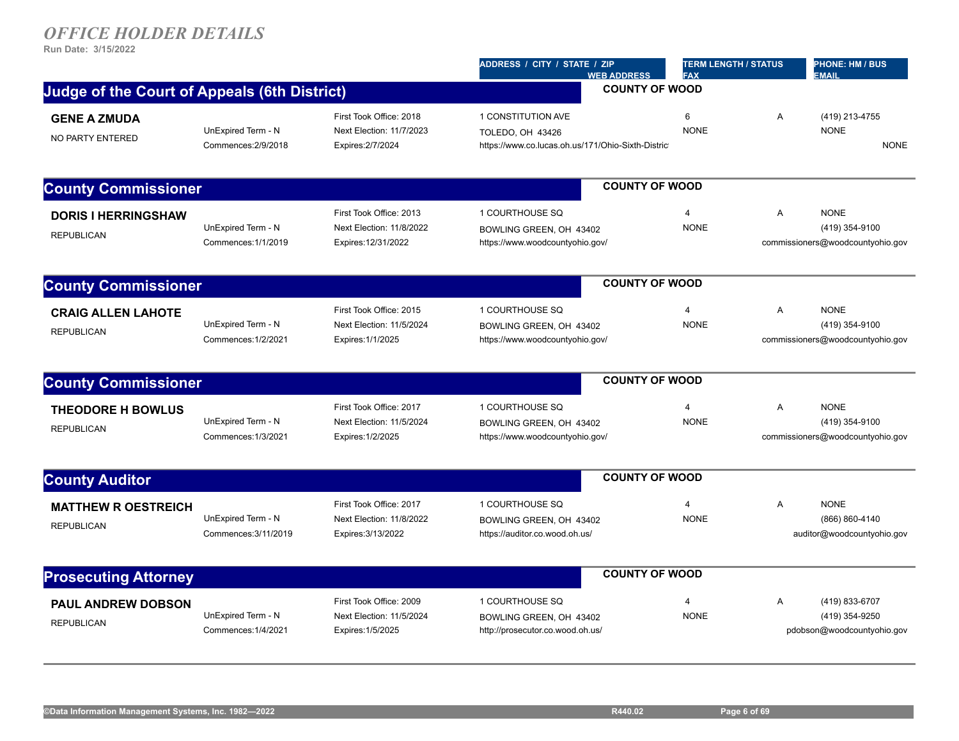|                                                     |                                            |                                                                            | ADDRESS / CITY / STATE / ZIP<br><b>WEB ADDRESS</b>                                                 | <b>TERM LENGTH / STATUS</b><br><b>FAX</b> |                | <b>PHONE: HM / BUS</b><br><b>EMAIL</b>                            |
|-----------------------------------------------------|--------------------------------------------|----------------------------------------------------------------------------|----------------------------------------------------------------------------------------------------|-------------------------------------------|----------------|-------------------------------------------------------------------|
| <b>Judge of the Court of Appeals (6th District)</b> |                                            |                                                                            |                                                                                                    | <b>COUNTY OF WOOD</b>                     |                |                                                                   |
| <b>GENE A ZMUDA</b><br>NO PARTY ENTERED             | UnExpired Term - N<br>Commences: 2/9/2018  | First Took Office: 2018<br>Next Election: 11/7/2023<br>Expires: 2/7/2024   | 1 CONSTITUTION AVE<br><b>TOLEDO, OH 43426</b><br>https://www.co.lucas.oh.us/171/Ohio-Sixth-Distric | 6<br><b>NONE</b>                          | A              | (419) 213-4755<br><b>NONE</b><br><b>NONE</b>                      |
| <b>County Commissioner</b>                          |                                            |                                                                            |                                                                                                    | <b>COUNTY OF WOOD</b>                     |                |                                                                   |
| <b>DORIS I HERRINGSHAW</b><br><b>REPUBLICAN</b>     | UnExpired Term - N<br>Commences: 1/1/2019  | First Took Office: 2013<br>Next Election: 11/8/2022<br>Expires: 12/31/2022 | 1 COURTHOUSE SQ<br>BOWLING GREEN, OH 43402<br>https://www.woodcountyohio.gov/                      | $\overline{4}$<br><b>NONE</b>             | Α              | <b>NONE</b><br>(419) 354-9100<br>commissioners@woodcountyohio.gov |
| <b>County Commissioner</b>                          |                                            |                                                                            |                                                                                                    | <b>COUNTY OF WOOD</b>                     |                |                                                                   |
| <b>CRAIG ALLEN LAHOTE</b><br><b>REPUBLICAN</b>      | UnExpired Term - N<br>Commences: 1/2/2021  | First Took Office: 2015<br>Next Election: 11/5/2024<br>Expires: 1/1/2025   | 1 COURTHOUSE SQ<br>BOWLING GREEN, OH 43402<br>https://www.woodcountyohio.gov/                      | $\overline{4}$<br><b>NONE</b>             | A              | <b>NONE</b><br>(419) 354-9100<br>commissioners@woodcountyohio.gov |
| <b>County Commissioner</b>                          |                                            |                                                                            |                                                                                                    | <b>COUNTY OF WOOD</b>                     |                |                                                                   |
| <b>THEODORE H BOWLUS</b><br><b>REPUBLICAN</b>       | UnExpired Term - N<br>Commences: 1/3/2021  | First Took Office: 2017<br>Next Election: 11/5/2024<br>Expires: 1/2/2025   | 1 COURTHOUSE SQ<br>BOWLING GREEN, OH 43402<br>https://www.woodcountyohio.gov/                      | $\overline{4}$<br><b>NONE</b>             | $\overline{A}$ | <b>NONE</b><br>(419) 354-9100<br>commissioners@woodcountyohio.gov |
| <b>County Auditor</b>                               |                                            |                                                                            |                                                                                                    | <b>COUNTY OF WOOD</b>                     |                |                                                                   |
| <b>MATTHEW R OESTREICH</b><br><b>REPUBLICAN</b>     | UnExpired Term - N<br>Commences: 3/11/2019 | First Took Office: 2017<br>Next Election: 11/8/2022<br>Expires: 3/13/2022  | 1 COURTHOUSE SQ<br>BOWLING GREEN, OH 43402<br>https://auditor.co.wood.oh.us/                       | $\overline{4}$<br><b>NONE</b>             | A              | <b>NONE</b><br>(866) 860-4140<br>auditor@woodcountyohio.gov       |
| <b>Prosecuting Attorney</b>                         |                                            |                                                                            |                                                                                                    | <b>COUNTY OF WOOD</b>                     |                |                                                                   |
| <b>PAUL ANDREW DOBSON</b><br><b>REPUBLICAN</b>      | UnExpired Term - N<br>Commences: 1/4/2021  | First Took Office: 2009<br>Next Election: 11/5/2024<br>Expires: 1/5/2025   | 1 COURTHOUSE SQ<br>BOWLING GREEN, OH 43402<br>http://prosecutor.co.wood.oh.us/                     | $\overline{4}$<br><b>NONE</b>             | $\overline{A}$ | (419) 833-6707<br>(419) 354-9250<br>pdobson@woodcountyohio.gov    |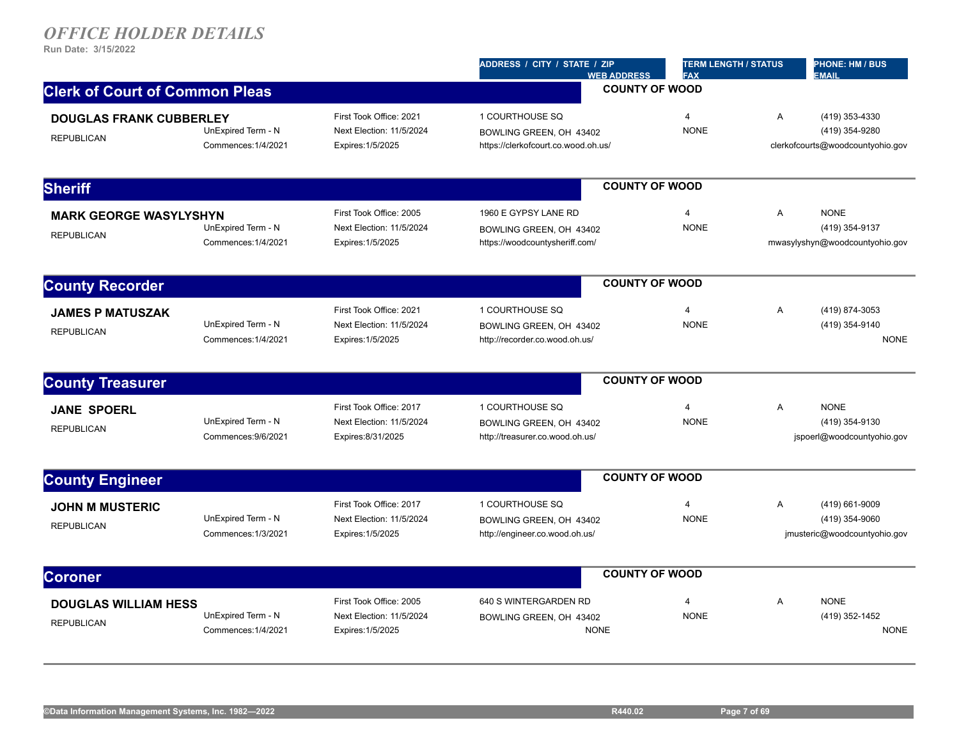|                                                     |                                           |                                                                           | ADDRESS / CITY / STATE / ZIP<br><b>WEB ADDRESS</b>                                | <b>TERM LENGTH / STATUS</b><br><b>FAX</b> |                | <b>PHONE: HM / BUS</b><br><b>EMAIL</b>                               |
|-----------------------------------------------------|-------------------------------------------|---------------------------------------------------------------------------|-----------------------------------------------------------------------------------|-------------------------------------------|----------------|----------------------------------------------------------------------|
| <b>Clerk of Court of Common Pleas</b>               |                                           |                                                                           |                                                                                   | <b>COUNTY OF WOOD</b>                     |                |                                                                      |
| <b>DOUGLAS FRANK CUBBERLEY</b><br><b>REPUBLICAN</b> | UnExpired Term - N<br>Commences: 1/4/2021 | First Took Office: 2021<br>Next Election: 11/5/2024<br>Expires: 1/5/2025  | 1 COURTHOUSE SQ<br>BOWLING GREEN, OH 43402<br>https://clerkofcourt.co.wood.oh.us/ | $\overline{4}$<br><b>NONE</b>             | A              | (419) 353-4330<br>(419) 354-9280<br>clerkofcourts@woodcountyohio.gov |
|                                                     |                                           |                                                                           |                                                                                   |                                           |                |                                                                      |
| <b>Sheriff</b>                                      |                                           |                                                                           |                                                                                   | <b>COUNTY OF WOOD</b>                     |                |                                                                      |
| <b>MARK GEORGE WASYLYSHYN</b><br><b>REPUBLICAN</b>  | UnExpired Term - N<br>Commences: 1/4/2021 | First Took Office: 2005<br>Next Election: 11/5/2024<br>Expires: 1/5/2025  | 1960 E GYPSY LANE RD<br>BOWLING GREEN. OH 43402<br>https://woodcountysheriff.com/ | $\overline{4}$<br><b>NONE</b>             | $\overline{A}$ | <b>NONE</b><br>(419) 354-9137<br>mwasylyshyn@woodcountyohio.gov      |
| <b>County Recorder</b>                              |                                           |                                                                           |                                                                                   | <b>COUNTY OF WOOD</b>                     |                |                                                                      |
| <b>JAMES P MATUSZAK</b><br><b>REPUBLICAN</b>        | UnExpired Term - N<br>Commences: 1/4/2021 | First Took Office: 2021<br>Next Election: 11/5/2024<br>Expires: 1/5/2025  | 1 COURTHOUSE SQ<br>BOWLING GREEN, OH 43402<br>http://recorder.co.wood.oh.us/      | $\overline{4}$<br><b>NONE</b>             | Α              | (419) 874-3053<br>(419) 354-9140<br><b>NONE</b>                      |
| <b>County Treasurer</b>                             |                                           |                                                                           |                                                                                   | <b>COUNTY OF WOOD</b>                     |                |                                                                      |
| <b>JANE SPOERL</b><br><b>REPUBLICAN</b>             | UnExpired Term - N<br>Commences: 9/6/2021 | First Took Office: 2017<br>Next Election: 11/5/2024<br>Expires: 8/31/2025 | 1 COURTHOUSE SQ<br>BOWLING GREEN, OH 43402<br>http://treasurer.co.wood.oh.us/     | $\overline{4}$<br><b>NONE</b>             | A              | <b>NONE</b><br>(419) 354-9130<br>jspoerl@woodcountyohio.gov          |
| <b>County Engineer</b>                              |                                           |                                                                           |                                                                                   | <b>COUNTY OF WOOD</b>                     |                |                                                                      |
| <b>JOHN M MUSTERIC</b><br><b>REPUBLICAN</b>         | UnExpired Term - N<br>Commences: 1/3/2021 | First Took Office: 2017<br>Next Election: 11/5/2024<br>Expires: 1/5/2025  | 1 COURTHOUSE SQ<br>BOWLING GREEN, OH 43402<br>http://engineer.co.wood.oh.us/      | $\overline{4}$<br><b>NONE</b>             | A              | (419) 661-9009<br>(419) 354-9060<br>jmusteric@woodcountyohio.gov     |
| <b>Coroner</b>                                      |                                           |                                                                           |                                                                                   | <b>COUNTY OF WOOD</b>                     |                |                                                                      |
| <b>DOUGLAS WILLIAM HESS</b><br><b>REPUBLICAN</b>    | UnExpired Term - N<br>Commences: 1/4/2021 | First Took Office: 2005<br>Next Election: 11/5/2024<br>Expires: 1/5/2025  | 640 S WINTERGARDEN RD<br>BOWLING GREEN, OH 43402<br><b>NONE</b>                   | $\overline{4}$<br><b>NONE</b>             | A              | <b>NONE</b><br>(419) 352-1452<br><b>NONE</b>                         |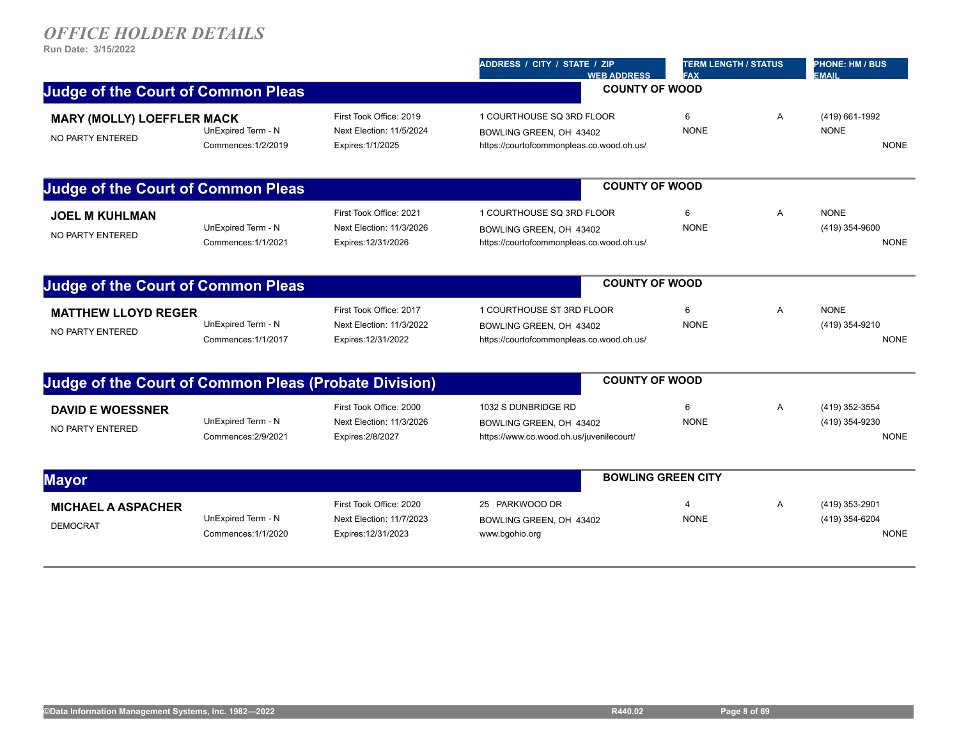|                                                              |                                           |                                                                            | ADDRESS / CITY / STATE / ZIP<br><b>WEB ADDRESS</b>                                                | <b>TERM LENGTH / STATUS</b><br><b>FAX</b> |                | <b>PHONE: HM / BUS</b><br><b>EMAIL</b>          |
|--------------------------------------------------------------|-------------------------------------------|----------------------------------------------------------------------------|---------------------------------------------------------------------------------------------------|-------------------------------------------|----------------|-------------------------------------------------|
| <b>Judge of the Court of Common Pleas</b>                    |                                           |                                                                            | <b>COUNTY OF WOOD</b>                                                                             |                                           |                |                                                 |
| <b>MARY (MOLLY) LOEFFLER MACK</b><br>NO PARTY ENTERED        | UnExpired Term - N<br>Commences: 1/2/2019 | First Took Office: 2019<br>Next Election: 11/5/2024<br>Expires: 1/1/2025   | 1 COURTHOUSE SQ 3RD FLOOR<br>BOWLING GREEN, OH 43402<br>https://courtofcommonpleas.co.wood.oh.us/ | 6<br><b>NONE</b>                          | Α              | (419) 661-1992<br><b>NONE</b><br><b>NONE</b>    |
| <b>Judge of the Court of Common Pleas</b>                    |                                           |                                                                            | <b>COUNTY OF WOOD</b>                                                                             |                                           |                |                                                 |
| <b>JOEL M KUHLMAN</b><br>NO PARTY ENTERED                    | UnExpired Term - N<br>Commences: 1/1/2021 | First Took Office: 2021<br>Next Election: 11/3/2026<br>Expires: 12/31/2026 | 1 COURTHOUSE SQ 3RD FLOOR<br>BOWLING GREEN, OH 43402<br>https://courtofcommonpleas.co.wood.oh.us/ | 6<br><b>NONE</b>                          | A              | <b>NONE</b><br>(419) 354-9600<br><b>NONE</b>    |
| <b>Judge of the Court of Common Pleas</b>                    |                                           |                                                                            | <b>COUNTY OF WOOD</b>                                                                             |                                           |                |                                                 |
| <b>MATTHEW LLOYD REGER</b><br>NO PARTY ENTERED               | UnExpired Term - N<br>Commences: 1/1/2017 | First Took Office: 2017<br>Next Election: 11/3/2022<br>Expires: 12/31/2022 | 1 COURTHOUSE ST 3RD FLOOR<br>BOWLING GREEN, OH 43402<br>https://courtofcommonpleas.co.wood.oh.us/ | 6<br><b>NONE</b>                          | A              | <b>NONE</b><br>(419) 354-9210<br><b>NONE</b>    |
| <b>Judge of the Court of Common Pleas (Probate Division)</b> |                                           |                                                                            | <b>COUNTY OF WOOD</b>                                                                             |                                           |                |                                                 |
| <b>DAVID E WOESSNER</b><br>NO PARTY ENTERED                  | UnExpired Term - N<br>Commences: 2/9/2021 | First Took Office: 2000<br>Next Election: 11/3/2026<br>Expires: 2/8/2027   | 1032 S DUNBRIDGE RD<br>BOWLING GREEN, OH 43402<br>https://www.co.wood.oh.us/juvenilecourt/        | 6<br><b>NONE</b>                          | Α              | (419) 352-3554<br>(419) 354-9230<br><b>NONE</b> |
| <b>Mayor</b>                                                 |                                           |                                                                            |                                                                                                   | <b>BOWLING GREEN CITY</b>                 |                |                                                 |
| <b>MICHAEL A ASPACHER</b><br><b>DEMOCRAT</b>                 | UnExpired Term - N<br>Commences: 1/1/2020 | First Took Office: 2020<br>Next Election: 11/7/2023<br>Expires: 12/31/2023 | 25 PARKWOOD DR<br>BOWLING GREEN, OH 43402<br>www.bgohio.org                                       | $\boldsymbol{\Delta}$<br><b>NONE</b>      | $\overline{A}$ | (419) 353-2901<br>(419) 354-6204<br><b>NONE</b> |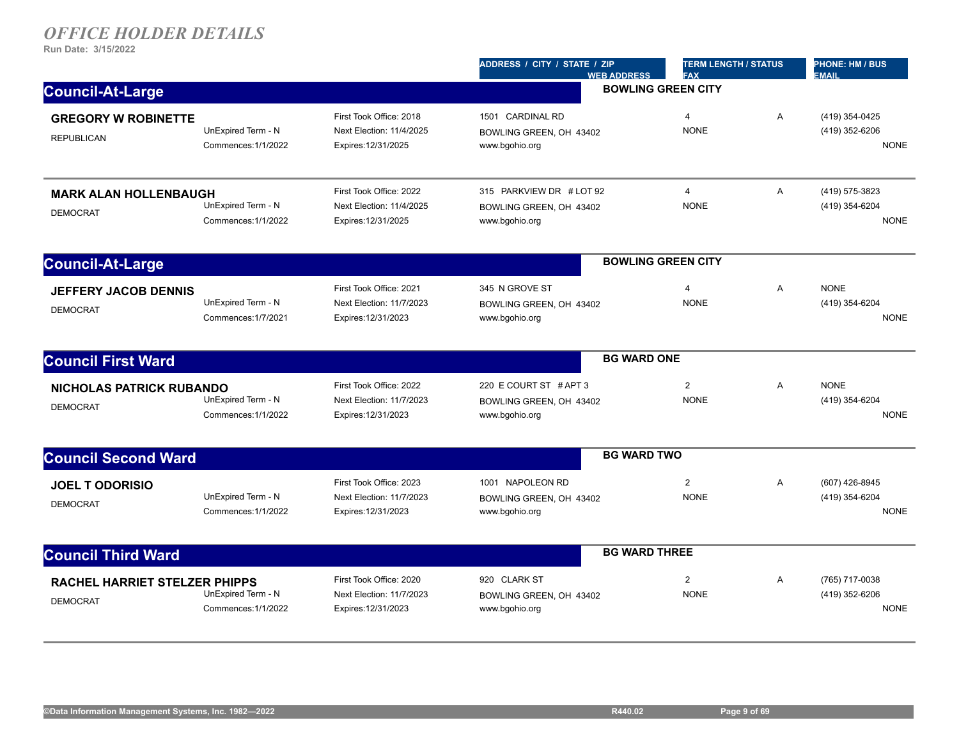|                                                         |                                           |                                                                            | ADDRESS / CITY / STATE / ZIP<br><b>WEB ADDRESS</b>                    | <b>TERM LENGTH / STATUS</b><br><b>FAX</b> |                | <b>PHONE: HM / BUS</b><br><b>EMAIL</b>          |  |
|---------------------------------------------------------|-------------------------------------------|----------------------------------------------------------------------------|-----------------------------------------------------------------------|-------------------------------------------|----------------|-------------------------------------------------|--|
| <b>Council-At-Large</b>                                 |                                           |                                                                            | <b>BOWLING GREEN CITY</b>                                             |                                           |                |                                                 |  |
| <b>GREGORY W ROBINETTE</b><br><b>REPUBLICAN</b>         | UnExpired Term - N<br>Commences: 1/1/2022 | First Took Office: 2018<br>Next Election: 11/4/2025<br>Expires: 12/31/2025 | 1501 CARDINAL RD<br>BOWLING GREEN, OH 43402<br>www.bgohio.org         | 4<br><b>NONE</b>                          | A              | (419) 354-0425<br>(419) 352-6206<br><b>NONE</b> |  |
| <b>MARK ALAN HOLLENBAUGH</b><br><b>DEMOCRAT</b>         | UnExpired Term - N<br>Commences: 1/1/2022 | First Took Office: 2022<br>Next Election: 11/4/2025<br>Expires: 12/31/2025 | 315 PARKVIEW DR # LOT 92<br>BOWLING GREEN, OH 43402<br>www.bgohio.org | $\overline{4}$<br><b>NONE</b>             | A              | (419) 575-3823<br>(419) 354-6204<br><b>NONE</b> |  |
| <b>Council-At-Large</b>                                 |                                           |                                                                            |                                                                       | <b>BOWLING GREEN CITY</b>                 |                |                                                 |  |
| <b>JEFFERY JACOB DENNIS</b><br><b>DEMOCRAT</b>          | UnExpired Term - N<br>Commences: 1/7/2021 | First Took Office: 2021<br>Next Election: 11/7/2023<br>Expires: 12/31/2023 | 345 N GROVE ST<br>BOWLING GREEN, OH 43402<br>www.bgohio.org           | $\overline{4}$<br><b>NONE</b>             | Α              | <b>NONE</b><br>(419) 354-6204<br><b>NONE</b>    |  |
| <b>Council First Ward</b>                               |                                           |                                                                            | <b>BG WARD ONE</b>                                                    |                                           |                |                                                 |  |
| <b>NICHOLAS PATRICK RUBANDO</b><br><b>DEMOCRAT</b>      | UnExpired Term - N<br>Commences: 1/1/2022 | First Took Office: 2022<br>Next Election: 11/7/2023<br>Expires: 12/31/2023 | 220 E COURT ST # APT 3<br>BOWLING GREEN, OH 43402<br>www.bgohio.org   | $\overline{2}$<br><b>NONE</b>             | $\overline{A}$ | <b>NONE</b><br>(419) 354-6204<br><b>NONE</b>    |  |
| <b>Council Second Ward</b>                              |                                           |                                                                            | <b>BG WARD TWO</b>                                                    |                                           |                |                                                 |  |
| <b>JOEL T ODORISIO</b><br><b>DEMOCRAT</b>               | UnExpired Term - N<br>Commences: 1/1/2022 | First Took Office: 2023<br>Next Election: 11/7/2023<br>Expires: 12/31/2023 | 1001 NAPOLEON RD<br>BOWLING GREEN, OH 43402<br>www.bgohio.org         | $\overline{2}$<br><b>NONE</b>             | A              | (607) 426-8945<br>(419) 354-6204<br><b>NONE</b> |  |
| <b>Council Third Ward</b>                               |                                           |                                                                            |                                                                       | <b>BG WARD THREE</b>                      |                |                                                 |  |
| <b>RACHEL HARRIET STELZER PHIPPS</b><br><b>DEMOCRAT</b> | UnExpired Term - N<br>Commences: 1/1/2022 | First Took Office: 2020<br>Next Election: 11/7/2023<br>Expires: 12/31/2023 | 920 CLARK ST<br>BOWLING GREEN, OH 43402<br>www.bgohio.org             | $\overline{2}$<br><b>NONE</b>             | Α              | (765) 717-0038<br>(419) 352-6206<br><b>NONE</b> |  |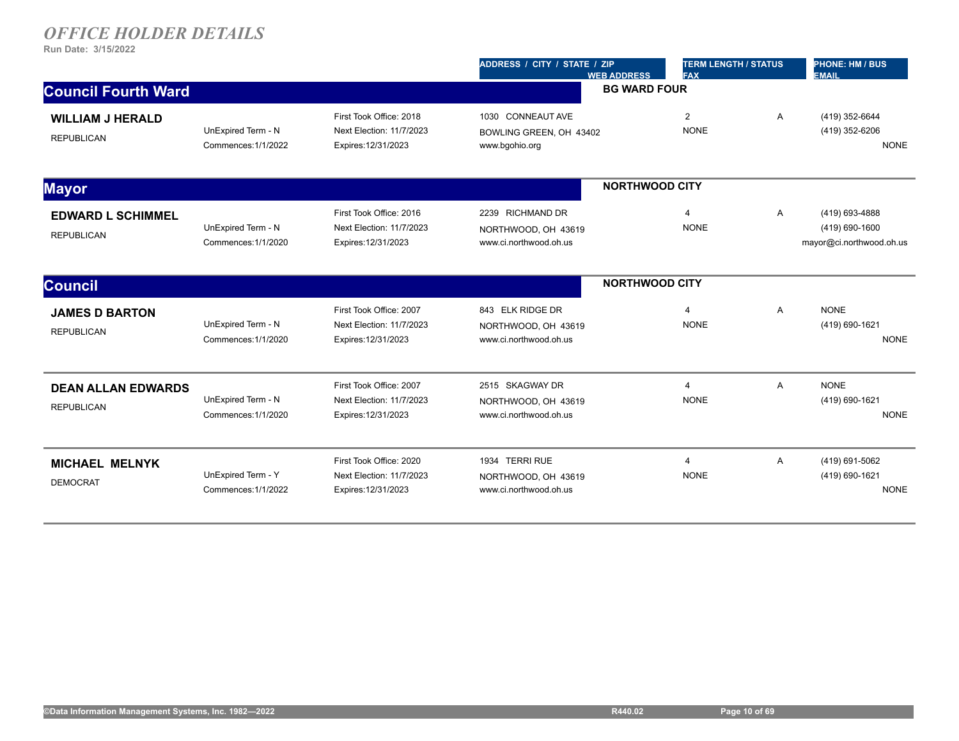|                                                |                                           |                                                                            | <b>TERM LENGTH / STATUS</b><br>ADDRESS / CITY / STATE / ZIP<br><b>FAX</b><br><b>WEB ADDRESS</b> |                               |              | <b>PHONE: HM / BUS</b><br><b>EMAIL</b>                       |  |
|------------------------------------------------|-------------------------------------------|----------------------------------------------------------------------------|-------------------------------------------------------------------------------------------------|-------------------------------|--------------|--------------------------------------------------------------|--|
| <b>Council Fourth Ward</b>                     |                                           |                                                                            | <b>BG WARD FOUR</b>                                                                             |                               |              |                                                              |  |
| <b>WILLIAM J HERALD</b><br><b>REPUBLICAN</b>   | UnExpired Term - N<br>Commences: 1/1/2022 | First Took Office: 2018<br>Next Election: 11/7/2023<br>Expires: 12/31/2023 | 1030 CONNEAUT AVE<br>BOWLING GREEN, OH 43402<br>www.bgohio.org                                  | $\overline{2}$<br><b>NONE</b> | $\mathsf{A}$ | (419) 352-6644<br>(419) 352-6206<br><b>NONE</b>              |  |
| <b>Mayor</b>                                   |                                           |                                                                            |                                                                                                 | <b>NORTHWOOD CITY</b>         |              |                                                              |  |
| <b>EDWARD L SCHIMMEL</b><br><b>REPUBLICAN</b>  | UnExpired Term - N<br>Commences: 1/1/2020 | First Took Office: 2016<br>Next Election: 11/7/2023<br>Expires: 12/31/2023 | 2239 RICHMAND DR<br>NORTHWOOD, OH 43619<br>www.ci.northwood.oh.us                               | 4<br><b>NONE</b>              | A            | (419) 693-4888<br>(419) 690-1600<br>mayor@ci.northwood.oh.us |  |
| <b>Council</b>                                 |                                           |                                                                            |                                                                                                 | <b>NORTHWOOD CITY</b>         |              |                                                              |  |
| <b>JAMES D BARTON</b><br><b>REPUBLICAN</b>     | UnExpired Term - N<br>Commences: 1/1/2020 | First Took Office: 2007<br>Next Election: 11/7/2023<br>Expires: 12/31/2023 | 843 ELK RIDGE DR<br>NORTHWOOD, OH 43619<br>www.ci.northwood.oh.us                               | $\overline{4}$<br><b>NONE</b> | Α            | <b>NONE</b><br>(419) 690-1621<br><b>NONE</b>                 |  |
| <b>DEAN ALLAN EDWARDS</b><br><b>REPUBLICAN</b> | UnExpired Term - N<br>Commences: 1/1/2020 | First Took Office: 2007<br>Next Election: 11/7/2023<br>Expires: 12/31/2023 | 2515 SKAGWAY DR<br>NORTHWOOD, OH 43619<br>www.ci.northwood.oh.us                                | $\overline{4}$<br><b>NONE</b> | A            | <b>NONE</b><br>(419) 690-1621<br><b>NONE</b>                 |  |
| <b>MICHAEL MELNYK</b><br><b>DEMOCRAT</b>       | UnExpired Term - Y<br>Commences: 1/1/2022 | First Took Office: 2020<br>Next Election: 11/7/2023<br>Expires: 12/31/2023 | 1934 TERRI RUE<br>NORTHWOOD, OH 43619<br>www.ci.northwood.oh.us                                 | 4<br><b>NONE</b>              | A            | (419) 691-5062<br>(419) 690-1621<br><b>NONE</b>              |  |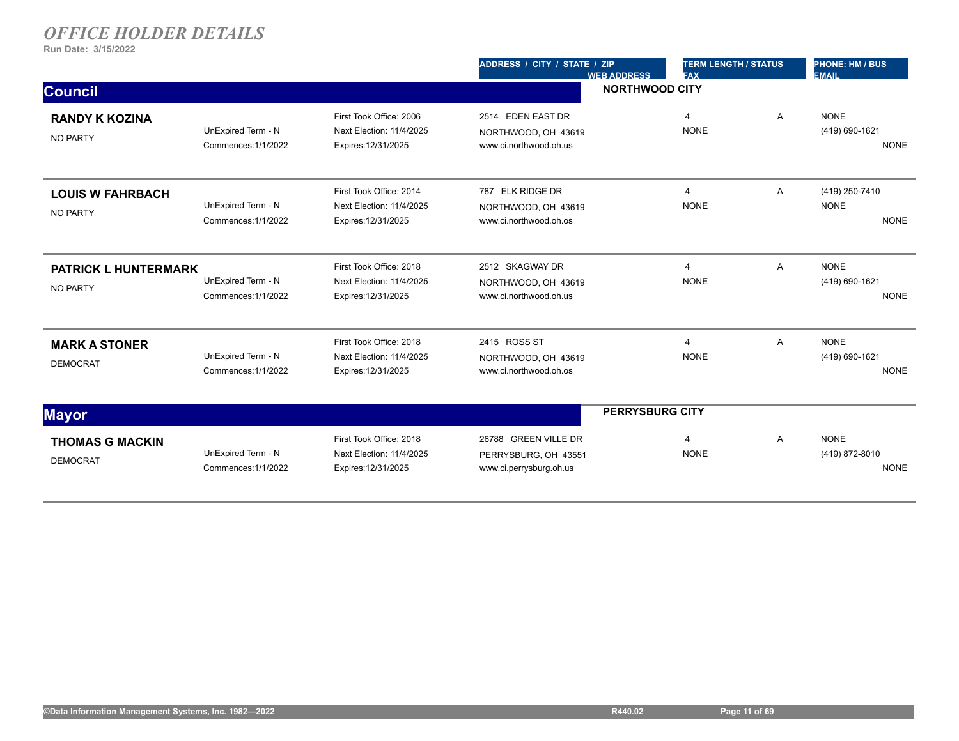|                                                |                                           |                                                                            | ADDRESS / CITY / STATE / ZIP<br><b>WEB ADDRESS</b>                      | <b>TERM LENGTH / STATUS</b><br><b>FAX</b> |   | <b>PHONE: HM / BUS</b><br><b>EMAIL</b>       |  |
|------------------------------------------------|-------------------------------------------|----------------------------------------------------------------------------|-------------------------------------------------------------------------|-------------------------------------------|---|----------------------------------------------|--|
| <b>Council</b>                                 |                                           |                                                                            | <b>NORTHWOOD CITY</b>                                                   |                                           |   |                                              |  |
| <b>RANDY K KOZINA</b><br><b>NO PARTY</b>       | UnExpired Term - N<br>Commences: 1/1/2022 | First Took Office: 2006<br>Next Election: 11/4/2025<br>Expires: 12/31/2025 | 2514 EDEN EAST DR<br>NORTHWOOD, OH 43619<br>www.ci.northwood.oh.us      | $\overline{4}$<br><b>NONE</b>             | Α | <b>NONE</b><br>(419) 690-1621<br><b>NONE</b> |  |
| <b>LOUIS W FAHRBACH</b><br><b>NO PARTY</b>     | UnExpired Term - N<br>Commences: 1/1/2022 | First Took Office: 2014<br>Next Election: 11/4/2025<br>Expires: 12/31/2025 | 787 ELK RIDGE DR<br>NORTHWOOD, OH 43619<br>www.ci.northwood.oh.os       | $\overline{4}$<br><b>NONE</b>             | A | (419) 250-7410<br><b>NONE</b><br><b>NONE</b> |  |
| <b>PATRICK L HUNTERMARK</b><br><b>NO PARTY</b> | UnExpired Term - N<br>Commences: 1/1/2022 | First Took Office: 2018<br>Next Election: 11/4/2025<br>Expires: 12/31/2025 | 2512 SKAGWAY DR<br>NORTHWOOD, OH 43619<br>www.ci.northwood.oh.us        | $\overline{4}$<br><b>NONE</b>             | Α | <b>NONE</b><br>(419) 690-1621<br><b>NONE</b> |  |
| <b>MARK A STONER</b><br><b>DEMOCRAT</b>        | UnExpired Term - N<br>Commences: 1/1/2022 | First Took Office: 2018<br>Next Election: 11/4/2025<br>Expires: 12/31/2025 | 2415 ROSS ST<br>NORTHWOOD, OH 43619<br>www.ci.northwood.oh.os           | $\overline{4}$<br><b>NONE</b>             | Α | <b>NONE</b><br>(419) 690-1621<br><b>NONE</b> |  |
| <b>Mayor</b>                                   |                                           |                                                                            |                                                                         | <b>PERRYSBURG CITY</b>                    |   |                                              |  |
| <b>THOMAS G MACKIN</b><br><b>DEMOCRAT</b>      | UnExpired Term - N<br>Commences: 1/1/2022 | First Took Office: 2018<br>Next Election: 11/4/2025<br>Expires: 12/31/2025 | 26788 GREEN VILLE DR<br>PERRYSBURG, OH 43551<br>www.ci.perrysburg.oh.us | 4<br><b>NONE</b>                          | Α | <b>NONE</b><br>(419) 872-8010<br><b>NONE</b> |  |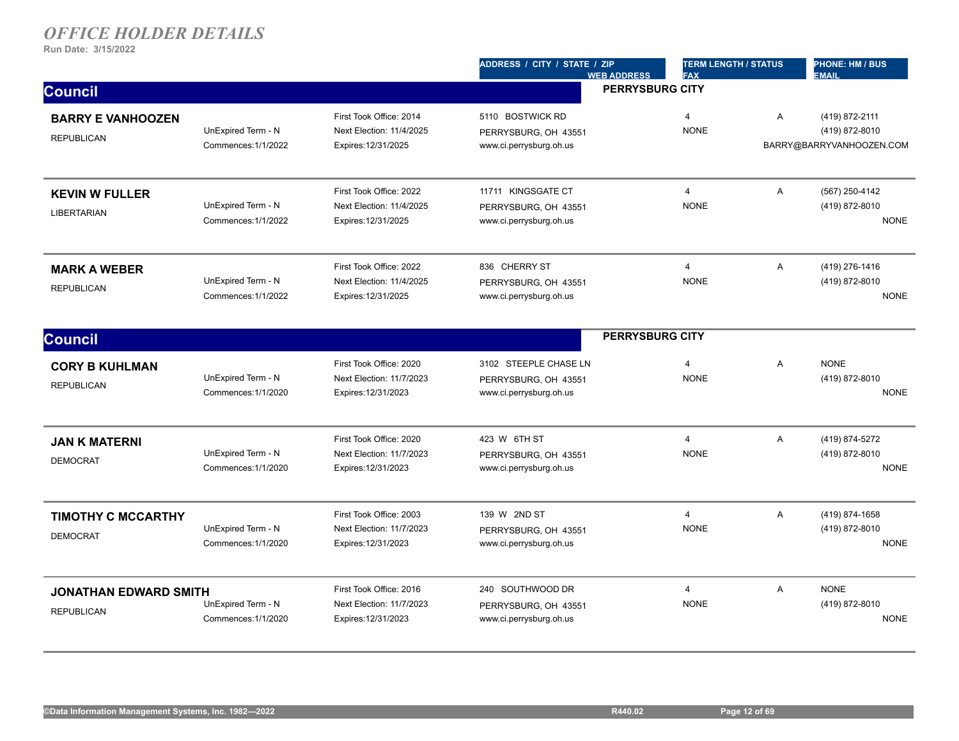|                              |                                           |                                                     | ADDRESS / CITY / STATE / ZIP                    | <b>WEB ADDRESS</b>     | <b>TERM LENGTH / STATUS</b><br><b>FAX</b> |                | <b>PHONE: HM / BUS</b><br><b>EMAIL</b> |
|------------------------------|-------------------------------------------|-----------------------------------------------------|-------------------------------------------------|------------------------|-------------------------------------------|----------------|----------------------------------------|
| <b>Council</b>               |                                           |                                                     |                                                 | <b>PERRYSBURG CITY</b> |                                           |                |                                        |
| <b>BARRY E VANHOOZEN</b>     | UnExpired Term - N                        | First Took Office: 2014<br>Next Election: 11/4/2025 | 5110 BOSTWICK RD<br>PERRYSBURG, OH 43551        |                        | $\overline{4}$<br><b>NONE</b>             | A              | (419) 872-2111<br>(419) 872-8010       |
| <b>REPUBLICAN</b>            | Commences: 1/1/2022                       | Expires: 12/31/2025                                 | www.ci.perrysburg.oh.us                         |                        |                                           |                | BARRY@BARRYVANHOOZEN.COM               |
| <b>KEVIN W FULLER</b>        |                                           | First Took Office: 2022                             | 11711 KINGSGATE CT                              |                        | $\overline{4}$                            | A              | (567) 250-4142                         |
| <b>LIBERTARIAN</b>           | UnExpired Term - N<br>Commences: 1/1/2022 | Next Election: 11/4/2025<br>Expires: 12/31/2025     | PERRYSBURG, OH 43551<br>www.ci.perrysburg.oh.us |                        | <b>NONE</b>                               |                | (419) 872-8010<br><b>NONE</b>          |
| <b>MARK A WEBER</b>          |                                           | First Took Office: 2022                             | 836 CHERRY ST                                   |                        | $\overline{4}$                            | A              | (419) 276-1416                         |
| <b>REPUBLICAN</b>            | UnExpired Term - N<br>Commences: 1/1/2022 | Next Election: 11/4/2025<br>Expires: 12/31/2025     | PERRYSBURG, OH 43551<br>www.ci.perrysburg.oh.us |                        | <b>NONE</b>                               |                | (419) 872-8010<br><b>NONE</b>          |
| <b>Council</b>               |                                           |                                                     |                                                 | <b>PERRYSBURG CITY</b> |                                           |                |                                        |
| <b>CORY B KUHLMAN</b>        |                                           | First Took Office: 2020                             | 3102 STEEPLE CHASE LN                           |                        | $\overline{4}$                            | $\overline{A}$ | <b>NONE</b>                            |
| <b>REPUBLICAN</b>            | UnExpired Term - N<br>Commences: 1/1/2020 | Next Election: 11/7/2023<br>Expires: 12/31/2023     | PERRYSBURG, OH 43551<br>www.ci.perrysburg.oh.us |                        | <b>NONE</b>                               |                | (419) 872-8010<br><b>NONE</b>          |
| <b>JAN K MATERNI</b>         |                                           | First Took Office: 2020                             | 423 W 6TH ST                                    |                        | $\overline{4}$                            | A              | (419) 874-5272                         |
| <b>DEMOCRAT</b>              | UnExpired Term - N<br>Commences: 1/1/2020 | Next Election: 11/7/2023<br>Expires: 12/31/2023     | PERRYSBURG, OH 43551<br>www.ci.perrysburg.oh.us |                        | <b>NONE</b>                               |                | (419) 872-8010<br><b>NONE</b>          |
| <b>TIMOTHY C MCCARTHY</b>    |                                           | First Took Office: 2003                             | 139 W 2ND ST                                    |                        | $\overline{4}$                            | A              | (419) 874-1658                         |
| <b>DEMOCRAT</b>              | UnExpired Term - N<br>Commences: 1/1/2020 | Next Election: 11/7/2023<br>Expires: 12/31/2023     | PERRYSBURG, OH 43551<br>www.ci.perrysburg.oh.us |                        | <b>NONE</b>                               |                | (419) 872-8010<br><b>NONE</b>          |
| <b>JONATHAN EDWARD SMITH</b> |                                           | First Took Office: 2016                             | 240 SOUTHWOOD DR                                |                        | $\overline{4}$                            | A              | <b>NONE</b>                            |
| <b>REPUBLICAN</b>            | UnExpired Term - N<br>Commences: 1/1/2020 | Next Election: 11/7/2023<br>Expires: 12/31/2023     | PERRYSBURG, OH 43551<br>www.ci.perrysburg.oh.us |                        | <b>NONE</b>                               |                | (419) 872-8010<br><b>NONE</b>          |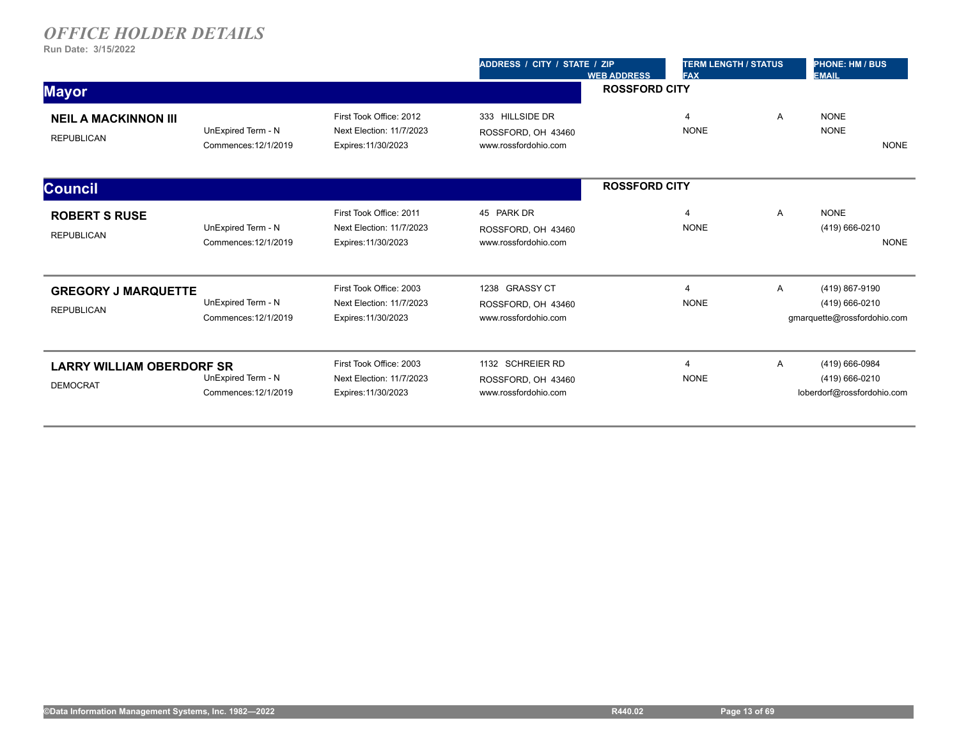|                                                     |                                            |                                                                            | ADDRESS / CITY / STATE / ZIP<br><b>WEB ADDRESS</b>             | <b>TERM LENGTH / STATUS</b><br><b>FAX</b> |   | <b>PHONE: HM / BUS</b><br><b>EMAIL</b>                          |
|-----------------------------------------------------|--------------------------------------------|----------------------------------------------------------------------------|----------------------------------------------------------------|-------------------------------------------|---|-----------------------------------------------------------------|
| <b>Mayor</b>                                        |                                            |                                                                            |                                                                | <b>ROSSFORD CITY</b>                      |   |                                                                 |
| <b>NEIL A MACKINNON III</b><br><b>REPUBLICAN</b>    | UnExpired Term - N<br>Commences: 12/1/2019 | First Took Office: 2012<br>Next Election: 11/7/2023<br>Expires: 11/30/2023 | 333 HILLSIDE DR<br>ROSSFORD, OH 43460<br>www.rossfordohio.com  | $\overline{4}$<br><b>NONE</b>             | Α | <b>NONE</b><br><b>NONE</b><br><b>NONE</b>                       |
| <b>Council</b>                                      |                                            |                                                                            |                                                                | <b>ROSSFORD CITY</b>                      |   |                                                                 |
| <b>ROBERT S RUSE</b><br><b>REPUBLICAN</b>           | UnExpired Term - N<br>Commences: 12/1/2019 | First Took Office: 2011<br>Next Election: 11/7/2023<br>Expires: 11/30/2023 | 45 PARK DR<br>ROSSFORD, OH 43460<br>www.rossfordohio.com       | $\overline{4}$<br><b>NONE</b>             | A | <b>NONE</b><br>(419) 666-0210<br><b>NONE</b>                    |
| <b>GREGORY J MARQUETTE</b><br><b>REPUBLICAN</b>     | UnExpired Term - N<br>Commences: 12/1/2019 | First Took Office: 2003<br>Next Election: 11/7/2023<br>Expires: 11/30/2023 | 1238 GRASSY CT<br>ROSSFORD, OH 43460<br>www.rossfordohio.com   | $\overline{4}$<br><b>NONE</b>             | Α | (419) 867-9190<br>(419) 666-0210<br>gmarquette@rossfordohio.com |
| <b>LARRY WILLIAM OBERDORF SR</b><br><b>DEMOCRAT</b> | UnExpired Term - N<br>Commences: 12/1/2019 | First Took Office: 2003<br>Next Election: 11/7/2023<br>Expires: 11/30/2023 | 1132 SCHREIER RD<br>ROSSFORD, OH 43460<br>www.rossfordohio.com | $\overline{4}$<br><b>NONE</b>             | Α | (419) 666-0984<br>(419) 666-0210<br>loberdorf@rossfordohio.com  |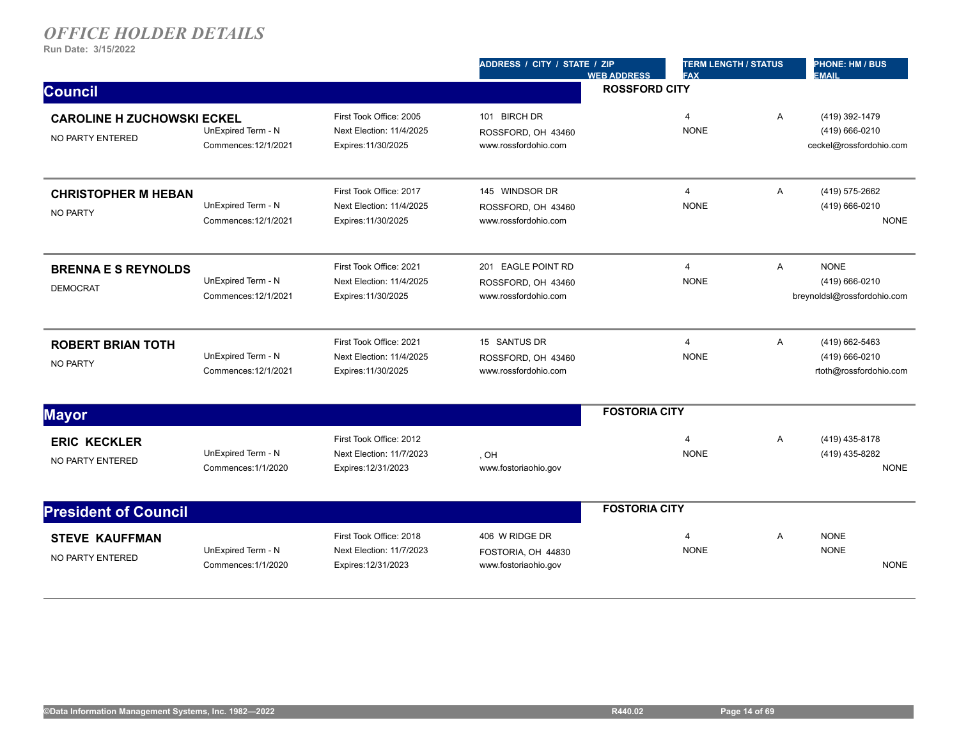|                                                       |                                            |                                                                            | ADDRESS / CITY / STATE / ZIP                                     | <b>WEB ADDRESS</b>   | <b>TERM LENGTH / STATUS</b><br><b>FAX</b> |   | <b>PHONE: HM / BUS</b><br><b>EMAIL</b>                       |
|-------------------------------------------------------|--------------------------------------------|----------------------------------------------------------------------------|------------------------------------------------------------------|----------------------|-------------------------------------------|---|--------------------------------------------------------------|
| <b>Council</b>                                        |                                            |                                                                            |                                                                  | <b>ROSSFORD CITY</b> |                                           |   |                                                              |
| <b>CAROLINE H ZUCHOWSKI ECKEL</b><br>NO PARTY ENTERED | UnExpired Term - N<br>Commences: 12/1/2021 | First Took Office: 2005<br>Next Election: 11/4/2025<br>Expires: 11/30/2025 | 101 BIRCH DR<br>ROSSFORD, OH 43460<br>www.rossfordohio.com       |                      | $\overline{4}$<br><b>NONE</b>             | Α | (419) 392-1479<br>(419) 666-0210<br>ceckel@rossfordohio.com  |
| <b>CHRISTOPHER M HEBAN</b><br><b>NO PARTY</b>         | UnExpired Term - N<br>Commences: 12/1/2021 | First Took Office: 2017<br>Next Election: 11/4/2025<br>Expires: 11/30/2025 | 145 WINDSOR DR<br>ROSSFORD, OH 43460<br>www.rossfordohio.com     |                      | $\overline{4}$<br><b>NONE</b>             | A | (419) 575-2662<br>(419) 666-0210<br><b>NONE</b>              |
| <b>BRENNA E S REYNOLDS</b><br><b>DEMOCRAT</b>         | UnExpired Term - N<br>Commences: 12/1/2021 | First Took Office: 2021<br>Next Election: 11/4/2025<br>Expires: 11/30/2025 | 201 EAGLE POINT RD<br>ROSSFORD, OH 43460<br>www.rossfordohio.com |                      | $\overline{4}$<br><b>NONE</b>             | A | <b>NONE</b><br>(419) 666-0210<br>breynoldsl@rossfordohio.com |
| <b>ROBERT BRIAN TOTH</b><br><b>NO PARTY</b>           | UnExpired Term - N<br>Commences: 12/1/2021 | First Took Office: 2021<br>Next Election: 11/4/2025<br>Expires: 11/30/2025 | 15 SANTUS DR<br>ROSSFORD, OH 43460<br>www.rossfordohio.com       |                      | $\overline{4}$<br><b>NONE</b>             | A | (419) 662-5463<br>(419) 666-0210<br>rtoth@rossfordohio.com   |
| <b>Mayor</b>                                          |                                            |                                                                            |                                                                  | <b>FOSTORIA CITY</b> |                                           |   |                                                              |
| <b>ERIC KECKLER</b><br>NO PARTY ENTERED               | UnExpired Term - N<br>Commences: 1/1/2020  | First Took Office: 2012<br>Next Election: 11/7/2023<br>Expires: 12/31/2023 | , OH<br>www.fostoriaohio.gov                                     |                      | $\overline{4}$<br><b>NONE</b>             | A | (419) 435-8178<br>(419) 435-8282<br><b>NONE</b>              |
| <b>President of Council</b>                           |                                            |                                                                            |                                                                  | <b>FOSTORIA CITY</b> |                                           |   |                                                              |
| <b>STEVE KAUFFMAN</b><br>NO PARTY ENTERED             | UnExpired Term - N<br>Commences: 1/1/2020  | First Took Office: 2018<br>Next Election: 11/7/2023<br>Expires: 12/31/2023 | 406 W RIDGE DR<br>FOSTORIA, OH 44830<br>www.fostoriaohio.gov     |                      | 4<br><b>NONE</b>                          | Α | <b>NONE</b><br><b>NONE</b><br><b>NONE</b>                    |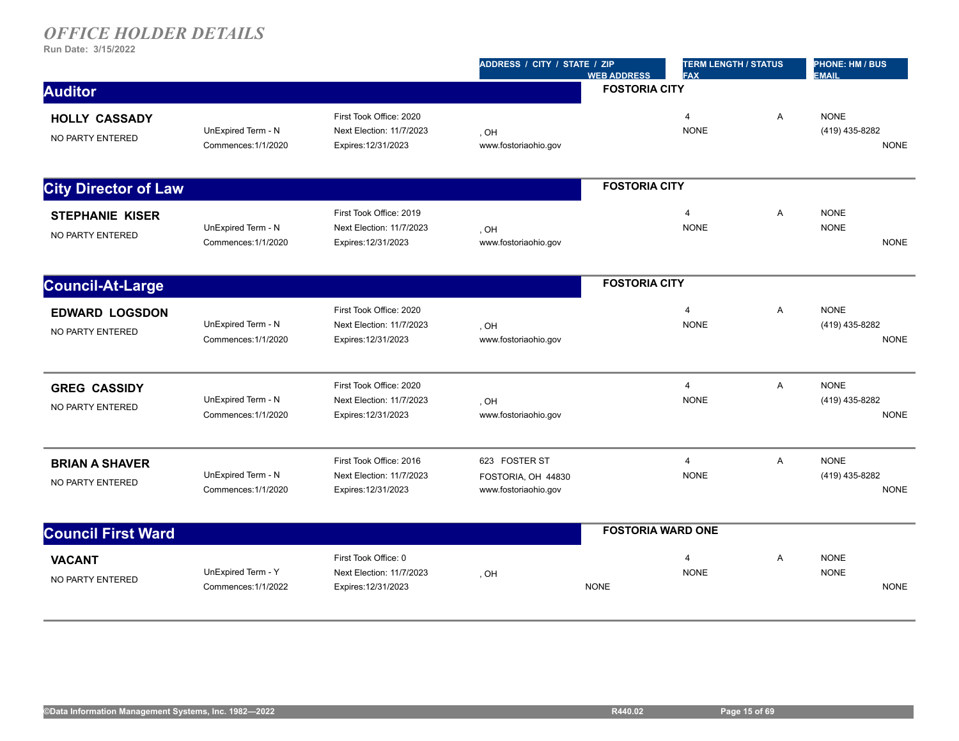|                                            |                                           |                                                                            | ADDRESS / CITY / STATE / ZIP                                | <b>WEB ADDRESS</b>   | <b>TERM LENGTH / STATUS</b><br><b>FAX</b> |                | <b>PHONE: HM / BUS</b><br><b>EMAIL</b>       |
|--------------------------------------------|-------------------------------------------|----------------------------------------------------------------------------|-------------------------------------------------------------|----------------------|-------------------------------------------|----------------|----------------------------------------------|
| <b>Auditor</b>                             |                                           |                                                                            |                                                             | <b>FOSTORIA CITY</b> |                                           |                |                                              |
| <b>HOLLY CASSADY</b><br>NO PARTY ENTERED   | UnExpired Term - N<br>Commences: 1/1/2020 | First Took Office: 2020<br>Next Election: 11/7/2023<br>Expires: 12/31/2023 | . OH<br>www.fostoriaohio.gov                                |                      | $\overline{4}$<br><b>NONE</b>             | A              | <b>NONE</b><br>(419) 435-8282<br><b>NONE</b> |
| <b>City Director of Law</b>                |                                           |                                                                            |                                                             | <b>FOSTORIA CITY</b> |                                           |                |                                              |
| <b>STEPHANIE KISER</b><br>NO PARTY ENTERED | UnExpired Term - N<br>Commences: 1/1/2020 | First Took Office: 2019<br>Next Election: 11/7/2023<br>Expires: 12/31/2023 | . OH<br>www.fostoriaohio.gov                                |                      | 4<br><b>NONE</b>                          | A              | <b>NONE</b><br><b>NONE</b><br><b>NONE</b>    |
| <b>Council-At-Large</b>                    |                                           |                                                                            |                                                             | <b>FOSTORIA CITY</b> |                                           |                |                                              |
| <b>EDWARD LOGSDON</b><br>NO PARTY ENTERED  | UnExpired Term - N<br>Commences: 1/1/2020 | First Took Office: 2020<br>Next Election: 11/7/2023<br>Expires: 12/31/2023 | . OH<br>www.fostoriaohio.gov                                |                      | $\overline{4}$<br><b>NONE</b>             | $\overline{A}$ | <b>NONE</b><br>(419) 435-8282<br><b>NONE</b> |
| <b>GREG CASSIDY</b><br>NO PARTY ENTERED    | UnExpired Term - N<br>Commences: 1/1/2020 | First Took Office: 2020<br>Next Election: 11/7/2023<br>Expires: 12/31/2023 | HO,<br>www.fostoriaohio.gov                                 |                      | $\overline{4}$<br><b>NONE</b>             | A              | <b>NONE</b><br>(419) 435-8282<br><b>NONE</b> |
| <b>BRIAN A SHAVER</b><br>NO PARTY ENTERED  | UnExpired Term - N<br>Commences: 1/1/2020 | First Took Office: 2016<br>Next Election: 11/7/2023<br>Expires: 12/31/2023 | 623 FOSTER ST<br>FOSTORIA, OH 44830<br>www.fostoriaohio.gov |                      | $\overline{4}$<br><b>NONE</b>             | A              | <b>NONE</b><br>(419) 435-8282<br><b>NONE</b> |
| <b>Council First Ward</b>                  |                                           |                                                                            |                                                             |                      | <b>FOSTORIA WARD ONE</b>                  |                |                                              |
| <b>VACANT</b><br>NO PARTY ENTERED          | UnExpired Term - Y<br>Commences: 1/1/2022 | First Took Office: 0<br>Next Election: 11/7/2023<br>Expires: 12/31/2023    | , OH                                                        | <b>NONE</b>          | $\overline{4}$<br><b>NONE</b>             | A              | <b>NONE</b><br><b>NONE</b><br><b>NONE</b>    |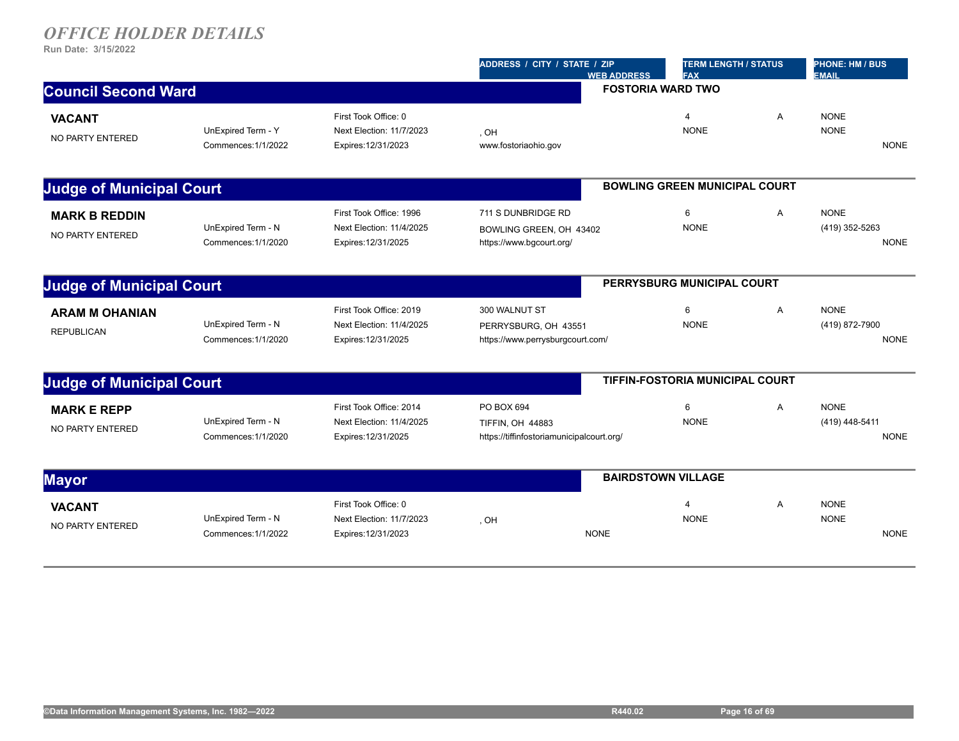|                                          |                                           |                                                                            | ADDRESS / CITY / STATE / ZIP                                                       | <b>TERM LENGTH / STATUS</b><br><b>FAX</b><br><b>WEB ADDRESS</b> |   | <b>PHONE: HM / BUS</b><br><b>EMAIL</b> |             |
|------------------------------------------|-------------------------------------------|----------------------------------------------------------------------------|------------------------------------------------------------------------------------|-----------------------------------------------------------------|---|----------------------------------------|-------------|
| <b>Council Second Ward</b>               |                                           |                                                                            |                                                                                    | <b>FOSTORIA WARD TWO</b>                                        |   |                                        |             |
| NO PARTY ENTERED                         | UnExpired Term - Y<br>Commences: 1/1/2022 | First Took Office: 0<br>Next Election: 11/7/2023<br>Expires: 12/31/2023    | , OH<br>www.fostoriaohio.gov                                                       | $\overline{4}$<br><b>NONE</b>                                   | A | <b>NONE</b><br><b>NONE</b>             | <b>NONE</b> |
| <b>Judge of Municipal Court</b>          |                                           |                                                                            |                                                                                    | <b>BOWLING GREEN MUNICIPAL COURT</b>                            |   |                                        |             |
| <b>MARK B REDDIN</b><br>NO PARTY ENTERED | UnExpired Term - N<br>Commences: 1/1/2020 | First Took Office: 1996<br>Next Election: 11/4/2025<br>Expires: 12/31/2025 | 711 S DUNBRIDGE RD<br>BOWLING GREEN, OH 43402<br>https://www.bgcourt.org/          | 6<br><b>NONE</b>                                                | A | <b>NONE</b><br>(419) 352-5263          | <b>NONE</b> |
| <b>Judge of Municipal Court</b>          |                                           |                                                                            |                                                                                    | PERRYSBURG MUNICIPAL COURT                                      |   |                                        |             |
| <b>ARAM M OHANIAN</b>                    | UnExpired Term - N<br>Commences: 1/1/2020 | First Took Office: 2019<br>Next Election: 11/4/2025<br>Expires: 12/31/2025 | 300 WALNUT ST<br>PERRYSBURG, OH 43551<br>https://www.perrysburgcourt.com/          | 6<br><b>NONE</b>                                                | A | <b>NONE</b><br>(419) 872-7900          | <b>NONE</b> |
| <b>Judge of Municipal Court</b>          |                                           |                                                                            |                                                                                    | <b>TIFFIN-FOSTORIA MUNICIPAL COURT</b>                          |   |                                        |             |
| <b>MARK E REPP</b><br>NO PARTY ENTERED   | UnExpired Term - N<br>Commences: 1/1/2020 | First Took Office: 2014<br>Next Election: 11/4/2025<br>Expires: 12/31/2025 | PO BOX 694<br><b>TIFFIN, OH 44883</b><br>https://tiffinfostoriamunicipalcourt.org/ | 6<br><b>NONE</b>                                                | A | <b>NONE</b><br>(419) 448-5411          | <b>NONE</b> |
|                                          |                                           |                                                                            |                                                                                    | <b>BAIRDSTOWN VILLAGE</b>                                       |   |                                        |             |
| NO PARTY ENTERED                         | UnExpired Term - N<br>Commences: 1/1/2022 | First Took Office: 0<br>Next Election: 11/7/2023<br>Expires: 12/31/2023    | , OH<br><b>NONE</b>                                                                | $\overline{4}$<br><b>NONE</b>                                   | Α | <b>NONE</b><br><b>NONE</b>             | <b>NONE</b> |
|                                          |                                           |                                                                            |                                                                                    |                                                                 |   |                                        |             |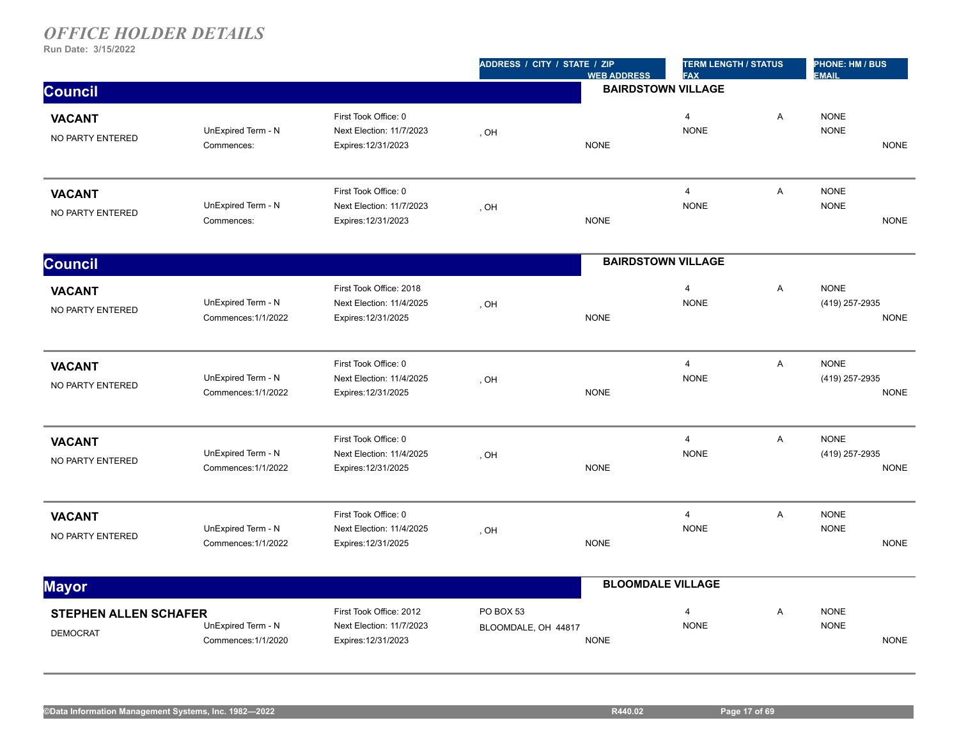|                                                 |                                           |                                                                            | ADDRESS / CITY / STATE / ZIP     | <b>WEB ADDRESS</b>        | <b>TERM LENGTH / STATUS</b><br><b>FAX</b> |   | PHONE: HM / BUS<br><b>EMAIL</b> |             |
|-------------------------------------------------|-------------------------------------------|----------------------------------------------------------------------------|----------------------------------|---------------------------|-------------------------------------------|---|---------------------------------|-------------|
| <b>Council</b>                                  |                                           |                                                                            |                                  | <b>BAIRDSTOWN VILLAGE</b> |                                           |   |                                 |             |
| <b>VACANT</b><br>NO PARTY ENTERED               | UnExpired Term - N<br>Commences:          | First Took Office: 0<br>Next Election: 11/7/2023<br>Expires: 12/31/2023    | , OH                             | <b>NONE</b>               | $\overline{4}$<br><b>NONE</b>             | A | <b>NONE</b><br><b>NONE</b>      | <b>NONE</b> |
| <b>VACANT</b><br>NO PARTY ENTERED               | UnExpired Term - N<br>Commences:          | First Took Office: 0<br>Next Election: 11/7/2023<br>Expires: 12/31/2023    | , OH                             | <b>NONE</b>               | $\overline{4}$<br><b>NONE</b>             | A | <b>NONE</b><br><b>NONE</b>      | <b>NONE</b> |
| <b>Council</b>                                  |                                           |                                                                            |                                  | <b>BAIRDSTOWN VILLAGE</b> |                                           |   |                                 |             |
| <b>VACANT</b><br>NO PARTY ENTERED               | UnExpired Term - N<br>Commences: 1/1/2022 | First Took Office: 2018<br>Next Election: 11/4/2025<br>Expires: 12/31/2025 | , OH                             | <b>NONE</b>               | $\overline{4}$<br><b>NONE</b>             | Α | <b>NONE</b><br>(419) 257-2935   | <b>NONE</b> |
| <b>VACANT</b><br>NO PARTY ENTERED               | UnExpired Term - N<br>Commences: 1/1/2022 | First Took Office: 0<br>Next Election: 11/4/2025<br>Expires: 12/31/2025    | , OH                             | <b>NONE</b>               | $\overline{4}$<br><b>NONE</b>             | A | <b>NONE</b><br>(419) 257-2935   | <b>NONE</b> |
| <b>VACANT</b><br>NO PARTY ENTERED               | UnExpired Term - N<br>Commences: 1/1/2022 | First Took Office: 0<br>Next Election: 11/4/2025<br>Expires: 12/31/2025    | , OH                             | <b>NONE</b>               | $\overline{4}$<br><b>NONE</b>             | Α | <b>NONE</b><br>(419) 257-2935   | <b>NONE</b> |
| <b>VACANT</b><br>NO PARTY ENTERED               | UnExpired Term - N<br>Commences: 1/1/2022 | First Took Office: 0<br>Next Election: 11/4/2025<br>Expires: 12/31/2025    | , OH                             | <b>NONE</b>               | $\overline{4}$<br><b>NONE</b>             | Α | <b>NONE</b><br><b>NONE</b>      | <b>NONE</b> |
| <b>Mayor</b>                                    |                                           |                                                                            |                                  | <b>BLOOMDALE VILLAGE</b>  |                                           |   |                                 |             |
| <b>STEPHEN ALLEN SCHAFER</b><br><b>DEMOCRAT</b> | UnExpired Term - N<br>Commences: 1/1/2020 | First Took Office: 2012<br>Next Election: 11/7/2023<br>Expires: 12/31/2023 | PO BOX 53<br>BLOOMDALE, OH 44817 | <b>NONE</b>               | $\overline{4}$<br><b>NONE</b>             | A | <b>NONE</b><br><b>NONE</b>      | <b>NONE</b> |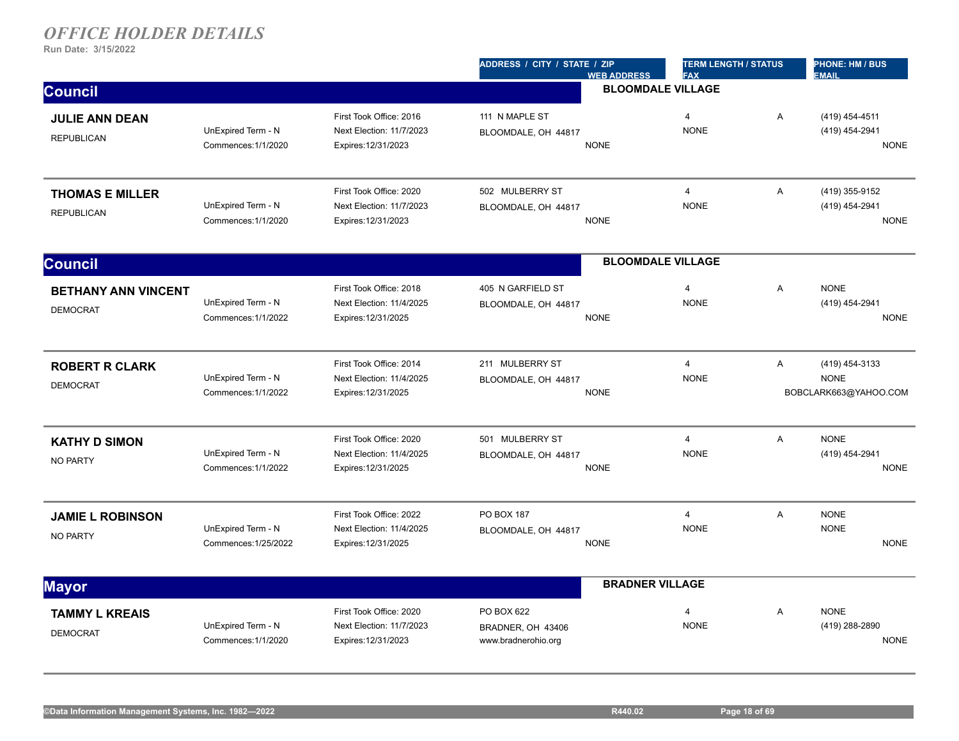|                                               |                                            |                                                                            | ADDRESS / CITY / STATE / ZIP<br><b>WEB ADDRESS</b>      | <b>TERM LENGTH / STATUS</b><br><b>FAX</b> |                | PHONE: HM / BUS<br><b>EMAIL</b>                        |
|-----------------------------------------------|--------------------------------------------|----------------------------------------------------------------------------|---------------------------------------------------------|-------------------------------------------|----------------|--------------------------------------------------------|
| <b>Council</b>                                |                                            |                                                                            |                                                         | <b>BLOOMDALE VILLAGE</b>                  |                |                                                        |
| <b>JULIE ANN DEAN</b><br><b>REPUBLICAN</b>    | UnExpired Term - N<br>Commences: 1/1/2020  | First Took Office: 2016<br>Next Election: 11/7/2023<br>Expires: 12/31/2023 | 111 N MAPLE ST<br>BLOOMDALE, OH 44817<br><b>NONE</b>    | $\overline{4}$<br><b>NONE</b>             | A              | (419) 454-4511<br>(419) 454-2941<br><b>NONE</b>        |
| <b>THOMAS E MILLER</b><br><b>REPUBLICAN</b>   | UnExpired Term - N<br>Commences: 1/1/2020  | First Took Office: 2020<br>Next Election: 11/7/2023<br>Expires: 12/31/2023 | 502 MULBERRY ST<br>BLOOMDALE, OH 44817<br><b>NONE</b>   | $\overline{4}$<br><b>NONE</b>             | A              | (419) 355-9152<br>(419) 454-2941<br><b>NONE</b>        |
| <b>Council</b>                                |                                            |                                                                            |                                                         | <b>BLOOMDALE VILLAGE</b>                  |                |                                                        |
| <b>BETHANY ANN VINCENT</b><br><b>DEMOCRAT</b> | UnExpired Term - N<br>Commences: 1/1/2022  | First Took Office: 2018<br>Next Election: 11/4/2025<br>Expires: 12/31/2025 | 405 N GARFIELD ST<br>BLOOMDALE, OH 44817<br><b>NONE</b> | $\overline{\mathbf{4}}$<br><b>NONE</b>    | A              | <b>NONE</b><br>(419) 454-2941<br><b>NONE</b>           |
| <b>ROBERT R CLARK</b><br><b>DEMOCRAT</b>      | UnExpired Term - N<br>Commences: 1/1/2022  | First Took Office: 2014<br>Next Election: 11/4/2025<br>Expires: 12/31/2025 | 211 MULBERRY ST<br>BLOOMDALE, OH 44817<br><b>NONE</b>   | $\overline{4}$<br><b>NONE</b>             | A              | (419) 454-3133<br><b>NONE</b><br>BOBCLARK663@YAHOO.COM |
| <b>KATHY D SIMON</b><br><b>NO PARTY</b>       | UnExpired Term - N<br>Commences: 1/1/2022  | First Took Office: 2020<br>Next Election: 11/4/2025<br>Expires: 12/31/2025 | 501 MULBERRY ST<br>BLOOMDALE, OH 44817<br><b>NONE</b>   | $\overline{4}$<br><b>NONE</b>             | $\overline{A}$ | <b>NONE</b><br>(419) 454-2941<br><b>NONE</b>           |
| <b>JAMIE L ROBINSON</b><br><b>NO PARTY</b>    | UnExpired Term - N<br>Commences: 1/25/2022 | First Took Office: 2022<br>Next Election: 11/4/2025<br>Expires: 12/31/2025 | PO BOX 187<br>BLOOMDALE, OH 44817<br><b>NONE</b>        | $\overline{4}$<br><b>NONE</b>             | A              | <b>NONE</b><br><b>NONE</b><br><b>NONE</b>              |
| <b>Mayor</b>                                  |                                            |                                                                            |                                                         | <b>BRADNER VILLAGE</b>                    |                |                                                        |
| <b>TAMMY L KREAIS</b><br><b>DEMOCRAT</b>      | UnExpired Term - N<br>Commences: 1/1/2020  | First Took Office: 2020<br>Next Election: 11/7/2023<br>Expires: 12/31/2023 | PO BOX 622<br>BRADNER, OH 43406<br>www.bradnerohio.org  | $\overline{4}$<br><b>NONE</b>             | A              | <b>NONE</b><br>(419) 288-2890<br><b>NONE</b>           |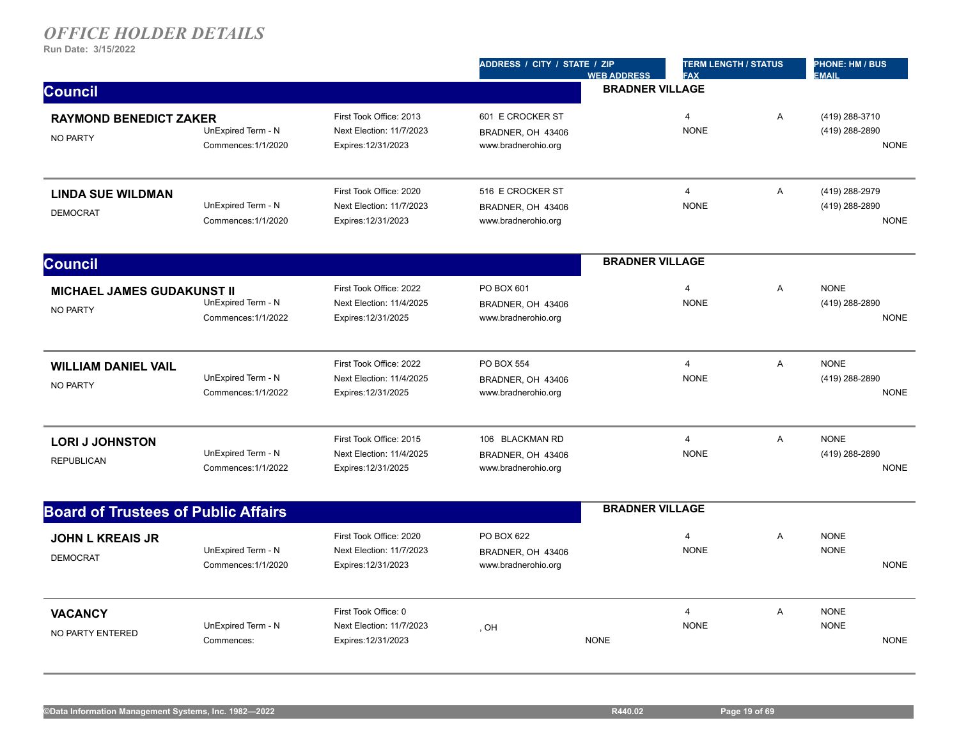|                                                      |                                           |                                                                            | ADDRESS / CITY / STATE / ZIP                                 | <b>WEB ADDRESS</b>     | <b>TERM LENGTH / STATUS</b><br><b>FAX</b> |                | <b>PHONE: HM / BUS</b><br><b>EMAIL</b>          |  |
|------------------------------------------------------|-------------------------------------------|----------------------------------------------------------------------------|--------------------------------------------------------------|------------------------|-------------------------------------------|----------------|-------------------------------------------------|--|
| <b>Council</b>                                       |                                           |                                                                            |                                                              | <b>BRADNER VILLAGE</b> |                                           |                |                                                 |  |
| <b>RAYMOND BENEDICT ZAKER</b><br><b>NO PARTY</b>     | UnExpired Term - N<br>Commences: 1/1/2020 | First Took Office: 2013<br>Next Election: 11/7/2023<br>Expires: 12/31/2023 | 601 E CROCKER ST<br>BRADNER, OH 43406<br>www.bradnerohio.org |                        | $\overline{4}$<br><b>NONE</b>             | A              | (419) 288-3710<br>(419) 288-2890<br><b>NONE</b> |  |
| <b>LINDA SUE WILDMAN</b><br><b>DEMOCRAT</b>          | UnExpired Term - N<br>Commences: 1/1/2020 | First Took Office: 2020<br>Next Election: 11/7/2023<br>Expires: 12/31/2023 | 516 E CROCKER ST<br>BRADNER, OH 43406<br>www.bradnerohio.org |                        | $\overline{4}$<br><b>NONE</b>             | Α              | (419) 288-2979<br>(419) 288-2890<br><b>NONE</b> |  |
| <b>Council</b>                                       |                                           |                                                                            |                                                              | <b>BRADNER VILLAGE</b> |                                           |                |                                                 |  |
| <b>MICHAEL JAMES GUDAKUNST II</b><br><b>NO PARTY</b> | UnExpired Term - N<br>Commences: 1/1/2022 | First Took Office: 2022<br>Next Election: 11/4/2025<br>Expires: 12/31/2025 | PO BOX 601<br>BRADNER, OH 43406<br>www.bradnerohio.org       |                        | $\overline{4}$<br><b>NONE</b>             | A              | <b>NONE</b><br>(419) 288-2890<br><b>NONE</b>    |  |
| <b>WILLIAM DANIEL VAIL</b><br><b>NO PARTY</b>        | UnExpired Term - N<br>Commences: 1/1/2022 | First Took Office: 2022<br>Next Election: 11/4/2025<br>Expires: 12/31/2025 | PO BOX 554<br>BRADNER, OH 43406<br>www.bradnerohio.org       |                        | $\overline{4}$<br><b>NONE</b>             | A              | <b>NONE</b><br>(419) 288-2890<br><b>NONE</b>    |  |
| <b>LORI J JOHNSTON</b><br><b>REPUBLICAN</b>          | UnExpired Term - N<br>Commences: 1/1/2022 | First Took Office: 2015<br>Next Election: 11/4/2025<br>Expires: 12/31/2025 | 106 BLACKMAN RD<br>BRADNER, OH 43406<br>www.bradnerohio.org  |                        | $\overline{4}$<br><b>NONE</b>             | A              | <b>NONE</b><br>(419) 288-2890<br><b>NONE</b>    |  |
| <b>Board of Trustees of Public Affairs</b>           |                                           |                                                                            |                                                              | <b>BRADNER VILLAGE</b> |                                           |                |                                                 |  |
| <b>JOHN L KREAIS JR</b><br><b>DEMOCRAT</b>           | UnExpired Term - N<br>Commences: 1/1/2020 | First Took Office: 2020<br>Next Election: 11/7/2023<br>Expires: 12/31/2023 | PO BOX 622<br>BRADNER, OH 43406<br>www.bradnerohio.org       |                        | $\overline{4}$<br><b>NONE</b>             | Α              | <b>NONE</b><br><b>NONE</b><br><b>NONE</b>       |  |
| <b>VACANCY</b><br>NO PARTY ENTERED                   | UnExpired Term - N<br>Commences:          | First Took Office: 0<br>Next Election: 11/7/2023<br>Expires: 12/31/2023    | , OH                                                         | <b>NONE</b>            | $\overline{4}$<br><b>NONE</b>             | $\overline{A}$ | <b>NONE</b><br><b>NONE</b><br><b>NONE</b>       |  |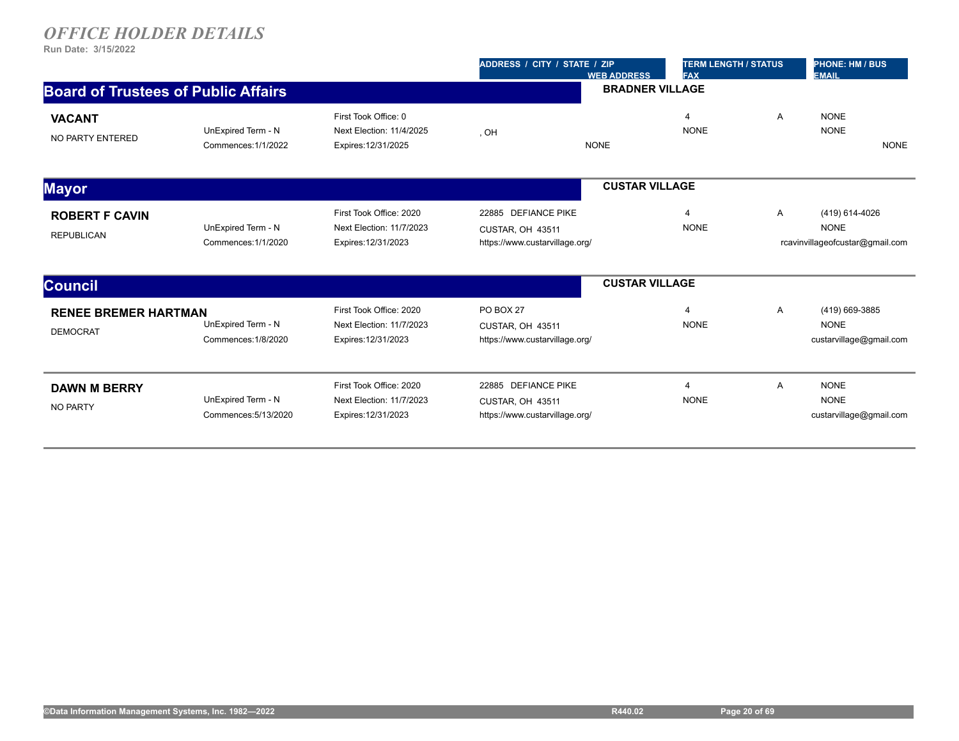|                                                |                                            |                                                                            | ADDRESS / CITY / STATE / ZIP<br><b>WEB ADDRESS</b>                        | <b>TERM LENGTH / STATUS</b><br><b>FAX</b> |   | <b>PHONE: HM / BUS</b><br><b>EMAIL</b>                           |
|------------------------------------------------|--------------------------------------------|----------------------------------------------------------------------------|---------------------------------------------------------------------------|-------------------------------------------|---|------------------------------------------------------------------|
| <b>Board of Trustees of Public Affairs</b>     |                                            |                                                                            |                                                                           | <b>BRADNER VILLAGE</b>                    |   |                                                                  |
| <b>VACANT</b><br>NO PARTY ENTERED              | UnExpired Term - N<br>Commences: 1/1/2022  | First Took Office: 0<br>Next Election: 11/4/2025<br>Expires: 12/31/2025    | , OH<br><b>NONE</b>                                                       | $\overline{4}$<br><b>NONE</b>             | Α | <b>NONE</b><br><b>NONE</b><br><b>NONE</b>                        |
| <b>Mayor</b>                                   |                                            |                                                                            |                                                                           | <b>CUSTAR VILLAGE</b>                     |   |                                                                  |
| <b>ROBERT F CAVIN</b><br><b>REPUBLICAN</b>     | UnExpired Term - N<br>Commences: 1/1/2020  | First Took Office: 2020<br>Next Election: 11/7/2023<br>Expires: 12/31/2023 | 22885 DEFIANCE PIKE<br>CUSTAR, OH 43511<br>https://www.custarvillage.org/ | $\overline{4}$<br><b>NONE</b>             | A | (419) 614-4026<br><b>NONE</b><br>rcavinvillageofcustar@gmail.com |
| <b>Council</b>                                 |                                            |                                                                            |                                                                           | <b>CUSTAR VILLAGE</b>                     |   |                                                                  |
| <b>RENEE BREMER HARTMAN</b><br><b>DEMOCRAT</b> | UnExpired Term - N<br>Commences: 1/8/2020  | First Took Office: 2020<br>Next Election: 11/7/2023<br>Expires: 12/31/2023 | PO BOX 27<br>CUSTAR, OH 43511<br>https://www.custarvillage.org/           | $\overline{4}$<br><b>NONE</b>             | Α | (419) 669-3885<br><b>NONE</b><br>custarvillage@gmail.com         |
| <b>DAWN M BERRY</b><br><b>NO PARTY</b>         | UnExpired Term - N<br>Commences: 5/13/2020 | First Took Office: 2020<br>Next Election: 11/7/2023<br>Expires: 12/31/2023 | 22885 DEFIANCE PIKE<br>CUSTAR, OH 43511<br>https://www.custarvillage.org/ | 4<br><b>NONE</b>                          | Α | <b>NONE</b><br><b>NONE</b><br>custarvillage@gmail.com            |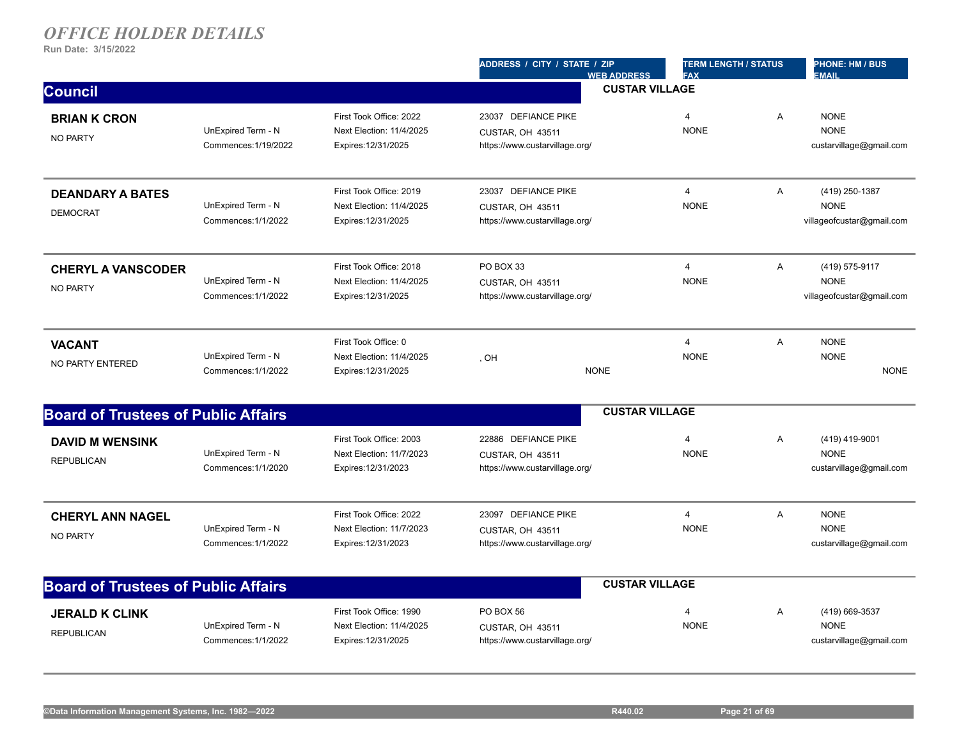|                                              |                                            |                                                                            | ADDRESS / CITY / STATE / ZIP<br><b>WEB ADDRESS</b>                        | <b>TERM LENGTH / STATUS</b><br><b>FAX</b> |   | <b>PHONE: HM / BUS</b><br><b>EMAIL</b>                     |
|----------------------------------------------|--------------------------------------------|----------------------------------------------------------------------------|---------------------------------------------------------------------------|-------------------------------------------|---|------------------------------------------------------------|
| <b>Council</b>                               |                                            |                                                                            |                                                                           | <b>CUSTAR VILLAGE</b>                     |   |                                                            |
| <b>BRIAN K CRON</b><br><b>NO PARTY</b>       | UnExpired Term - N<br>Commences: 1/19/2022 | First Took Office: 2022<br>Next Election: 11/4/2025<br>Expires: 12/31/2025 | 23037 DEFIANCE PIKE<br>CUSTAR, OH 43511<br>https://www.custarvillage.org/ | $\overline{4}$<br><b>NONE</b>             | Α | <b>NONE</b><br><b>NONE</b><br>custarvillage@gmail.com      |
| <b>DEANDARY A BATES</b><br><b>DEMOCRAT</b>   | UnExpired Term - N<br>Commences: 1/1/2022  | First Took Office: 2019<br>Next Election: 11/4/2025<br>Expires: 12/31/2025 | 23037 DEFIANCE PIKE<br>CUSTAR, OH 43511<br>https://www.custarvillage.org/ | $\overline{4}$<br><b>NONE</b>             | A | (419) 250-1387<br><b>NONE</b><br>villageofcustar@gmail.com |
| <b>CHERYL A VANSCODER</b><br><b>NO PARTY</b> | UnExpired Term - N<br>Commences: 1/1/2022  | First Took Office: 2018<br>Next Election: 11/4/2025<br>Expires: 12/31/2025 | PO BOX 33<br>CUSTAR, OH 43511<br>https://www.custarvillage.org/           | $\overline{4}$<br><b>NONE</b>             | A | (419) 575-9117<br><b>NONE</b><br>villageofcustar@gmail.com |
| <b>VACANT</b><br>NO PARTY ENTERED            | UnExpired Term - N<br>Commences: 1/1/2022  | First Took Office: 0<br>Next Election: 11/4/2025<br>Expires: 12/31/2025    | . OH<br><b>NONE</b>                                                       | $\overline{4}$<br><b>NONE</b>             | A | <b>NONE</b><br><b>NONE</b><br><b>NONE</b>                  |
| <b>Board of Trustees of Public Affairs</b>   |                                            |                                                                            |                                                                           | <b>CUSTAR VILLAGE</b>                     |   |                                                            |
| <b>DAVID M WENSINK</b><br><b>REPUBLICAN</b>  | UnExpired Term - N<br>Commences: 1/1/2020  | First Took Office: 2003<br>Next Election: 11/7/2023<br>Expires: 12/31/2023 | 22886 DEFIANCE PIKE<br>CUSTAR, OH 43511<br>https://www.custarvillage.org/ | $\overline{4}$<br><b>NONE</b>             | A | (419) 419-9001<br><b>NONE</b><br>custarvillage@gmail.com   |
| <b>CHERYL ANN NAGEL</b><br><b>NO PARTY</b>   | UnExpired Term - N<br>Commences: 1/1/2022  | First Took Office: 2022<br>Next Election: 11/7/2023<br>Expires: 12/31/2023 | 23097 DEFIANCE PIKE<br>CUSTAR, OH 43511<br>https://www.custarvillage.org/ | $\overline{4}$<br><b>NONE</b>             | A | <b>NONE</b><br><b>NONE</b><br>custarvillage@gmail.com      |
| <b>Board of Trustees of Public Affairs</b>   |                                            |                                                                            |                                                                           | <b>CUSTAR VILLAGE</b>                     |   |                                                            |
| <b>JERALD K CLINK</b><br><b>REPUBLICAN</b>   | UnExpired Term - N<br>Commences: 1/1/2022  | First Took Office: 1990<br>Next Election: 11/4/2025<br>Expires: 12/31/2025 | PO BOX 56<br>CUSTAR, OH 43511<br>https://www.custarvillage.org/           | $\overline{4}$<br><b>NONE</b>             | A | (419) 669-3537<br><b>NONE</b><br>custarvillage@gmail.com   |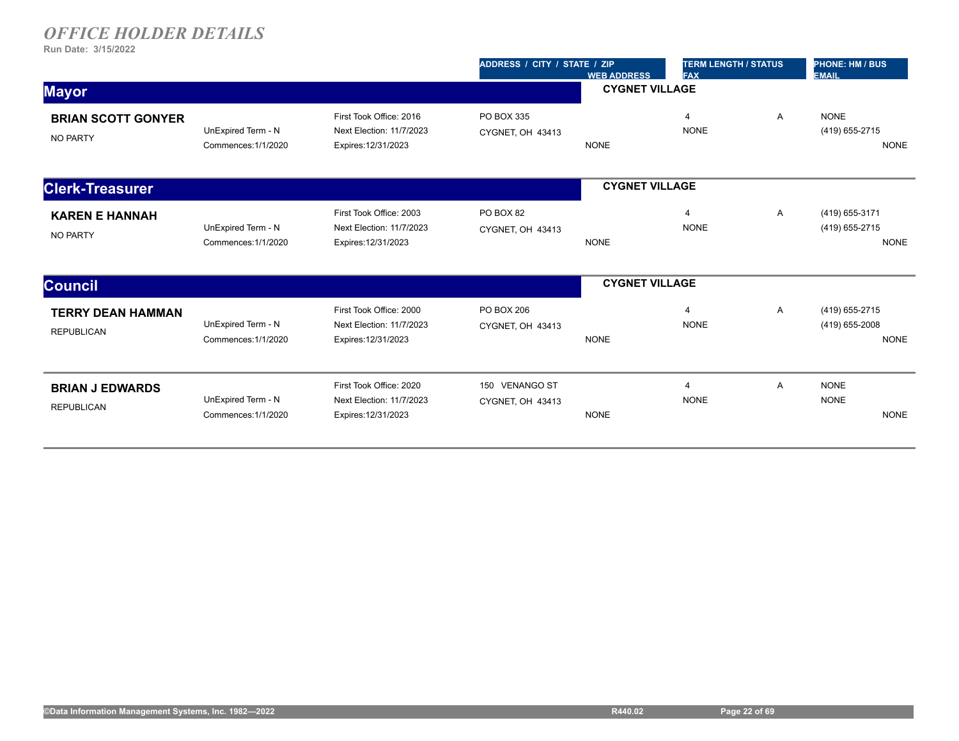|                                               |                                           |                                                                            | ADDRESS / CITY / STATE / ZIP       | <b>WEB ADDRESS</b>    | <b>TERM LENGTH / STATUS</b><br><b>FAX</b> |   | <b>PHONE: HM / BUS</b><br><b>EMAIL</b>          |  |
|-----------------------------------------------|-------------------------------------------|----------------------------------------------------------------------------|------------------------------------|-----------------------|-------------------------------------------|---|-------------------------------------------------|--|
| <b>Mayor</b>                                  |                                           |                                                                            | <b>CYGNET VILLAGE</b>              |                       |                                           |   |                                                 |  |
| <b>BRIAN SCOTT GONYER</b><br><b>NO PARTY</b>  | UnExpired Term - N<br>Commences: 1/1/2020 | First Took Office: 2016<br>Next Election: 11/7/2023<br>Expires: 12/31/2023 | PO BOX 335<br>CYGNET, OH 43413     | <b>NONE</b>           | $\boldsymbol{\varDelta}$<br><b>NONE</b>   | A | <b>NONE</b><br>(419) 655-2715<br><b>NONE</b>    |  |
| <b>Clerk-Treasurer</b>                        |                                           |                                                                            |                                    | <b>CYGNET VILLAGE</b> |                                           |   |                                                 |  |
| <b>KAREN E HANNAH</b><br><b>NO PARTY</b>      | UnExpired Term - N<br>Commences: 1/1/2020 | First Took Office: 2003<br>Next Election: 11/7/2023<br>Expires: 12/31/2023 | PO BOX 82<br>CYGNET, OH 43413      | <b>NONE</b>           | $\overline{4}$<br><b>NONE</b>             | A | (419) 655-3171<br>(419) 655-2715<br><b>NONE</b> |  |
| <b>Council</b>                                |                                           |                                                                            |                                    | <b>CYGNET VILLAGE</b> |                                           |   |                                                 |  |
| <b>TERRY DEAN HAMMAN</b><br><b>REPUBLICAN</b> | UnExpired Term - N<br>Commences: 1/1/2020 | First Took Office: 2000<br>Next Election: 11/7/2023<br>Expires: 12/31/2023 | PO BOX 206<br>CYGNET, OH 43413     | <b>NONE</b>           | $\Delta$<br><b>NONE</b>                   | Α | (419) 655-2715<br>(419) 655-2008<br><b>NONE</b> |  |
| <b>BRIAN J EDWARDS</b><br><b>REPUBLICAN</b>   | UnExpired Term - N<br>Commences: 1/1/2020 | First Took Office: 2020<br>Next Election: 11/7/2023<br>Expires: 12/31/2023 | 150 VENANGO ST<br>CYGNET, OH 43413 | <b>NONE</b>           | $\overline{4}$<br><b>NONE</b>             | A | <b>NONE</b><br><b>NONE</b><br><b>NONE</b>       |  |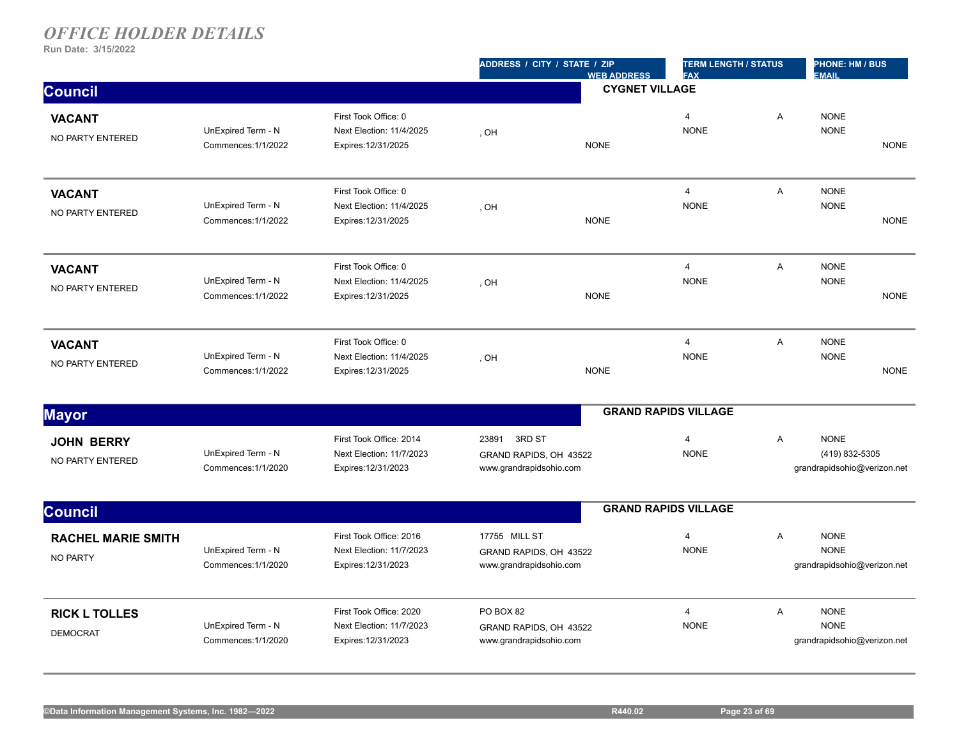|                                         | ADDRESS / CITY / STATE / ZIP<br><b>WEB ADDRESS</b> |                                                                            | <b>TERM LENGTH / STATUS</b><br><b>FAX</b>                          |                       | <b>PHONE: HM / BUS</b><br><b>EMAIL</b> |   |                                                              |             |
|-----------------------------------------|----------------------------------------------------|----------------------------------------------------------------------------|--------------------------------------------------------------------|-----------------------|----------------------------------------|---|--------------------------------------------------------------|-------------|
| <b>Council</b>                          |                                                    |                                                                            |                                                                    | <b>CYGNET VILLAGE</b> |                                        |   |                                                              |             |
| <b>VACANT</b><br>NO PARTY ENTERED       | UnExpired Term - N<br>Commences: 1/1/2022          | First Took Office: 0<br>Next Election: 11/4/2025<br>Expires: 12/31/2025    | , OH                                                               | <b>NONE</b>           | $\overline{4}$<br><b>NONE</b>          | A | <b>NONE</b><br><b>NONE</b>                                   | <b>NONE</b> |
| <b>VACANT</b><br>NO PARTY ENTERED       | UnExpired Term - N<br>Commences: 1/1/2022          | First Took Office: 0<br>Next Election: 11/4/2025<br>Expires: 12/31/2025    | , OH                                                               | <b>NONE</b>           | $\overline{4}$<br><b>NONE</b>          | A | <b>NONE</b><br><b>NONE</b>                                   | <b>NONE</b> |
| <b>VACANT</b><br>NO PARTY ENTERED       | UnExpired Term - N<br>Commences: 1/1/2022          | First Took Office: 0<br>Next Election: 11/4/2025<br>Expires: 12/31/2025    | , OH                                                               | <b>NONE</b>           | $\overline{4}$<br><b>NONE</b>          | A | <b>NONE</b><br><b>NONE</b>                                   | <b>NONE</b> |
| <b>VACANT</b><br>NO PARTY ENTERED       | UnExpired Term - N<br>Commences: 1/1/2022          | First Took Office: 0<br>Next Election: 11/4/2025<br>Expires: 12/31/2025    | , OH                                                               | <b>NONE</b>           | $\overline{4}$<br><b>NONE</b>          | A | <b>NONE</b><br><b>NONE</b>                                   | <b>NONE</b> |
| <b>Mayor</b>                            |                                                    |                                                                            |                                                                    |                       | <b>GRAND RAPIDS VILLAGE</b>            |   |                                                              |             |
| <b>JOHN BERRY</b><br>NO PARTY ENTERED   | UnExpired Term - N<br>Commences: 1/1/2020          | First Took Office: 2014<br>Next Election: 11/7/2023<br>Expires: 12/31/2023 | 23891 3RD ST<br>GRAND RAPIDS, OH 43522<br>www.grandrapidsohio.com  |                       | $\overline{4}$<br><b>NONE</b>          | A | <b>NONE</b><br>(419) 832-5305<br>grandrapidsohio@verizon.net |             |
| <b>Council</b>                          |                                                    |                                                                            |                                                                    |                       | <b>GRAND RAPIDS VILLAGE</b>            |   |                                                              |             |
| <b>RACHEL MARIE SMITH</b><br>NO PARTY   | UnExpired Term - N<br>Commences: 1/1/2020          | First Took Office: 2016<br>Next Election: 11/7/2023<br>Expires: 12/31/2023 | 17755 MILL ST<br>GRAND RAPIDS, OH 43522<br>www.grandrapidsohio.com |                       | $\overline{4}$<br><b>NONE</b>          | A | <b>NONE</b><br><b>NONE</b><br>grandrapidsohio@verizon.net    |             |
| <b>RICK L TOLLES</b><br><b>DEMOCRAT</b> | UnExpired Term - N<br>Commences: 1/1/2020          | First Took Office: 2020<br>Next Election: 11/7/2023<br>Expires: 12/31/2023 | PO BOX 82<br>GRAND RAPIDS, OH 43522<br>www.grandrapidsohio.com     |                       | $\overline{4}$<br><b>NONE</b>          | A | <b>NONE</b><br><b>NONE</b><br>grandrapidsohio@verizon.net    |             |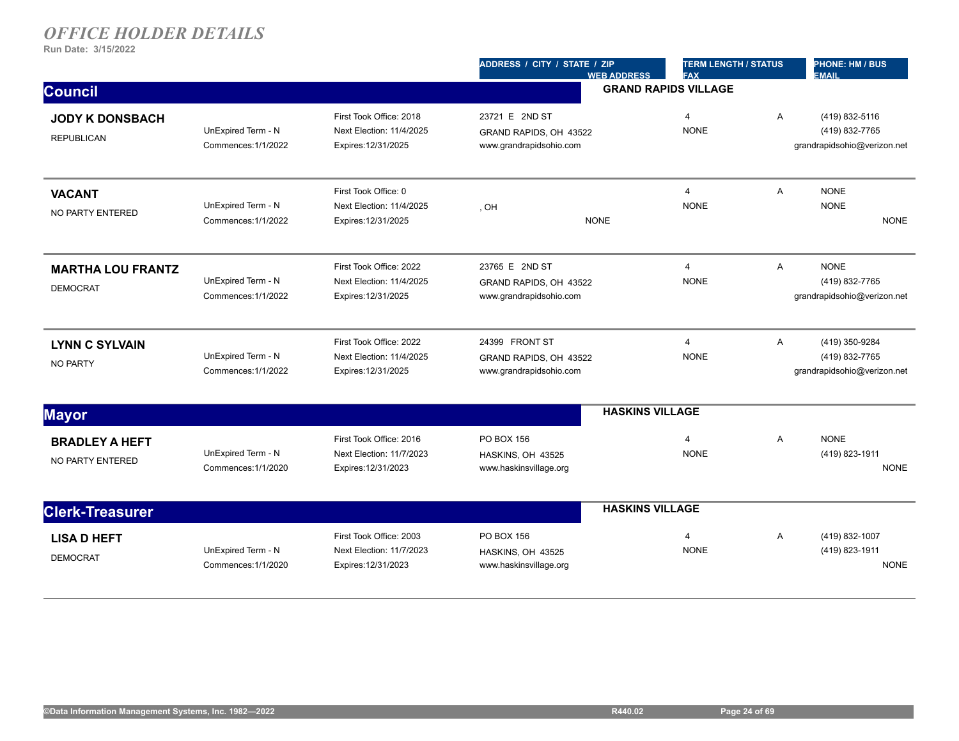|                                             |                                           |                                                                            | ADDRESS / CITY / STATE / ZIP<br><b>WEB ADDRESS</b>                  | <b>TERM LENGTH / STATUS</b><br><b>FAX</b> |                | <b>PHONE: HM / BUS</b><br><b>EMAIL</b>                          |
|---------------------------------------------|-------------------------------------------|----------------------------------------------------------------------------|---------------------------------------------------------------------|-------------------------------------------|----------------|-----------------------------------------------------------------|
| <b>Council</b>                              |                                           |                                                                            |                                                                     | <b>GRAND RAPIDS VILLAGE</b>               |                |                                                                 |
| <b>JODY K DONSBACH</b><br><b>REPUBLICAN</b> | UnExpired Term - N<br>Commences: 1/1/2022 | First Took Office: 2018<br>Next Election: 11/4/2025<br>Expires: 12/31/2025 | 23721 E 2ND ST<br>GRAND RAPIDS, OH 43522<br>www.grandrapidsohio.com | $\overline{4}$<br><b>NONE</b>             | A              | (419) 832-5116<br>(419) 832-7765<br>grandrapidsohio@verizon.net |
| <b>VACANT</b><br><b>NO PARTY ENTERED</b>    | UnExpired Term - N<br>Commences: 1/1/2022 | First Took Office: 0<br>Next Election: 11/4/2025<br>Expires: 12/31/2025    | , OH<br><b>NONE</b>                                                 | $\overline{\mathbf{4}}$<br><b>NONE</b>    | A              | <b>NONE</b><br><b>NONE</b><br><b>NONE</b>                       |
| <b>MARTHA LOU FRANTZ</b><br><b>DEMOCRAT</b> | UnExpired Term - N<br>Commences: 1/1/2022 | First Took Office: 2022<br>Next Election: 11/4/2025<br>Expires: 12/31/2025 | 23765 E 2ND ST<br>GRAND RAPIDS, OH 43522<br>www.grandrapidsohio.com | $\overline{4}$<br><b>NONE</b>             | $\overline{A}$ | <b>NONE</b><br>(419) 832-7765<br>grandrapidsohio@verizon.net    |
| <b>LYNN C SYLVAIN</b><br><b>NO PARTY</b>    | UnExpired Term - N<br>Commences: 1/1/2022 | First Took Office: 2022<br>Next Election: 11/4/2025<br>Expires: 12/31/2025 | 24399 FRONT ST<br>GRAND RAPIDS, OH 43522<br>www.grandrapidsohio.com | $\overline{4}$<br><b>NONE</b>             | A              | (419) 350-9284<br>(419) 832-7765<br>grandrapidsohio@verizon.net |
| <b>Mayor</b>                                |                                           |                                                                            |                                                                     | <b>HASKINS VILLAGE</b>                    |                |                                                                 |
| <b>BRADLEY A HEFT</b><br>NO PARTY ENTERED   | UnExpired Term - N<br>Commences: 1/1/2020 | First Took Office: 2016<br>Next Election: 11/7/2023<br>Expires: 12/31/2023 | PO BOX 156<br>HASKINS, OH 43525<br>www.haskinsvillage.org           | $\overline{4}$<br><b>NONE</b>             | A              | <b>NONE</b><br>(419) 823-1911<br><b>NONE</b>                    |
| <b>Clerk-Treasurer</b>                      |                                           |                                                                            |                                                                     | <b>HASKINS VILLAGE</b>                    |                |                                                                 |
| <b>LISA D HEFT</b><br><b>DEMOCRAT</b>       | UnExpired Term - N<br>Commences: 1/1/2020 | First Took Office: 2003<br>Next Election: 11/7/2023<br>Expires: 12/31/2023 | PO BOX 156<br>HASKINS, OH 43525<br>www.haskinsvillage.org           | 4<br><b>NONE</b>                          | A              | (419) 832-1007<br>(419) 823-1911<br><b>NONE</b>                 |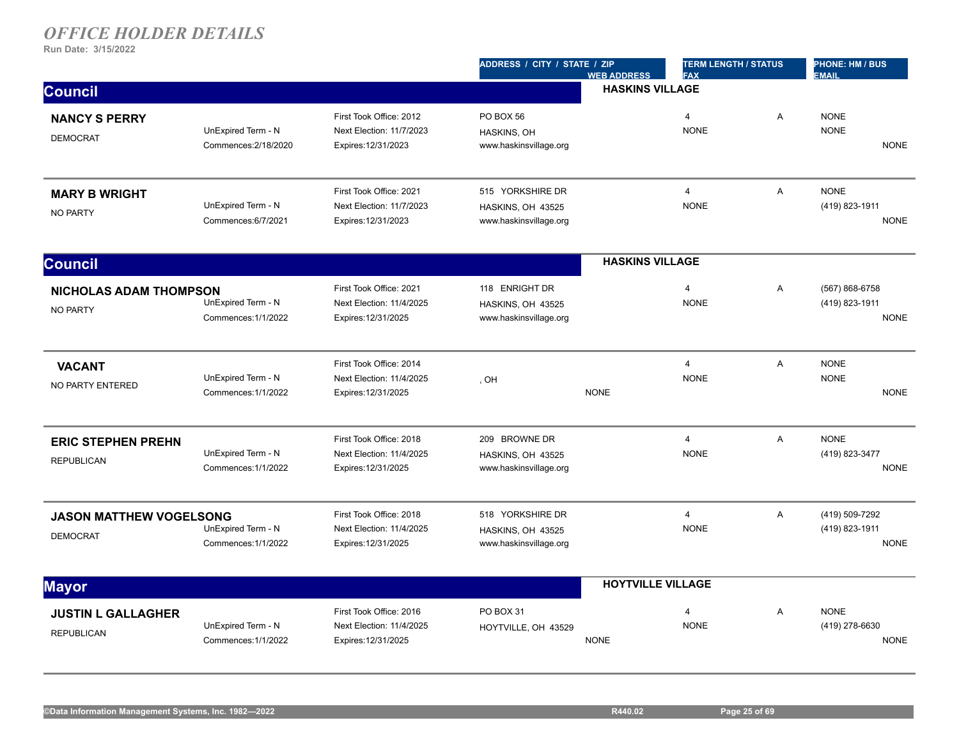|                                                   |                                            |                                                                            | ADDRESS / CITY / STATE / ZIP                                    | <b>WEB ADDRESS</b>       | <b>TERM LENGTH / STATUS</b><br><b>FAX</b> |   | PHONE: HM / BUS<br><b>EMAIL</b>                 |
|---------------------------------------------------|--------------------------------------------|----------------------------------------------------------------------------|-----------------------------------------------------------------|--------------------------|-------------------------------------------|---|-------------------------------------------------|
| <b>Council</b>                                    |                                            |                                                                            |                                                                 | <b>HASKINS VILLAGE</b>   |                                           |   |                                                 |
| <b>NANCY S PERRY</b><br><b>DEMOCRAT</b>           | UnExpired Term - N<br>Commences: 2/18/2020 | First Took Office: 2012<br>Next Election: 11/7/2023<br>Expires: 12/31/2023 | PO BOX 56<br>HASKINS, OH<br>www.haskinsvillage.org              |                          | $\overline{4}$<br><b>NONE</b>             | A | <b>NONE</b><br><b>NONE</b><br><b>NONE</b>       |
| <b>MARY B WRIGHT</b><br><b>NO PARTY</b>           | UnExpired Term - N<br>Commences:6/7/2021   | First Took Office: 2021<br>Next Election: 11/7/2023<br>Expires: 12/31/2023 | 515 YORKSHIRE DR<br>HASKINS, OH 43525<br>www.haskinsvillage.org |                          | $\overline{4}$<br><b>NONE</b>             | A | <b>NONE</b><br>(419) 823-1911<br><b>NONE</b>    |
| <b>Council</b>                                    |                                            |                                                                            |                                                                 | <b>HASKINS VILLAGE</b>   |                                           |   |                                                 |
| <b>NICHOLAS ADAM THOMPSON</b><br>NO PARTY         | UnExpired Term - N<br>Commences: 1/1/2022  | First Took Office: 2021<br>Next Election: 11/4/2025<br>Expires: 12/31/2025 | 118 ENRIGHT DR<br>HASKINS, OH 43525<br>www.haskinsvillage.org   |                          | $\overline{4}$<br><b>NONE</b>             | A | (567) 868-6758<br>(419) 823-1911<br><b>NONE</b> |
| <b>VACANT</b><br>NO PARTY ENTERED                 | UnExpired Term - N<br>Commences: 1/1/2022  | First Took Office: 2014<br>Next Election: 11/4/2025<br>Expires: 12/31/2025 | . OH                                                            | <b>NONE</b>              | $\overline{4}$<br><b>NONE</b>             | A | <b>NONE</b><br><b>NONE</b><br><b>NONE</b>       |
| <b>ERIC STEPHEN PREHN</b><br><b>REPUBLICAN</b>    | UnExpired Term - N<br>Commences: 1/1/2022  | First Took Office: 2018<br>Next Election: 11/4/2025<br>Expires: 12/31/2025 | 209 BROWNE DR<br>HASKINS, OH 43525<br>www.haskinsvillage.org    |                          | $\overline{4}$<br><b>NONE</b>             | A | <b>NONE</b><br>(419) 823-3477<br><b>NONE</b>    |
| <b>JASON MATTHEW VOGELSONG</b><br><b>DEMOCRAT</b> | UnExpired Term - N<br>Commences: 1/1/2022  | First Took Office: 2018<br>Next Election: 11/4/2025<br>Expires: 12/31/2025 | 518 YORKSHIRE DR<br>HASKINS, OH 43525<br>www.haskinsvillage.org |                          | $\overline{4}$<br><b>NONE</b>             | A | (419) 509-7292<br>(419) 823-1911<br><b>NONE</b> |
| <b>Mayor</b>                                      |                                            |                                                                            |                                                                 | <b>HOYTVILLE VILLAGE</b> |                                           |   |                                                 |
| <b>JUSTIN L GALLAGHER</b><br><b>REPUBLICAN</b>    | UnExpired Term - N<br>Commences: 1/1/2022  | First Took Office: 2016<br>Next Election: 11/4/2025<br>Expires: 12/31/2025 | PO BOX 31<br>HOYTVILLE, OH 43529                                | <b>NONE</b>              | $\overline{4}$<br><b>NONE</b>             | A | <b>NONE</b><br>(419) 278-6630<br><b>NONE</b>    |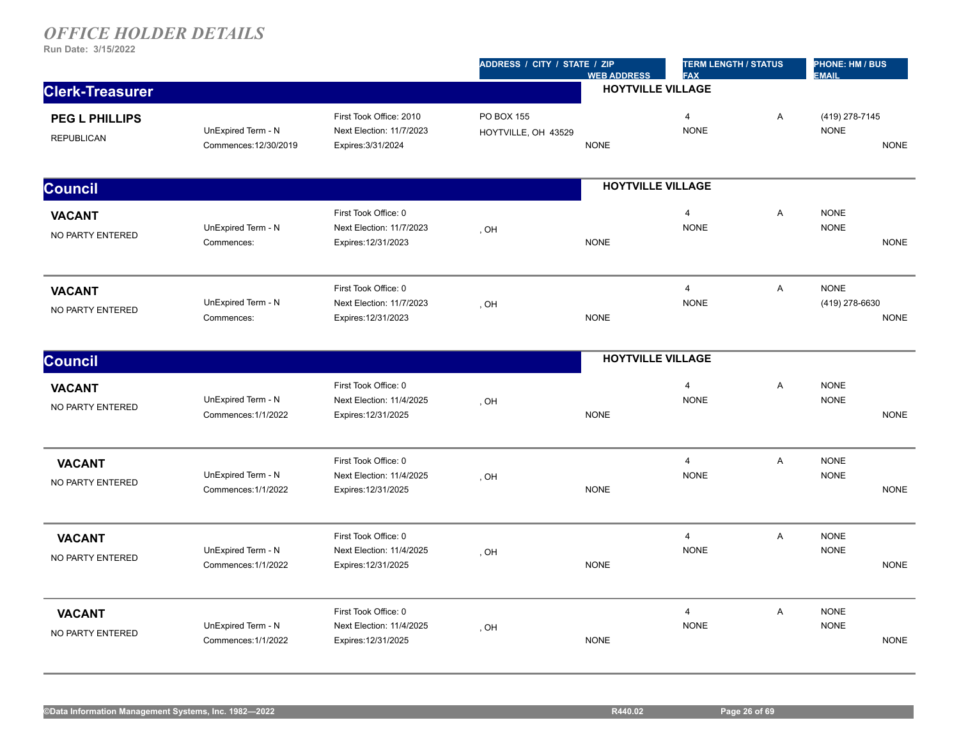|                                            |                                             |                                                                           | ADDRESS / CITY / STATE / ZIP             | <b>TERM LENGTH / STATUS</b><br><b>FAX</b> |                                        | <b>PHONE: HM / BUS</b><br><b>EMAIL</b> |                               |             |
|--------------------------------------------|---------------------------------------------|---------------------------------------------------------------------------|------------------------------------------|-------------------------------------------|----------------------------------------|----------------------------------------|-------------------------------|-------------|
| <b>Clerk-Treasurer</b>                     |                                             |                                                                           |                                          |                                           |                                        |                                        |                               |             |
| <b>PEG L PHILLIPS</b><br><b>REPUBLICAN</b> | UnExpired Term - N<br>Commences: 12/30/2019 | First Took Office: 2010<br>Next Election: 11/7/2023<br>Expires: 3/31/2024 | <b>PO BOX 155</b><br>HOYTVILLE, OH 43529 | <b>NONE</b>                               | $\overline{4}$<br><b>NONE</b>          | A                                      | (419) 278-7145<br><b>NONE</b> | <b>NONE</b> |
| <b>Council</b>                             |                                             |                                                                           |                                          | <b>HOYTVILLE VILLAGE</b>                  |                                        |                                        |                               |             |
| <b>VACANT</b><br>NO PARTY ENTERED          | UnExpired Term - N<br>Commences:            | First Took Office: 0<br>Next Election: 11/7/2023<br>Expires: 12/31/2023   | , OH                                     | <b>NONE</b>                               | $\overline{4}$<br><b>NONE</b>          | A                                      | <b>NONE</b><br><b>NONE</b>    | <b>NONE</b> |
| <b>VACANT</b><br>NO PARTY ENTERED          | UnExpired Term - N<br>Commences:            | First Took Office: 0<br>Next Election: 11/7/2023<br>Expires: 12/31/2023   | , OH                                     | <b>NONE</b>                               | $\overline{4}$<br><b>NONE</b>          | $\overline{A}$                         | <b>NONE</b><br>(419) 278-6630 | <b>NONE</b> |
| <b>Council</b>                             |                                             |                                                                           |                                          | <b>HOYTVILLE VILLAGE</b>                  |                                        |                                        |                               |             |
| <b>VACANT</b><br>NO PARTY ENTERED          | UnExpired Term - N<br>Commences: 1/1/2022   | First Took Office: 0<br>Next Election: 11/4/2025<br>Expires: 12/31/2025   | , OH                                     | <b>NONE</b>                               | $\overline{\mathbf{4}}$<br><b>NONE</b> | Α                                      | <b>NONE</b><br><b>NONE</b>    | <b>NONE</b> |
| <b>VACANT</b><br>NO PARTY ENTERED          | UnExpired Term - N<br>Commences: 1/1/2022   | First Took Office: 0<br>Next Election: 11/4/2025<br>Expires: 12/31/2025   | , OH                                     | <b>NONE</b>                               | $\overline{4}$<br><b>NONE</b>          | A                                      | <b>NONE</b><br><b>NONE</b>    | <b>NONE</b> |
| <b>VACANT</b><br>NO PARTY ENTERED          | UnExpired Term - N<br>Commences: 1/1/2022   | First Took Office: 0<br>Next Election: 11/4/2025<br>Expires: 12/31/2025   | , OH                                     | <b>NONE</b>                               | $\overline{4}$<br><b>NONE</b>          | $\overline{A}$                         | <b>NONE</b><br><b>NONE</b>    | <b>NONE</b> |
| <b>VACANT</b><br>NO PARTY ENTERED          | UnExpired Term - N<br>Commences: 1/1/2022   | First Took Office: 0<br>Next Election: 11/4/2025<br>Expires: 12/31/2025   | , OH                                     | <b>NONE</b>                               | $\overline{4}$<br><b>NONE</b>          | A                                      | <b>NONE</b><br><b>NONE</b>    | <b>NONE</b> |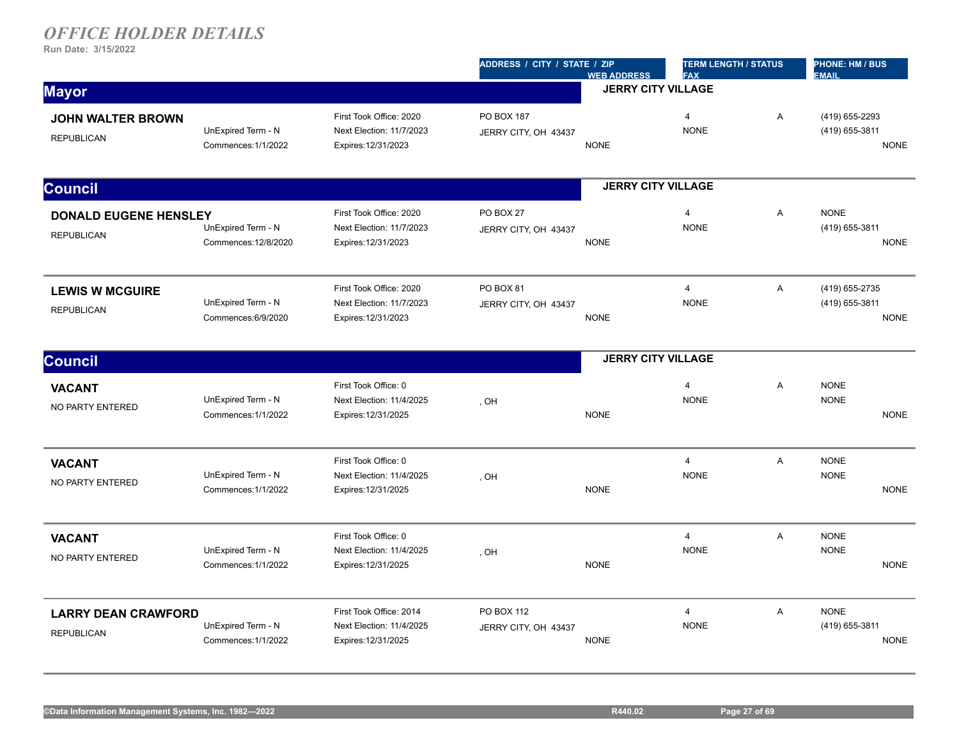|                                                   |                                            |                                                                            | ADDRESS / CITY / STATE / ZIP       | <b>WEB ADDRESS</b>        | <b>TERM LENGTH / STATUS</b><br><b>FAX</b> |   | <b>PHONE: HM / BUS</b><br><b>EMAIL</b>          |
|---------------------------------------------------|--------------------------------------------|----------------------------------------------------------------------------|------------------------------------|---------------------------|-------------------------------------------|---|-------------------------------------------------|
| <b>Mayor</b>                                      |                                            |                                                                            |                                    | <b>JERRY CITY VILLAGE</b> |                                           |   |                                                 |
| <b>JOHN WALTER BROWN</b><br><b>REPUBLICAN</b>     | UnExpired Term - N<br>Commences: 1/1/2022  | First Took Office: 2020<br>Next Election: 11/7/2023<br>Expires: 12/31/2023 | PO BOX 187<br>JERRY CITY, OH 43437 | <b>NONE</b>               | $\overline{4}$<br><b>NONE</b>             | A | (419) 655-2293<br>(419) 655-3811<br><b>NONE</b> |
| <b>Council</b>                                    |                                            |                                                                            |                                    | <b>JERRY CITY VILLAGE</b> |                                           |   |                                                 |
| <b>DONALD EUGENE HENSLEY</b><br><b>REPUBLICAN</b> | UnExpired Term - N<br>Commences: 12/8/2020 | First Took Office: 2020<br>Next Election: 11/7/2023<br>Expires: 12/31/2023 | PO BOX 27<br>JERRY CITY, OH 43437  | <b>NONE</b>               | $\overline{4}$<br><b>NONE</b>             | A | <b>NONE</b><br>(419) 655-3811<br><b>NONE</b>    |
| <b>LEWIS W MCGUIRE</b><br><b>REPUBLICAN</b>       | UnExpired Term - N<br>Commences: 6/9/2020  | First Took Office: 2020<br>Next Election: 11/7/2023<br>Expires: 12/31/2023 | PO BOX 81<br>JERRY CITY, OH 43437  | <b>NONE</b>               | $\overline{4}$<br><b>NONE</b>             | A | (419) 655-2735<br>(419) 655-3811<br><b>NONE</b> |
| <b>Council</b>                                    |                                            |                                                                            |                                    | <b>JERRY CITY VILLAGE</b> |                                           |   |                                                 |
| <b>VACANT</b><br>NO PARTY ENTERED                 | UnExpired Term - N<br>Commences: 1/1/2022  | First Took Office: 0<br>Next Election: 11/4/2025<br>Expires: 12/31/2025    | , OH                               | <b>NONE</b>               | $\overline{4}$<br><b>NONE</b>             | A | <b>NONE</b><br><b>NONE</b><br><b>NONE</b>       |
| <b>VACANT</b><br>NO PARTY ENTERED                 | UnExpired Term - N<br>Commences: 1/1/2022  | First Took Office: 0<br>Next Election: 11/4/2025<br>Expires: 12/31/2025    | , OH                               | <b>NONE</b>               | $\overline{4}$<br><b>NONE</b>             | A | <b>NONE</b><br><b>NONE</b><br><b>NONE</b>       |
| <b>VACANT</b><br>NO PARTY ENTERED                 | UnExpired Term - N<br>Commences: 1/1/2022  | First Took Office: 0<br>Next Election: 11/4/2025<br>Expires: 12/31/2025    | , OH                               | <b>NONE</b>               | $\overline{4}$<br><b>NONE</b>             | A | <b>NONE</b><br><b>NONE</b><br><b>NONE</b>       |
| <b>LARRY DEAN CRAWFORD</b><br><b>REPUBLICAN</b>   | UnExpired Term - N<br>Commences: 1/1/2022  | First Took Office: 2014<br>Next Election: 11/4/2025<br>Expires: 12/31/2025 | PO BOX 112<br>JERRY CITY, OH 43437 | <b>NONE</b>               | $\overline{4}$<br><b>NONE</b>             | A | <b>NONE</b><br>(419) 655-3811<br><b>NONE</b>    |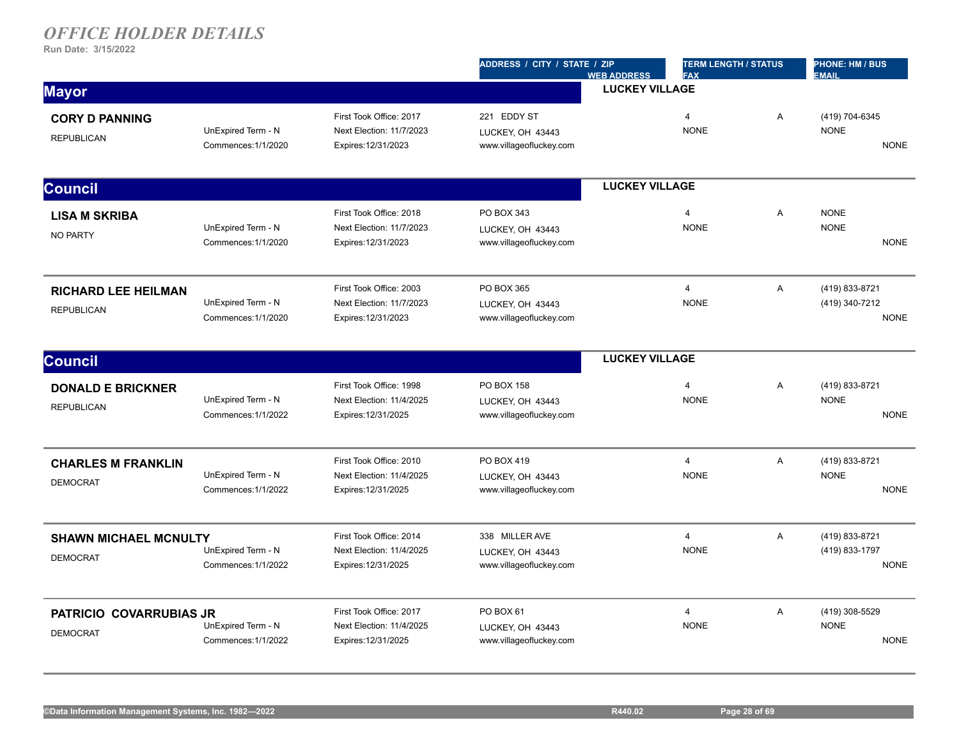|                                                   |                                           |                                                                            | ADDRESS / CITY / STATE / ZIP                                  | <b>WEB ADDRESS</b>    | <b>TERM LENGTH / STATUS</b><br><b>FAX</b> |   | <b>PHONE: HM / BUS</b><br><b>EMAIL</b>          |  |
|---------------------------------------------------|-------------------------------------------|----------------------------------------------------------------------------|---------------------------------------------------------------|-----------------------|-------------------------------------------|---|-------------------------------------------------|--|
| <b>Mayor</b>                                      |                                           |                                                                            |                                                               | <b>LUCKEY VILLAGE</b> |                                           |   |                                                 |  |
| <b>CORY D PANNING</b><br><b>REPUBLICAN</b>        | UnExpired Term - N<br>Commences: 1/1/2020 | First Took Office: 2017<br>Next Election: 11/7/2023<br>Expires: 12/31/2023 | 221 EDDY ST<br>LUCKEY, OH 43443<br>www.villageofluckey.com    |                       | $\overline{4}$<br><b>NONE</b>             | A | (419) 704-6345<br><b>NONE</b><br><b>NONE</b>    |  |
| <b>Council</b>                                    |                                           |                                                                            |                                                               | <b>LUCKEY VILLAGE</b> |                                           |   |                                                 |  |
| <b>LISA M SKRIBA</b><br><b>NO PARTY</b>           | UnExpired Term - N<br>Commences: 1/1/2020 | First Took Office: 2018<br>Next Election: 11/7/2023<br>Expires: 12/31/2023 | PO BOX 343<br>LUCKEY, OH 43443<br>www.villageofluckey.com     |                       | $\overline{4}$<br><b>NONE</b>             | A | <b>NONE</b><br><b>NONE</b><br><b>NONE</b>       |  |
| <b>RICHARD LEE HEILMAN</b><br><b>REPUBLICAN</b>   | UnExpired Term - N<br>Commences: 1/1/2020 | First Took Office: 2003<br>Next Election: 11/7/2023<br>Expires: 12/31/2023 | PO BOX 365<br>LUCKEY, OH 43443<br>www.villageofluckey.com     |                       | $\overline{4}$<br><b>NONE</b>             | A | (419) 833-8721<br>(419) 340-7212<br><b>NONE</b> |  |
| <b>Council</b>                                    |                                           |                                                                            |                                                               | <b>LUCKEY VILLAGE</b> |                                           |   |                                                 |  |
| <b>DONALD E BRICKNER</b><br><b>REPUBLICAN</b>     | UnExpired Term - N<br>Commences: 1/1/2022 | First Took Office: 1998<br>Next Election: 11/4/2025<br>Expires: 12/31/2025 | PO BOX 158<br>LUCKEY, OH 43443<br>www.villageofluckey.com     |                       | 4<br><b>NONE</b>                          | A | (419) 833-8721<br><b>NONE</b><br><b>NONE</b>    |  |
| <b>CHARLES M FRANKLIN</b><br><b>DEMOCRAT</b>      | UnExpired Term - N<br>Commences: 1/1/2022 | First Took Office: 2010<br>Next Election: 11/4/2025<br>Expires: 12/31/2025 | PO BOX 419<br>LUCKEY, OH 43443<br>www.villageofluckey.com     |                       | $\overline{4}$<br><b>NONE</b>             | A | (419) 833-8721<br><b>NONE</b><br><b>NONE</b>    |  |
| <b>SHAWN MICHAEL MCNULTY</b><br><b>DEMOCRAT</b>   | UnExpired Term - N<br>Commences: 1/1/2022 | First Took Office: 2014<br>Next Election: 11/4/2025<br>Expires: 12/31/2025 | 338 MILLER AVE<br>LUCKEY, OH 43443<br>www.villageofluckey.com |                       | $\overline{4}$<br><b>NONE</b>             | A | (419) 833-8721<br>(419) 833-1797<br><b>NONE</b> |  |
| <b>PATRICIO COVARRUBIAS JR</b><br><b>DEMOCRAT</b> | UnExpired Term - N<br>Commences: 1/1/2022 | First Took Office: 2017<br>Next Election: 11/4/2025<br>Expires: 12/31/2025 | PO BOX 61<br>LUCKEY, OH 43443<br>www.villageofluckey.com      |                       | $\overline{4}$<br><b>NONE</b>             | A | (419) 308-5529<br><b>NONE</b><br><b>NONE</b>    |  |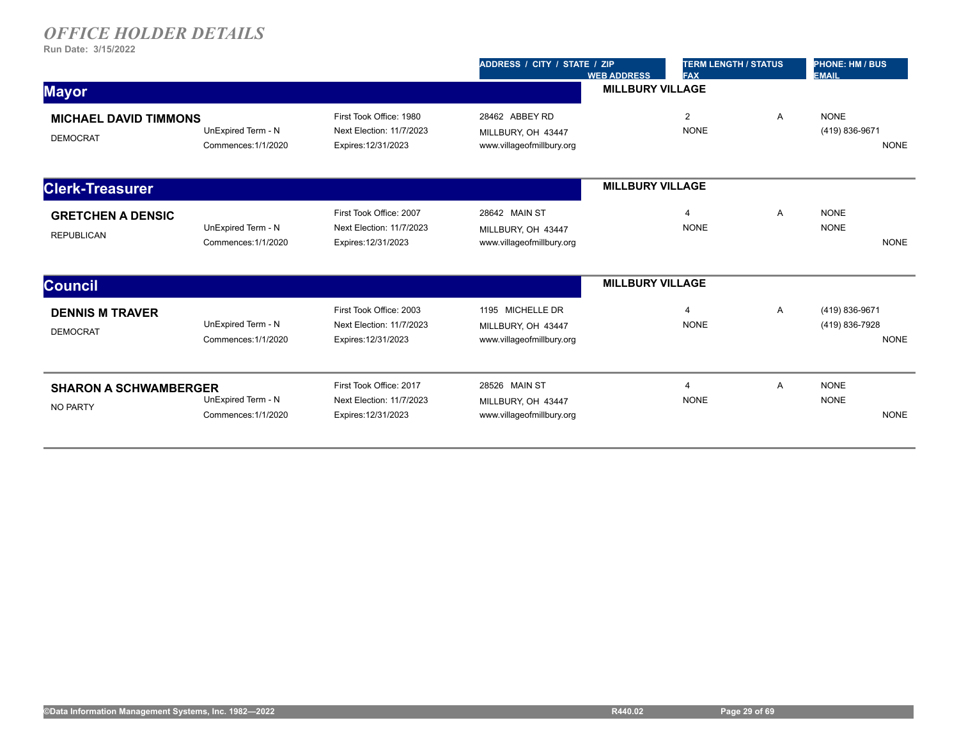|                                                 |                                           |                                                                            | ADDRESS / CITY / STATE / ZIP                                        | <b>WEB ADDRESS</b>      | <b>TERM LENGTH / STATUS</b><br><b>FAX</b> |   | <b>PHONE: HM / BUS</b><br><b>EMAIL</b> |             |
|-------------------------------------------------|-------------------------------------------|----------------------------------------------------------------------------|---------------------------------------------------------------------|-------------------------|-------------------------------------------|---|----------------------------------------|-------------|
| <b>Mayor</b>                                    |                                           |                                                                            |                                                                     | <b>MILLBURY VILLAGE</b> |                                           |   |                                        |             |
| <b>MICHAEL DAVID TIMMONS</b><br><b>DEMOCRAT</b> | UnExpired Term - N<br>Commences: 1/1/2020 | First Took Office: 1980<br>Next Election: 11/7/2023<br>Expires: 12/31/2023 | 28462 ABBEY RD<br>MILLBURY, OH 43447<br>www.villageofmillbury.org   |                         | 2<br><b>NONE</b>                          | Α | <b>NONE</b><br>(419) 836-9671          | <b>NONE</b> |
| <b>Clerk-Treasurer</b>                          |                                           |                                                                            |                                                                     | <b>MILLBURY VILLAGE</b> |                                           |   |                                        |             |
| <b>GRETCHEN A DENSIC</b><br><b>REPUBLICAN</b>   | UnExpired Term - N<br>Commences: 1/1/2020 | First Took Office: 2007<br>Next Election: 11/7/2023<br>Expires: 12/31/2023 | 28642 MAIN ST<br>MILLBURY, OH 43447<br>www.villageofmillbury.org    |                         | $\overline{4}$<br><b>NONE</b>             | A | <b>NONE</b><br><b>NONE</b>             | <b>NONE</b> |
| <b>Council</b>                                  |                                           |                                                                            |                                                                     | <b>MILLBURY VILLAGE</b> |                                           |   |                                        |             |
| <b>DENNIS M TRAVER</b><br><b>DEMOCRAT</b>       | UnExpired Term - N<br>Commences: 1/1/2020 | First Took Office: 2003<br>Next Election: 11/7/2023<br>Expires: 12/31/2023 | 1195 MICHELLE DR<br>MILLBURY, OH 43447<br>www.villageofmillbury.org |                         | $\overline{4}$<br><b>NONE</b>             | Α | (419) 836-9671<br>(419) 836-7928       | <b>NONE</b> |
| <b>SHARON A SCHWAMBERGER</b><br>NO PARTY        | UnExpired Term - N<br>Commences: 1/1/2020 | First Took Office: 2017<br>Next Election: 11/7/2023<br>Expires: 12/31/2023 | 28526 MAIN ST<br>MILLBURY, OH 43447<br>www.villageofmillbury.org    |                         | $\overline{4}$<br><b>NONE</b>             | A | <b>NONE</b><br><b>NONE</b>             | <b>NONE</b> |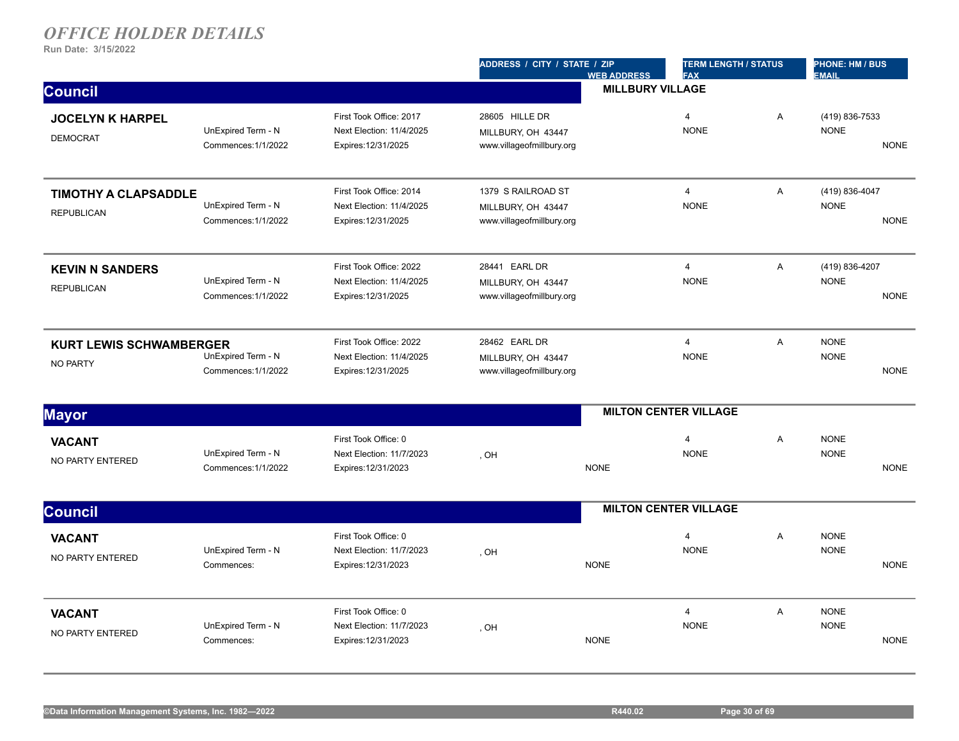|                                                  |                                           |                                                                            | ADDRESS / CITY / STATE / ZIP                                          | <b>WEB ADDRESS</b>      | <b>TERM LENGTH / STATUS</b><br><b>FAX</b> |   | <b>PHONE: HM / BUS</b><br><b>EMAIL</b> |             |
|--------------------------------------------------|-------------------------------------------|----------------------------------------------------------------------------|-----------------------------------------------------------------------|-------------------------|-------------------------------------------|---|----------------------------------------|-------------|
| <b>Council</b>                                   |                                           |                                                                            |                                                                       | <b>MILLBURY VILLAGE</b> |                                           |   |                                        |             |
| <b>JOCELYN K HARPEL</b><br><b>DEMOCRAT</b>       | UnExpired Term - N<br>Commences: 1/1/2022 | First Took Office: 2017<br>Next Election: 11/4/2025<br>Expires: 12/31/2025 | 28605 HILLE DR<br>MILLBURY, OH 43447<br>www.villageofmillbury.org     |                         | $\overline{4}$<br><b>NONE</b>             | A | (419) 836-7533<br><b>NONE</b>          | <b>NONE</b> |
| <b>TIMOTHY A CLAPSADDLE</b><br><b>REPUBLICAN</b> | UnExpired Term - N<br>Commences: 1/1/2022 | First Took Office: 2014<br>Next Election: 11/4/2025<br>Expires: 12/31/2025 | 1379 S RAILROAD ST<br>MILLBURY, OH 43447<br>www.villageofmillbury.org |                         | $\overline{4}$<br><b>NONE</b>             | A | (419) 836-4047<br><b>NONE</b>          | <b>NONE</b> |
| <b>KEVIN N SANDERS</b><br><b>REPUBLICAN</b>      | UnExpired Term - N<br>Commences: 1/1/2022 | First Took Office: 2022<br>Next Election: 11/4/2025<br>Expires: 12/31/2025 | 28441 EARL DR<br>MILLBURY, OH 43447<br>www.villageofmillbury.org      |                         | $\overline{4}$<br><b>NONE</b>             | A | (419) 836-4207<br><b>NONE</b>          | <b>NONE</b> |
| <b>KURT LEWIS SCHWAMBERGER</b><br>NO PARTY       | UnExpired Term - N<br>Commences: 1/1/2022 | First Took Office: 2022<br>Next Election: 11/4/2025<br>Expires: 12/31/2025 | 28462 EARL DR<br>MILLBURY, OH 43447<br>www.villageofmillbury.org      |                         | $\overline{4}$<br><b>NONE</b>             | A | <b>NONE</b><br><b>NONE</b>             | <b>NONE</b> |
| <b>Mayor</b>                                     |                                           |                                                                            |                                                                       |                         | <b>MILTON CENTER VILLAGE</b>              |   |                                        |             |
| <b>VACANT</b><br>NO PARTY ENTERED                | UnExpired Term - N<br>Commences: 1/1/2022 | First Took Office: 0<br>Next Election: 11/7/2023<br>Expires: 12/31/2023    | , OH                                                                  | <b>NONE</b>             | $\overline{4}$<br><b>NONE</b>             | A | <b>NONE</b><br><b>NONE</b>             | <b>NONE</b> |
| <b>Council</b>                                   |                                           |                                                                            |                                                                       |                         | <b>MILTON CENTER VILLAGE</b>              |   |                                        |             |
| <b>VACANT</b><br>NO PARTY ENTERED                | UnExpired Term - N<br>Commences:          | First Took Office: 0<br>Next Election: 11/7/2023<br>Expires: 12/31/2023    | , OH                                                                  | <b>NONE</b>             | $\overline{4}$<br><b>NONE</b>             | A | <b>NONE</b><br><b>NONE</b>             | <b>NONE</b> |
| <b>VACANT</b><br>NO PARTY ENTERED                | UnExpired Term - N<br>Commences:          | First Took Office: 0<br>Next Election: 11/7/2023<br>Expires: 12/31/2023    | , OH                                                                  | <b>NONE</b>             | $\overline{4}$<br><b>NONE</b>             | A | <b>NONE</b><br><b>NONE</b>             | <b>NONE</b> |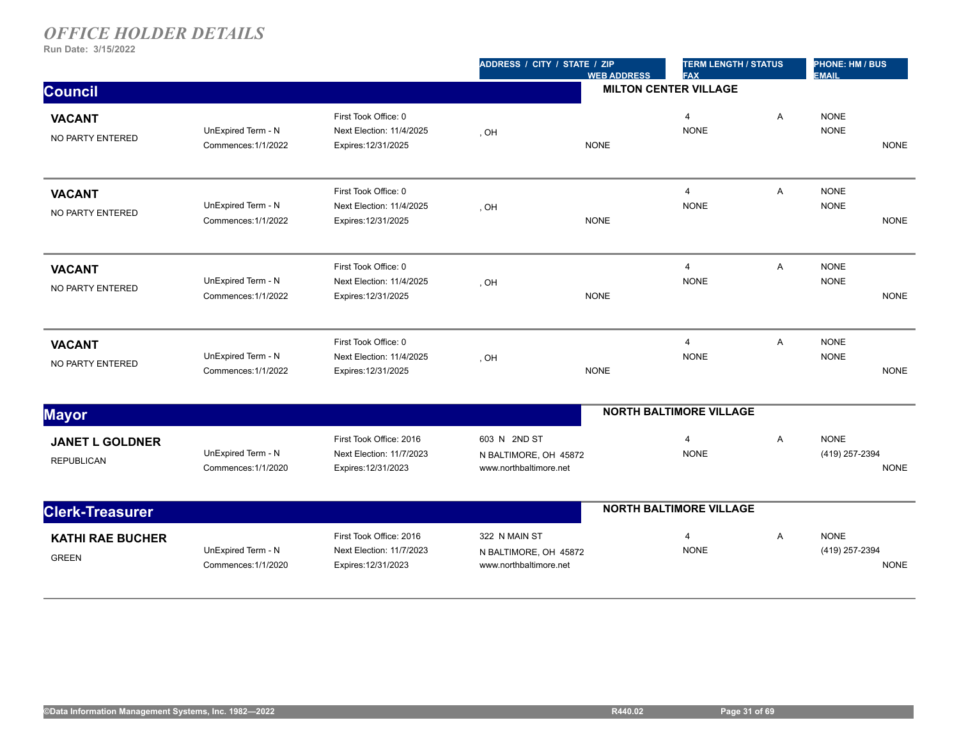|                                             |                                           |                                                                            | ADDRESS / CITY / STATE / ZIP                                     | <b>WEB ADDRESS</b> | <b>TERM LENGTH / STATUS</b><br><b>FAX</b> |   | <b>PHONE: HM / BUS</b><br><b>EMAIL</b> |             |
|---------------------------------------------|-------------------------------------------|----------------------------------------------------------------------------|------------------------------------------------------------------|--------------------|-------------------------------------------|---|----------------------------------------|-------------|
| <b>Council</b>                              |                                           |                                                                            |                                                                  |                    | <b>MILTON CENTER VILLAGE</b>              |   |                                        |             |
| <b>VACANT</b><br>NO PARTY ENTERED           | UnExpired Term - N<br>Commences: 1/1/2022 | First Took Office: 0<br>Next Election: 11/4/2025<br>Expires: 12/31/2025    | , OH                                                             | <b>NONE</b>        | 4<br><b>NONE</b>                          | A | <b>NONE</b><br><b>NONE</b>             | <b>NONE</b> |
| <b>VACANT</b><br>NO PARTY ENTERED           | UnExpired Term - N<br>Commences: 1/1/2022 | First Took Office: 0<br>Next Election: 11/4/2025<br>Expires: 12/31/2025    | , OH                                                             | <b>NONE</b>        | 4<br><b>NONE</b>                          | A | <b>NONE</b><br><b>NONE</b>             | <b>NONE</b> |
| <b>VACANT</b><br>NO PARTY ENTERED           | UnExpired Term - N<br>Commences: 1/1/2022 | First Took Office: 0<br>Next Election: 11/4/2025<br>Expires: 12/31/2025    | , OH                                                             | <b>NONE</b>        | $\overline{4}$<br><b>NONE</b>             | A | <b>NONE</b><br><b>NONE</b>             | <b>NONE</b> |
| <b>VACANT</b><br>NO PARTY ENTERED           | UnExpired Term - N<br>Commences: 1/1/2022 | First Took Office: 0<br>Next Election: 11/4/2025<br>Expires: 12/31/2025    | , OH                                                             | <b>NONE</b>        | $\overline{4}$<br><b>NONE</b>             | A | <b>NONE</b><br><b>NONE</b>             | <b>NONE</b> |
| <b>Mayor</b>                                |                                           |                                                                            |                                                                  |                    | <b>NORTH BALTIMORE VILLAGE</b>            |   |                                        |             |
| <b>JANET L GOLDNER</b><br><b>REPUBLICAN</b> | UnExpired Term - N<br>Commences: 1/1/2020 | First Took Office: 2016<br>Next Election: 11/7/2023<br>Expires: 12/31/2023 | 603 N 2ND ST<br>N BALTIMORE, OH 45872<br>www.northbaltimore.net  |                    | 4<br><b>NONE</b>                          | A | <b>NONE</b><br>(419) 257-2394          | <b>NONE</b> |
| <b>Clerk-Treasurer</b>                      |                                           |                                                                            |                                                                  |                    | <b>NORTH BALTIMORE VILLAGE</b>            |   |                                        |             |
| <b>KATHI RAE BUCHER</b><br><b>GREEN</b>     | UnExpired Term - N<br>Commences: 1/1/2020 | First Took Office: 2016<br>Next Election: 11/7/2023<br>Expires: 12/31/2023 | 322 N MAIN ST<br>N BALTIMORE, OH 45872<br>www.northbaltimore.net |                    | $\overline{4}$<br><b>NONE</b>             | A | <b>NONE</b><br>(419) 257-2394          | <b>NONE</b> |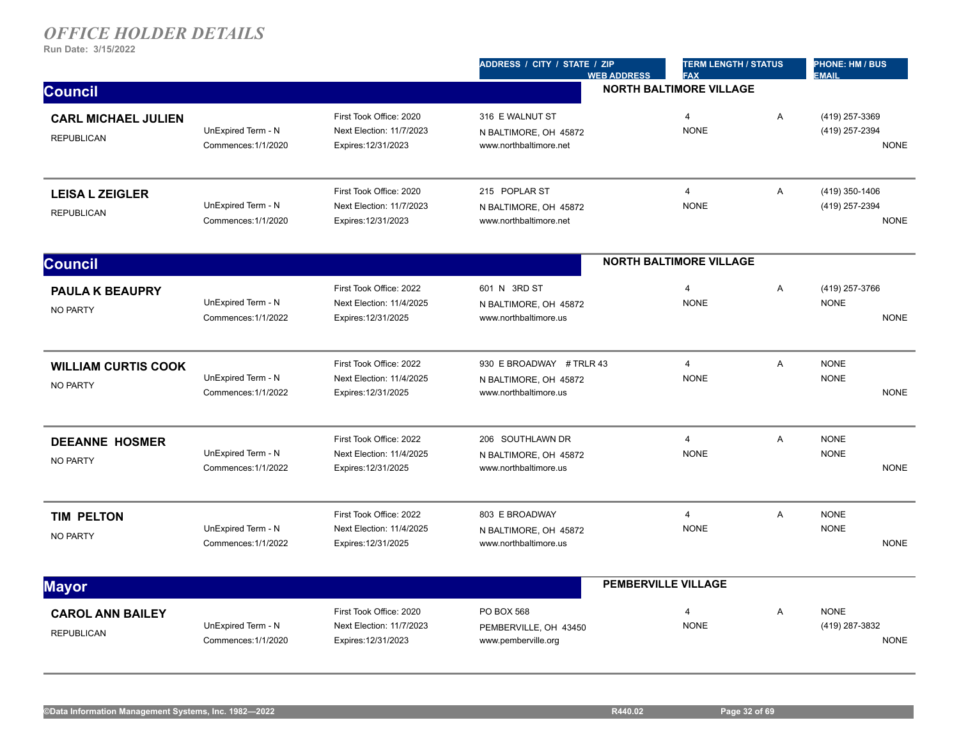|                                                 |                                           |                                                                            | ADDRESS / CITY / STATE / ZIP<br><b>WEB ADDRESS</b>                         | <b>TERM LENGTH / STATUS</b><br><b>FAX</b> |                | <b>PHONE: HM / BUS</b><br><b>EMAIL</b>          |
|-------------------------------------------------|-------------------------------------------|----------------------------------------------------------------------------|----------------------------------------------------------------------------|-------------------------------------------|----------------|-------------------------------------------------|
| <b>Council</b>                                  |                                           |                                                                            |                                                                            | <b>NORTH BALTIMORE VILLAGE</b>            |                |                                                 |
| <b>CARL MICHAEL JULIEN</b><br><b>REPUBLICAN</b> | UnExpired Term - N<br>Commences: 1/1/2020 | First Took Office: 2020<br>Next Election: 11/7/2023<br>Expires: 12/31/2023 | 316 E WALNUT ST<br>N BALTIMORE, OH 45872<br>www.northbaltimore.net         | $\overline{4}$<br><b>NONE</b>             | $\overline{A}$ | (419) 257-3369<br>(419) 257-2394<br><b>NONE</b> |
| <b>LEISA L ZEIGLER</b><br><b>REPUBLICAN</b>     | UnExpired Term - N<br>Commences: 1/1/2020 | First Took Office: 2020<br>Next Election: 11/7/2023<br>Expires: 12/31/2023 | 215 POPLAR ST<br>N BALTIMORE, OH 45872<br>www.northbaltimore.net           | $\overline{4}$<br><b>NONE</b>             | A              | (419) 350-1406<br>(419) 257-2394<br><b>NONE</b> |
| <b>Council</b>                                  |                                           |                                                                            |                                                                            | <b>NORTH BALTIMORE VILLAGE</b>            |                |                                                 |
| <b>PAULA K BEAUPRY</b><br><b>NO PARTY</b>       | UnExpired Term - N<br>Commences: 1/1/2022 | First Took Office: 2022<br>Next Election: 11/4/2025<br>Expires: 12/31/2025 | 601 N 3RD ST<br>N BALTIMORE, OH 45872<br>www.northbaltimore.us             | $\overline{4}$<br><b>NONE</b>             | A              | (419) 257-3766<br><b>NONE</b><br><b>NONE</b>    |
| <b>WILLIAM CURTIS COOK</b><br><b>NO PARTY</b>   | UnExpired Term - N<br>Commences: 1/1/2022 | First Took Office: 2022<br>Next Election: 11/4/2025<br>Expires: 12/31/2025 | 930 E BROADWAY # TRLR 43<br>N BALTIMORE, OH 45872<br>www.northbaltimore.us | $\overline{4}$<br><b>NONE</b>             | A              | <b>NONE</b><br><b>NONE</b><br><b>NONE</b>       |
| <b>DEEANNE HOSMER</b><br><b>NO PARTY</b>        | UnExpired Term - N<br>Commences: 1/1/2022 | First Took Office: 2022<br>Next Election: 11/4/2025<br>Expires: 12/31/2025 | 206 SOUTHLAWN DR<br>N BALTIMORE, OH 45872<br>www.northbaltimore.us         | $\overline{4}$<br><b>NONE</b>             | A              | <b>NONE</b><br><b>NONE</b><br><b>NONE</b>       |
| <b>TIM PELTON</b><br><b>NO PARTY</b>            | UnExpired Term - N<br>Commences: 1/1/2022 | First Took Office: 2022<br>Next Election: 11/4/2025<br>Expires: 12/31/2025 | 803 E BROADWAY<br>N BALTIMORE, OH 45872<br>www.northbaltimore.us           | $\overline{4}$<br><b>NONE</b>             | A              | <b>NONE</b><br><b>NONE</b><br><b>NONE</b>       |
| <b>Mayor</b>                                    |                                           |                                                                            |                                                                            | <b>PEMBERVILLE VILLAGE</b>                |                |                                                 |
| <b>CAROL ANN BAILEY</b><br><b>REPUBLICAN</b>    | UnExpired Term - N<br>Commences: 1/1/2020 | First Took Office: 2020<br>Next Election: 11/7/2023<br>Expires: 12/31/2023 | PO BOX 568<br>PEMBERVILLE, OH 43450<br>www.pemberville.org                 | $\overline{4}$<br><b>NONE</b>             | A              | <b>NONE</b><br>(419) 287-3832<br><b>NONE</b>    |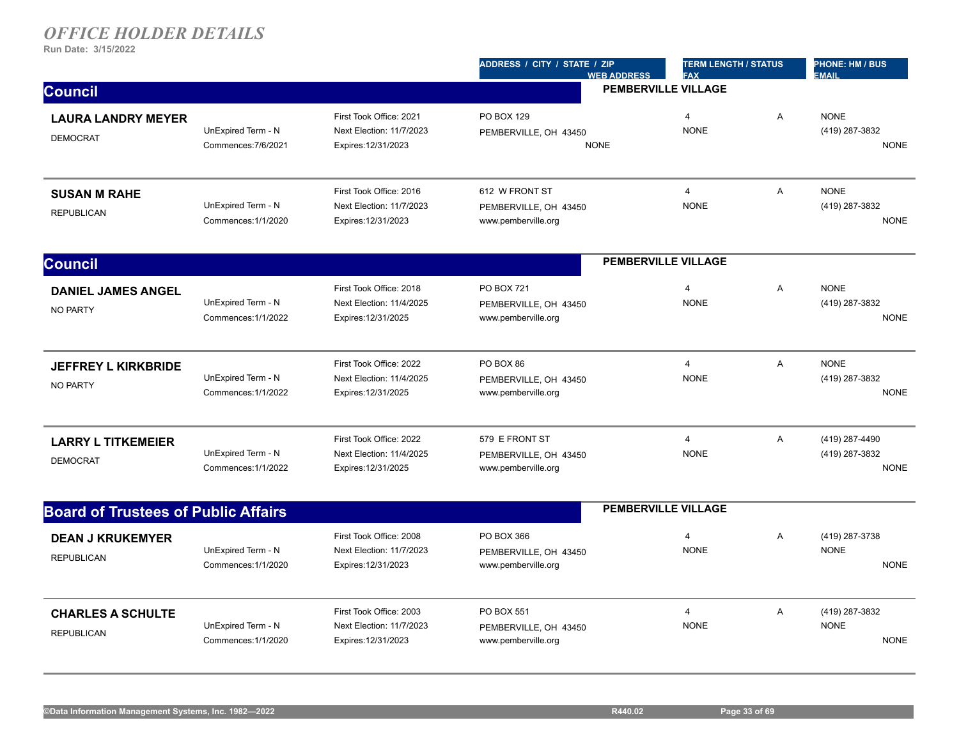|                                               |                                           |                                                                            | ADDRESS / CITY / STATE / ZIP<br><b>WEB ADDRESS</b>                | <b>TERM LENGTH / STATUS</b><br><b>FAX</b> |   | <b>PHONE: HM / BUS</b><br><b>EMAIL</b>          |
|-----------------------------------------------|-------------------------------------------|----------------------------------------------------------------------------|-------------------------------------------------------------------|-------------------------------------------|---|-------------------------------------------------|
| <b>Council</b>                                |                                           |                                                                            |                                                                   | <b>PEMBERVILLE VILLAGE</b>                |   |                                                 |
| <b>LAURA LANDRY MEYER</b><br><b>DEMOCRAT</b>  | UnExpired Term - N<br>Commences: 7/6/2021 | First Took Office: 2021<br>Next Election: 11/7/2023<br>Expires: 12/31/2023 | PO BOX 129<br>PEMBERVILLE, OH 43450<br><b>NONE</b>                | $\overline{4}$<br><b>NONE</b>             | A | <b>NONE</b><br>(419) 287-3832<br><b>NONE</b>    |
| <b>SUSAN M RAHE</b><br><b>REPUBLICAN</b>      | UnExpired Term - N<br>Commences: 1/1/2020 | First Took Office: 2016<br>Next Election: 11/7/2023<br>Expires: 12/31/2023 | 612 W FRONT ST<br>PEMBERVILLE, OH 43450<br>www.pemberville.org    | $\overline{4}$<br><b>NONE</b>             | A | <b>NONE</b><br>(419) 287-3832<br><b>NONE</b>    |
| <b>Council</b>                                |                                           |                                                                            |                                                                   | <b>PEMBERVILLE VILLAGE</b>                |   |                                                 |
| <b>DANIEL JAMES ANGEL</b><br><b>NO PARTY</b>  | UnExpired Term - N<br>Commences: 1/1/2022 | First Took Office: 2018<br>Next Election: 11/4/2025<br>Expires: 12/31/2025 | <b>PO BOX 721</b><br>PEMBERVILLE, OH 43450<br>www.pemberville.org | $\overline{4}$<br><b>NONE</b>             | Α | <b>NONE</b><br>(419) 287-3832<br><b>NONE</b>    |
| <b>JEFFREY L KIRKBRIDE</b><br><b>NO PARTY</b> | UnExpired Term - N<br>Commences: 1/1/2022 | First Took Office: 2022<br>Next Election: 11/4/2025<br>Expires: 12/31/2025 | PO BOX 86<br>PEMBERVILLE, OH 43450<br>www.pemberville.org         | $\overline{4}$<br><b>NONE</b>             | A | <b>NONE</b><br>(419) 287-3832<br><b>NONE</b>    |
| <b>LARRY L TITKEMEIER</b><br><b>DEMOCRAT</b>  | UnExpired Term - N<br>Commences: 1/1/2022 | First Took Office: 2022<br>Next Election: 11/4/2025<br>Expires: 12/31/2025 | 579 E FRONT ST<br>PEMBERVILLE, OH 43450<br>www.pemberville.org    | $\overline{4}$<br><b>NONE</b>             | A | (419) 287-4490<br>(419) 287-3832<br><b>NONE</b> |
| <b>Board of Trustees of Public Affairs</b>    |                                           |                                                                            |                                                                   | <b>PEMBERVILLE VILLAGE</b>                |   |                                                 |
| <b>DEAN J KRUKEMYER</b><br><b>REPUBLICAN</b>  | UnExpired Term - N<br>Commences: 1/1/2020 | First Took Office: 2008<br>Next Election: 11/7/2023<br>Expires: 12/31/2023 | PO BOX 366<br>PEMBERVILLE, OH 43450<br>www.pemberville.org        | $\overline{4}$<br><b>NONE</b>             | A | (419) 287-3738<br><b>NONE</b><br><b>NONE</b>    |
| <b>CHARLES A SCHULTE</b><br><b>REPUBLICAN</b> | UnExpired Term - N<br>Commences: 1/1/2020 | First Took Office: 2003<br>Next Election: 11/7/2023<br>Expires: 12/31/2023 | <b>PO BOX 551</b><br>PEMBERVILLE, OH 43450<br>www.pemberville.org | $\overline{4}$<br><b>NONE</b>             | A | (419) 287-3832<br><b>NONE</b><br><b>NONE</b>    |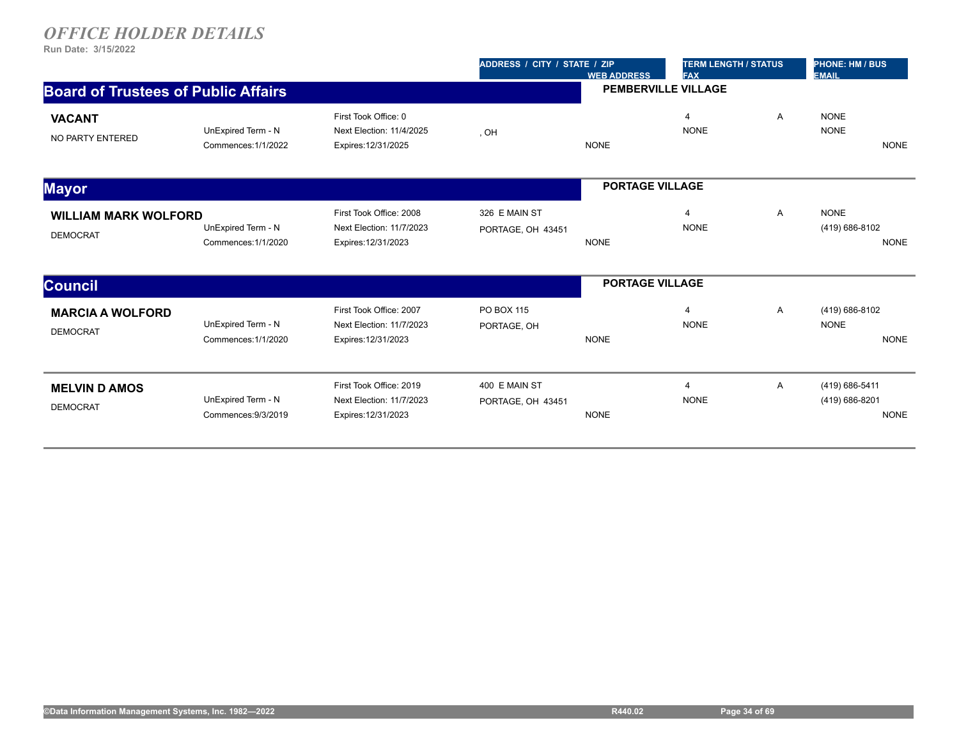|                                                |                                           |                                                                            | ADDRESS / CITY / STATE / ZIP       | <b>WEB ADDRESS</b>         | <b>TERM LENGTH / STATUS</b><br><b>FAX</b> |                | <b>PHONE: HM / BUS</b><br><b>EMAIL</b>          |
|------------------------------------------------|-------------------------------------------|----------------------------------------------------------------------------|------------------------------------|----------------------------|-------------------------------------------|----------------|-------------------------------------------------|
| <b>Board of Trustees of Public Affairs</b>     |                                           |                                                                            |                                    | <b>PEMBERVILLE VILLAGE</b> |                                           |                |                                                 |
| <b>VACANT</b><br>NO PARTY ENTERED              | UnExpired Term - N<br>Commences: 1/1/2022 | First Took Office: 0<br>Next Election: 11/4/2025<br>Expires: 12/31/2025    | , OH                               | <b>NONE</b>                | $\overline{4}$<br><b>NONE</b>             | A              | <b>NONE</b><br><b>NONE</b><br><b>NONE</b>       |
| <b>Mayor</b>                                   |                                           |                                                                            |                                    | <b>PORTAGE VILLAGE</b>     |                                           |                |                                                 |
| <b>WILLIAM MARK WOLFORD</b><br><b>DEMOCRAT</b> | UnExpired Term - N<br>Commences: 1/1/2020 | First Took Office: 2008<br>Next Election: 11/7/2023<br>Expires: 12/31/2023 | 326 E MAIN ST<br>PORTAGE, OH 43451 | <b>NONE</b>                | $\overline{4}$<br><b>NONE</b>             | $\overline{A}$ | <b>NONE</b><br>(419) 686-8102<br><b>NONE</b>    |
| <b>Council</b>                                 |                                           |                                                                            |                                    | <b>PORTAGE VILLAGE</b>     |                                           |                |                                                 |
| <b>MARCIA A WOLFORD</b><br><b>DEMOCRAT</b>     | UnExpired Term - N<br>Commences: 1/1/2020 | First Took Office: 2007<br>Next Election: 11/7/2023<br>Expires: 12/31/2023 | PO BOX 115<br>PORTAGE, OH          | <b>NONE</b>                | 4<br><b>NONE</b>                          | A              | (419) 686-8102<br><b>NONE</b><br><b>NONE</b>    |
| <b>MELVIN D AMOS</b><br><b>DEMOCRAT</b>        | UnExpired Term - N<br>Commences: 9/3/2019 | First Took Office: 2019<br>Next Election: 11/7/2023<br>Expires: 12/31/2023 | 400 E MAIN ST<br>PORTAGE, OH 43451 | <b>NONE</b>                | $\overline{4}$<br><b>NONE</b>             | A              | (419) 686-5411<br>(419) 686-8201<br><b>NONE</b> |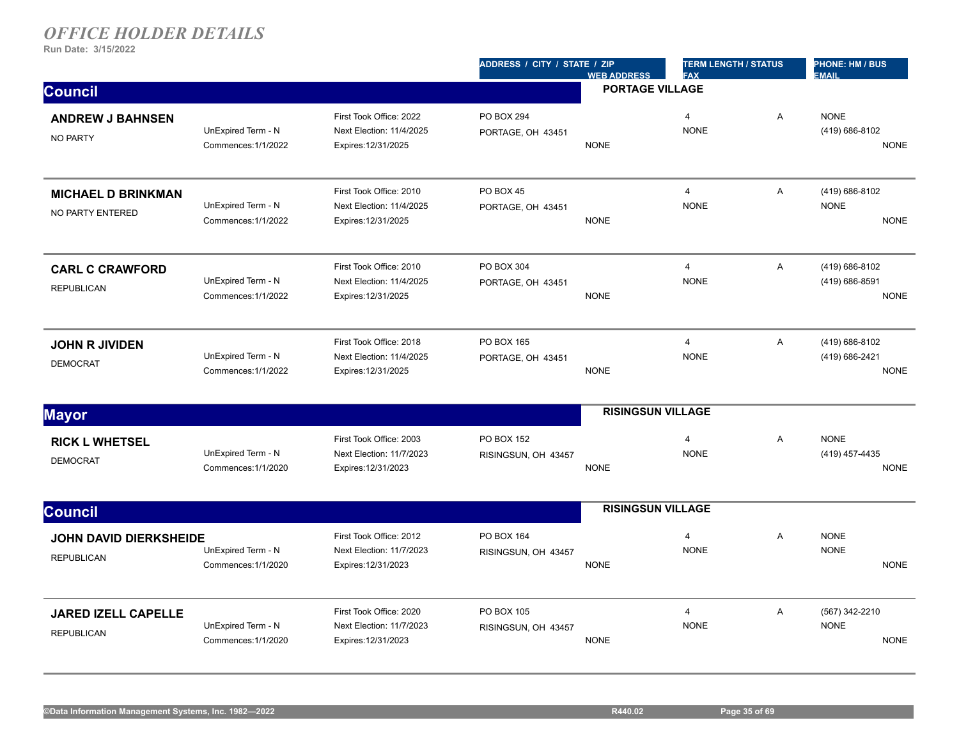|                                                 |                                           |                                                                            | ADDRESS / CITY / STATE / ZIP          | <b>WEB ADDRESS</b>       | <b>TERM LENGTH / STATUS</b><br><b>FAX</b> |                | <b>PHONE: HM / BUS</b><br><b>EMAIL</b>          |
|-------------------------------------------------|-------------------------------------------|----------------------------------------------------------------------------|---------------------------------------|--------------------------|-------------------------------------------|----------------|-------------------------------------------------|
| <b>Council</b>                                  |                                           |                                                                            |                                       | <b>PORTAGE VILLAGE</b>   |                                           |                |                                                 |
| <b>ANDREW J BAHNSEN</b><br>NO PARTY             | UnExpired Term - N<br>Commences: 1/1/2022 | First Took Office: 2022<br>Next Election: 11/4/2025<br>Expires: 12/31/2025 | PO BOX 294<br>PORTAGE, OH 43451       | <b>NONE</b>              | $\overline{4}$<br><b>NONE</b>             | A              | <b>NONE</b><br>(419) 686-8102<br><b>NONE</b>    |
| <b>MICHAEL D BRINKMAN</b><br>NO PARTY ENTERED   | UnExpired Term - N<br>Commences: 1/1/2022 | First Took Office: 2010<br>Next Election: 11/4/2025<br>Expires: 12/31/2025 | <b>PO BOX 45</b><br>PORTAGE, OH 43451 | <b>NONE</b>              | $\overline{4}$<br><b>NONE</b>             | A              | (419) 686-8102<br><b>NONE</b><br><b>NONE</b>    |
| <b>CARL C CRAWFORD</b><br><b>REPUBLICAN</b>     | UnExpired Term - N<br>Commences: 1/1/2022 | First Took Office: 2010<br>Next Election: 11/4/2025<br>Expires: 12/31/2025 | PO BOX 304<br>PORTAGE, OH 43451       | <b>NONE</b>              | $\overline{4}$<br><b>NONE</b>             | $\mathsf{A}$   | (419) 686-8102<br>(419) 686-8591<br><b>NONE</b> |
| <b>JOHN R JIVIDEN</b><br><b>DEMOCRAT</b>        | UnExpired Term - N<br>Commences: 1/1/2022 | First Took Office: 2018<br>Next Election: 11/4/2025<br>Expires: 12/31/2025 | PO BOX 165<br>PORTAGE, OH 43451       | <b>NONE</b>              | $\overline{\mathbf{4}}$<br><b>NONE</b>    | $\mathsf{A}$   | (419) 686-8102<br>(419) 686-2421<br><b>NONE</b> |
| <b>Mayor</b>                                    |                                           |                                                                            |                                       | <b>RISINGSUN VILLAGE</b> |                                           |                |                                                 |
| <b>RICK L WHETSEL</b><br><b>DEMOCRAT</b>        | UnExpired Term - N<br>Commences: 1/1/2020 | First Took Office: 2003<br>Next Election: 11/7/2023<br>Expires: 12/31/2023 | PO BOX 152<br>RISINGSUN, OH 43457     | <b>NONE</b>              | $\overline{4}$<br><b>NONE</b>             | A              | <b>NONE</b><br>(419) 457-4435<br><b>NONE</b>    |
| <b>Council</b>                                  |                                           |                                                                            |                                       | <b>RISINGSUN VILLAGE</b> |                                           |                |                                                 |
| JOHN DAVID DIERKSHEIDE<br><b>REPUBLICAN</b>     | UnExpired Term - N<br>Commences: 1/1/2020 | First Took Office: 2012<br>Next Election: 11/7/2023<br>Expires: 12/31/2023 | PO BOX 164<br>RISINGSUN, OH 43457     | <b>NONE</b>              | $\overline{4}$<br><b>NONE</b>             | A              | <b>NONE</b><br><b>NONE</b><br><b>NONE</b>       |
| <b>JARED IZELL CAPELLE</b><br><b>REPUBLICAN</b> | UnExpired Term - N<br>Commences: 1/1/2020 | First Took Office: 2020<br>Next Election: 11/7/2023<br>Expires: 12/31/2023 | PO BOX 105<br>RISINGSUN, OH 43457     | <b>NONE</b>              | $\overline{4}$<br><b>NONE</b>             | $\overline{A}$ | (567) 342-2210<br><b>NONE</b><br><b>NONE</b>    |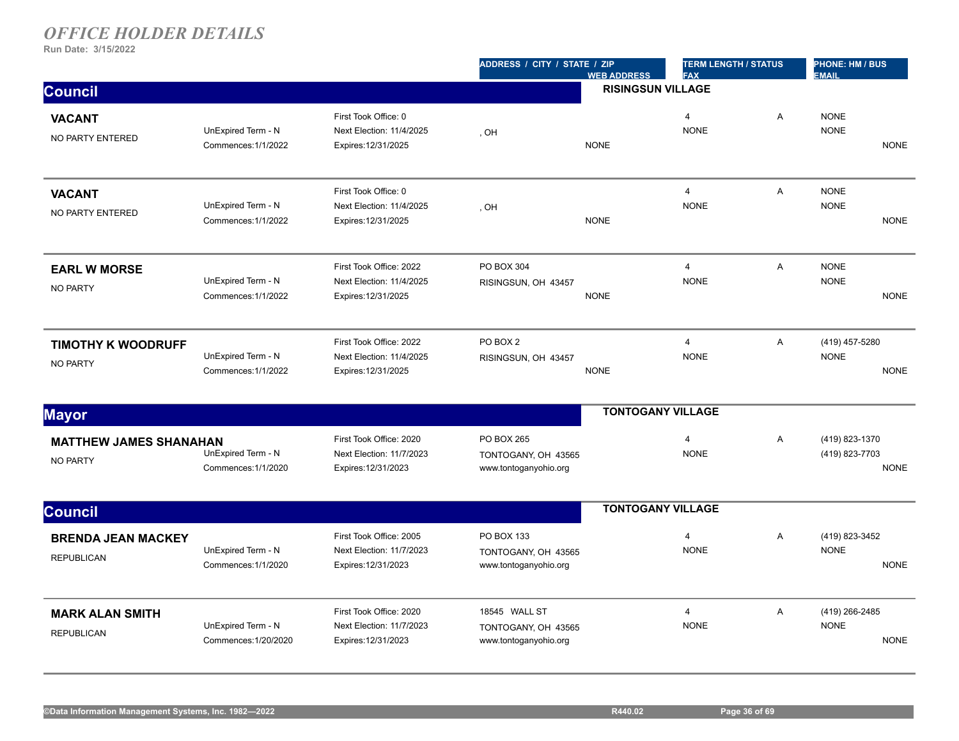|                                                  |                                            |                                                                            | ADDRESS / CITY / STATE / ZIP                                  | <b>WEB ADDRESS</b>       | <b>TERM LENGTH / STATUS</b><br><b>FAX</b> |                | PHONE: HM / BUS<br><b>EMAIL</b>                 |
|--------------------------------------------------|--------------------------------------------|----------------------------------------------------------------------------|---------------------------------------------------------------|--------------------------|-------------------------------------------|----------------|-------------------------------------------------|
| <b>Council</b>                                   |                                            |                                                                            |                                                               | <b>RISINGSUN VILLAGE</b> |                                           |                |                                                 |
| <b>VACANT</b><br>NO PARTY ENTERED                | UnExpired Term - N<br>Commences: 1/1/2022  | First Took Office: 0<br>Next Election: 11/4/2025<br>Expires: 12/31/2025    | , OH                                                          | <b>NONE</b>              | $\overline{4}$<br><b>NONE</b>             | $\overline{A}$ | <b>NONE</b><br><b>NONE</b><br><b>NONE</b>       |
| <b>VACANT</b><br>NO PARTY ENTERED                | UnExpired Term - N<br>Commences: 1/1/2022  | First Took Office: 0<br>Next Election: 11/4/2025<br>Expires: 12/31/2025    | , OH                                                          | <b>NONE</b>              | $\overline{4}$<br><b>NONE</b>             | A              | <b>NONE</b><br><b>NONE</b><br><b>NONE</b>       |
| <b>EARL W MORSE</b><br><b>NO PARTY</b>           | UnExpired Term - N<br>Commences: 1/1/2022  | First Took Office: 2022<br>Next Election: 11/4/2025<br>Expires: 12/31/2025 | PO BOX 304<br>RISINGSUN, OH 43457                             | <b>NONE</b>              | 4<br><b>NONE</b>                          | A              | <b>NONE</b><br><b>NONE</b><br><b>NONE</b>       |
| <b>TIMOTHY K WOODRUFF</b><br><b>NO PARTY</b>     | UnExpired Term - N<br>Commences: 1/1/2022  | First Took Office: 2022<br>Next Election: 11/4/2025<br>Expires: 12/31/2025 | PO BOX 2<br>RISINGSUN, OH 43457                               | <b>NONE</b>              | $\overline{4}$<br><b>NONE</b>             | A              | (419) 457-5280<br><b>NONE</b><br><b>NONE</b>    |
| <b>Mayor</b>                                     |                                            |                                                                            |                                                               | <b>TONTOGANY VILLAGE</b> |                                           |                |                                                 |
| <b>MATTHEW JAMES SHANAHAN</b><br><b>NO PARTY</b> | UnExpired Term - N<br>Commences: 1/1/2020  | First Took Office: 2020<br>Next Election: 11/7/2023<br>Expires: 12/31/2023 | PO BOX 265<br>TONTOGANY, OH 43565<br>www.tontoganyohio.org    |                          | $\overline{4}$<br><b>NONE</b>             | A              | (419) 823-1370<br>(419) 823-7703<br><b>NONE</b> |
| <b>Council</b>                                   |                                            |                                                                            |                                                               | <b>TONTOGANY VILLAGE</b> |                                           |                |                                                 |
| <b>BRENDA JEAN MACKEY</b><br><b>REPUBLICAN</b>   | UnExpired Term - N<br>Commences: 1/1/2020  | First Took Office: 2005<br>Next Election: 11/7/2023<br>Expires: 12/31/2023 | PO BOX 133<br>TONTOGANY, OH 43565<br>www.tontoganyohio.org    |                          | $\overline{4}$<br><b>NONE</b>             | A              | (419) 823-3452<br><b>NONE</b><br><b>NONE</b>    |
| <b>MARK ALAN SMITH</b><br><b>REPUBLICAN</b>      | UnExpired Term - N<br>Commences: 1/20/2020 | First Took Office: 2020<br>Next Election: 11/7/2023<br>Expires: 12/31/2023 | 18545 WALL ST<br>TONTOGANY, OH 43565<br>www.tontoganyohio.org |                          | $\overline{\mathbf{4}}$<br><b>NONE</b>    | A              | (419) 266-2485<br><b>NONE</b><br><b>NONE</b>    |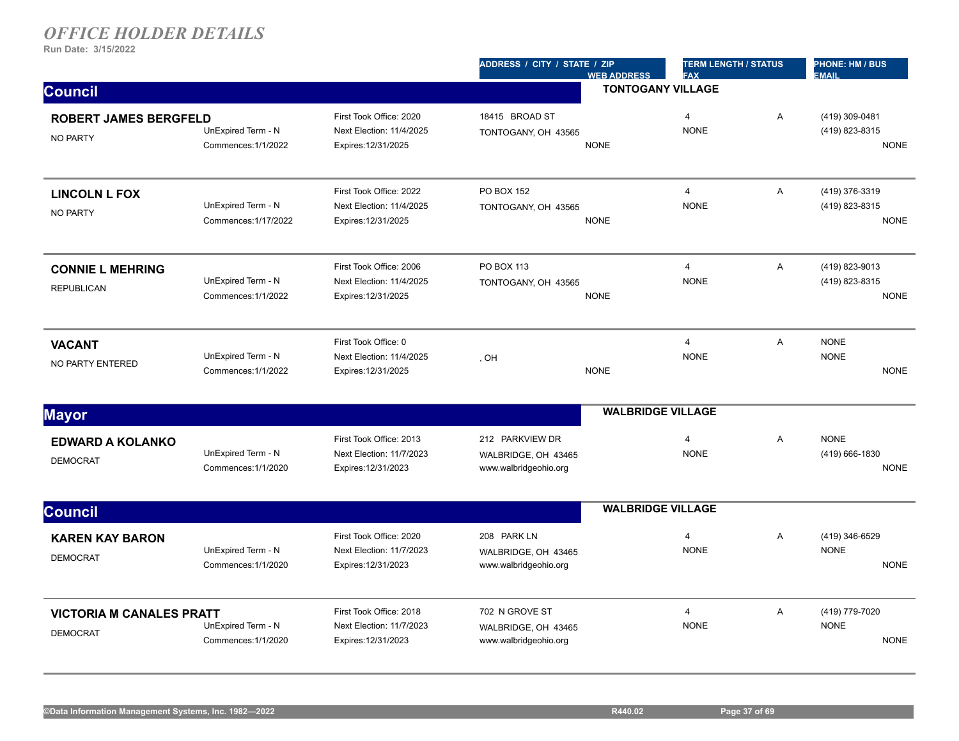|                                                    |                                            |                                                                            | ADDRESS / CITY / STATE / ZIP<br><b>WEB ADDRESS</b>              | <b>TERM LENGTH / STATUS</b><br><b>FAX</b> |   | <b>PHONE: HM / BUS</b><br><b>EMAIL</b>          |
|----------------------------------------------------|--------------------------------------------|----------------------------------------------------------------------------|-----------------------------------------------------------------|-------------------------------------------|---|-------------------------------------------------|
| <b>Council</b>                                     |                                            |                                                                            |                                                                 | <b>TONTOGANY VILLAGE</b>                  |   |                                                 |
| <b>ROBERT JAMES BERGFELD</b><br><b>NO PARTY</b>    | UnExpired Term - N<br>Commences: 1/1/2022  | First Took Office: 2020<br>Next Election: 11/4/2025<br>Expires: 12/31/2025 | 18415 BROAD ST<br>TONTOGANY, OH 43565<br><b>NONE</b>            | $\overline{4}$<br><b>NONE</b>             | A | (419) 309-0481<br>(419) 823-8315<br><b>NONE</b> |
| <b>LINCOLN L FOX</b><br><b>NO PARTY</b>            | UnExpired Term - N<br>Commences: 1/17/2022 | First Took Office: 2022<br>Next Election: 11/4/2025<br>Expires: 12/31/2025 | PO BOX 152<br>TONTOGANY, OH 43565<br><b>NONE</b>                | $\overline{4}$<br><b>NONE</b>             | A | (419) 376-3319<br>(419) 823-8315<br><b>NONE</b> |
| <b>CONNIE L MEHRING</b><br><b>REPUBLICAN</b>       | UnExpired Term - N<br>Commences: 1/1/2022  | First Took Office: 2006<br>Next Election: 11/4/2025<br>Expires: 12/31/2025 | PO BOX 113<br>TONTOGANY, OH 43565<br><b>NONE</b>                | $\overline{4}$<br><b>NONE</b>             | Α | (419) 823-9013<br>(419) 823-8315<br><b>NONE</b> |
| <b>VACANT</b><br>NO PARTY ENTERED                  | UnExpired Term - N<br>Commences: 1/1/2022  | First Took Office: 0<br>Next Election: 11/4/2025<br>Expires: 12/31/2025    | , OH<br><b>NONE</b>                                             | $\overline{4}$<br><b>NONE</b>             | A | <b>NONE</b><br><b>NONE</b><br><b>NONE</b>       |
| <b>Mayor</b>                                       |                                            |                                                                            |                                                                 | <b>WALBRIDGE VILLAGE</b>                  |   |                                                 |
| <b>EDWARD A KOLANKO</b><br><b>DEMOCRAT</b>         | UnExpired Term - N<br>Commences: 1/1/2020  | First Took Office: 2013<br>Next Election: 11/7/2023<br>Expires: 12/31/2023 | 212 PARKVIEW DR<br>WALBRIDGE, OH 43465<br>www.walbridgeohio.org | 4<br><b>NONE</b>                          | A | <b>NONE</b><br>(419) 666-1830<br><b>NONE</b>    |
| <b>Council</b>                                     |                                            |                                                                            |                                                                 | <b>WALBRIDGE VILLAGE</b>                  |   |                                                 |
| <b>KAREN KAY BARON</b><br><b>DEMOCRAT</b>          | UnExpired Term - N<br>Commences: 1/1/2020  | First Took Office: 2020<br>Next Election: 11/7/2023<br>Expires: 12/31/2023 | 208 PARK LN<br>WALBRIDGE, OH 43465<br>www.walbridgeohio.org     | 4<br><b>NONE</b>                          | A | (419) 346-6529<br><b>NONE</b><br><b>NONE</b>    |
| <b>VICTORIA M CANALES PRATT</b><br><b>DEMOCRAT</b> | UnExpired Term - N<br>Commences: 1/1/2020  | First Took Office: 2018<br>Next Election: 11/7/2023<br>Expires: 12/31/2023 | 702 N GROVE ST<br>WALBRIDGE, OH 43465<br>www.walbridgeohio.org  | $\overline{4}$<br><b>NONE</b>             | A | (419) 779-7020<br><b>NONE</b><br><b>NONE</b>    |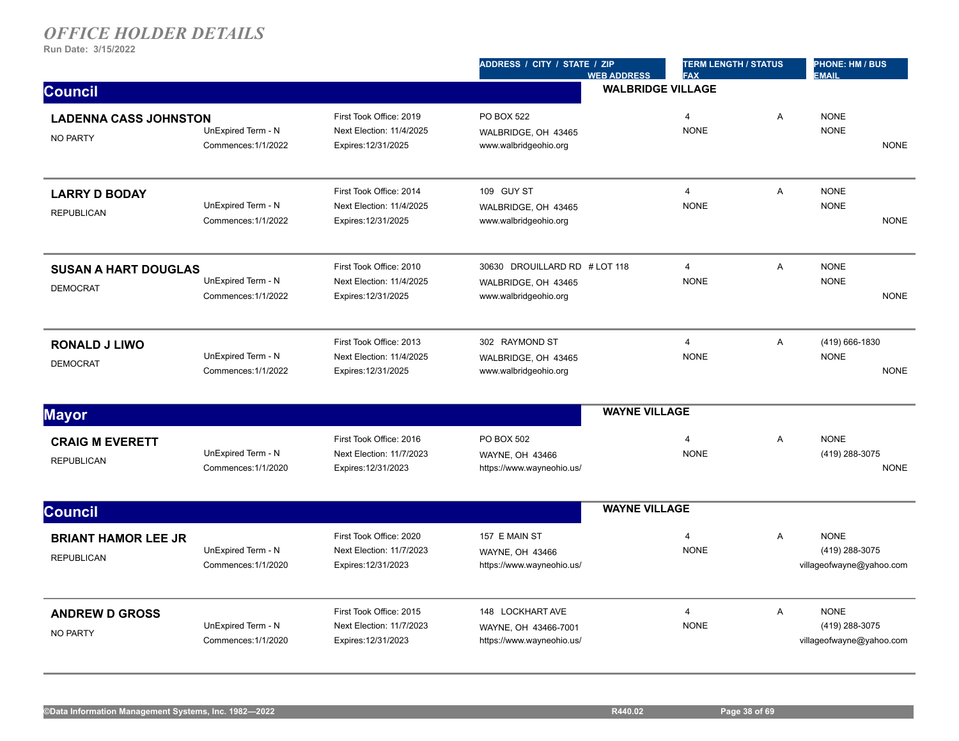|                                                 |                                           |                                                                            | ADDRESS / CITY / STATE / ZIP                                                  | <b>WEB ADDRESS</b>       | <b>TERM LENGTH / STATUS</b><br><b>FAX</b> |                | <b>PHONE: HM / BUS</b><br><b>EMAIL</b>                    |
|-------------------------------------------------|-------------------------------------------|----------------------------------------------------------------------------|-------------------------------------------------------------------------------|--------------------------|-------------------------------------------|----------------|-----------------------------------------------------------|
| <b>Council</b>                                  |                                           |                                                                            |                                                                               | <b>WALBRIDGE VILLAGE</b> |                                           |                |                                                           |
| <b>LADENNA CASS JOHNSTON</b><br><b>NO PARTY</b> | UnExpired Term - N<br>Commences: 1/1/2022 | First Took Office: 2019<br>Next Election: 11/4/2025<br>Expires: 12/31/2025 | PO BOX 522<br>WALBRIDGE, OH 43465<br>www.walbridgeohio.org                    |                          | $\overline{4}$<br><b>NONE</b>             | A              | <b>NONE</b><br><b>NONE</b><br><b>NONE</b>                 |
| <b>LARRY D BODAY</b><br><b>REPUBLICAN</b>       | UnExpired Term - N<br>Commences: 1/1/2022 | First Took Office: 2014<br>Next Election: 11/4/2025<br>Expires: 12/31/2025 | 109 GUY ST<br>WALBRIDGE, OH 43465<br>www.walbridgeohio.org                    |                          | $\overline{4}$<br><b>NONE</b>             | A              | <b>NONE</b><br><b>NONE</b><br><b>NONE</b>                 |
| <b>SUSAN A HART DOUGLAS</b><br><b>DEMOCRAT</b>  | UnExpired Term - N<br>Commences: 1/1/2022 | First Took Office: 2010<br>Next Election: 11/4/2025<br>Expires: 12/31/2025 | 30630 DROUILLARD RD # LOT 118<br>WALBRIDGE, OH 43465<br>www.walbridgeohio.org |                          | $\overline{4}$<br><b>NONE</b>             | $\overline{A}$ | <b>NONE</b><br><b>NONE</b><br><b>NONE</b>                 |
| <b>RONALD J LIWO</b><br><b>DEMOCRAT</b>         | UnExpired Term - N<br>Commences: 1/1/2022 | First Took Office: 2013<br>Next Election: 11/4/2025<br>Expires: 12/31/2025 | 302 RAYMOND ST<br>WALBRIDGE, OH 43465<br>www.walbridgeohio.org                |                          | $\overline{4}$<br><b>NONE</b>             | A              | (419) 666-1830<br><b>NONE</b><br><b>NONE</b>              |
| <b>Mayor</b>                                    |                                           |                                                                            |                                                                               | <b>WAYNE VILLAGE</b>     |                                           |                |                                                           |
| <b>CRAIG M EVERETT</b><br><b>REPUBLICAN</b>     | UnExpired Term - N<br>Commences: 1/1/2020 | First Took Office: 2016<br>Next Election: 11/7/2023<br>Expires: 12/31/2023 | PO BOX 502<br>WAYNE, OH 43466<br>https://www.wayneohio.us/                    |                          | $\overline{4}$<br><b>NONE</b>             | $\overline{A}$ | <b>NONE</b><br>(419) 288-3075<br><b>NONE</b>              |
| <b>Council</b>                                  |                                           |                                                                            |                                                                               | <b>WAYNE VILLAGE</b>     |                                           |                |                                                           |
| <b>BRIANT HAMOR LEE JR</b><br><b>REPUBLICAN</b> | UnExpired Term - N<br>Commences: 1/1/2020 | First Took Office: 2020<br>Next Election: 11/7/2023<br>Expires: 12/31/2023 | 157 E MAIN ST<br>WAYNE, OH 43466<br>https://www.wayneohio.us/                 |                          | $\overline{4}$<br><b>NONE</b>             | A              | <b>NONE</b><br>(419) 288-3075<br>villageofwayne@yahoo.com |
| <b>ANDREW D GROSS</b><br><b>NO PARTY</b>        | UnExpired Term - N<br>Commences: 1/1/2020 | First Took Office: 2015<br>Next Election: 11/7/2023<br>Expires: 12/31/2023 | 148 LOCKHART AVE<br>WAYNE, OH 43466-7001<br>https://www.wayneohio.us/         |                          | $\overline{4}$<br><b>NONE</b>             | $\overline{A}$ | <b>NONE</b><br>(419) 288-3075<br>villageofwayne@yahoo.com |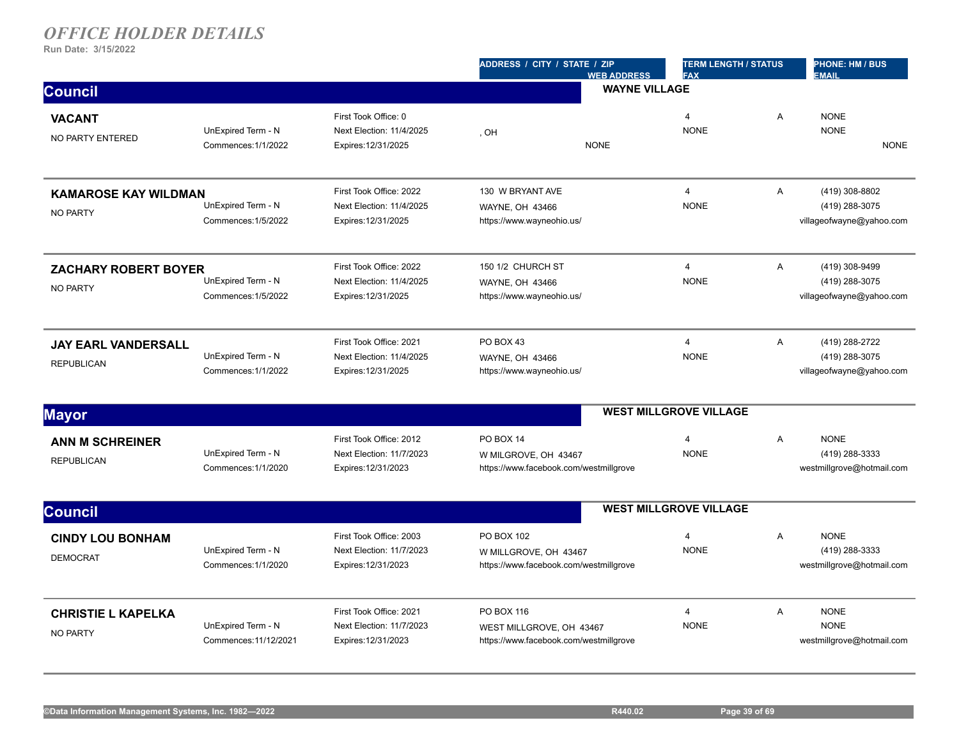|                                                 |                                             |                                                                            | ADDRESS / CITY / STATE / ZIP<br><b>WEB ADDRESS</b>                               | <b>TERM LENGTH / STATUS</b><br><b>FAX</b> |   | PHONE: HM / BUS<br><b>EMAIL</b>                              |  |
|-------------------------------------------------|---------------------------------------------|----------------------------------------------------------------------------|----------------------------------------------------------------------------------|-------------------------------------------|---|--------------------------------------------------------------|--|
| <b>Council</b>                                  |                                             |                                                                            | <b>WAYNE VILLAGE</b>                                                             |                                           |   |                                                              |  |
| <b>VACANT</b><br>NO PARTY ENTERED               | UnExpired Term - N<br>Commences: 1/1/2022   | First Took Office: 0<br>Next Election: 11/4/2025<br>Expires: 12/31/2025    | , OH<br><b>NONE</b>                                                              | $\overline{4}$<br><b>NONE</b>             | A | <b>NONE</b><br><b>NONE</b><br><b>NONE</b>                    |  |
| <b>KAMAROSE KAY WILDMAN</b><br><b>NO PARTY</b>  | UnExpired Term - N<br>Commences: 1/5/2022   | First Took Office: 2022<br>Next Election: 11/4/2025<br>Expires: 12/31/2025 | 130 W BRYANT AVE<br>WAYNE, OH 43466<br>https://www.wayneohio.us/                 | $\overline{4}$<br><b>NONE</b>             | A | (419) 308-8802<br>(419) 288-3075<br>villageofwayne@yahoo.com |  |
| <b>ZACHARY ROBERT BOYER</b><br><b>NO PARTY</b>  | UnExpired Term - N<br>Commences: 1/5/2022   | First Took Office: 2022<br>Next Election: 11/4/2025<br>Expires: 12/31/2025 | 150 1/2 CHURCH ST<br>WAYNE, OH 43466<br>https://www.wayneohio.us/                | $\overline{4}$<br><b>NONE</b>             | A | (419) 308-9499<br>(419) 288-3075<br>villageofwayne@yahoo.com |  |
| <b>JAY EARL VANDERSALL</b><br><b>REPUBLICAN</b> | UnExpired Term - N<br>Commences: 1/1/2022   | First Took Office: 2021<br>Next Election: 11/4/2025<br>Expires: 12/31/2025 | PO BOX 43<br><b>WAYNE, OH 43466</b><br>https://www.wayneohio.us/                 | $\overline{4}$<br><b>NONE</b>             | A | (419) 288-2722<br>(419) 288-3075<br>villageofwayne@yahoo.com |  |
| <b>Mayor</b>                                    |                                             |                                                                            |                                                                                  | <b>WEST MILLGROVE VILLAGE</b>             |   |                                                              |  |
| ANN M SCHREINER<br><b>REPUBLICAN</b>            | UnExpired Term - N<br>Commences: 1/1/2020   | First Took Office: 2012<br>Next Election: 11/7/2023<br>Expires: 12/31/2023 | PO BOX 14<br>W MILGROVE, OH 43467<br>https://www.facebook.com/westmillgrove      | $\overline{4}$<br><b>NONE</b>             | A | <b>NONE</b><br>(419) 288-3333<br>westmillgrove@hotmail.com   |  |
| <b>Council</b>                                  |                                             |                                                                            |                                                                                  | <b>WEST MILLGROVE VILLAGE</b>             |   |                                                              |  |
| <b>CINDY LOU BONHAM</b><br><b>DEMOCRAT</b>      | UnExpired Term - N<br>Commences: 1/1/2020   | First Took Office: 2003<br>Next Election: 11/7/2023<br>Expires: 12/31/2023 | PO BOX 102<br>W MILLGROVE, OH 43467<br>https://www.facebook.com/westmillgrove    | $\overline{4}$<br><b>NONE</b>             | A | <b>NONE</b><br>(419) 288-3333<br>westmillgrove@hotmail.com   |  |
| <b>CHRISTIE L KAPELKA</b><br><b>NO PARTY</b>    | UnExpired Term - N<br>Commences: 11/12/2021 | First Took Office: 2021<br>Next Election: 11/7/2023<br>Expires: 12/31/2023 | PO BOX 116<br>WEST MILLGROVE, OH 43467<br>https://www.facebook.com/westmillgrove | $\overline{4}$<br><b>NONE</b>             | A | <b>NONE</b><br><b>NONE</b><br>westmillgrove@hotmail.com      |  |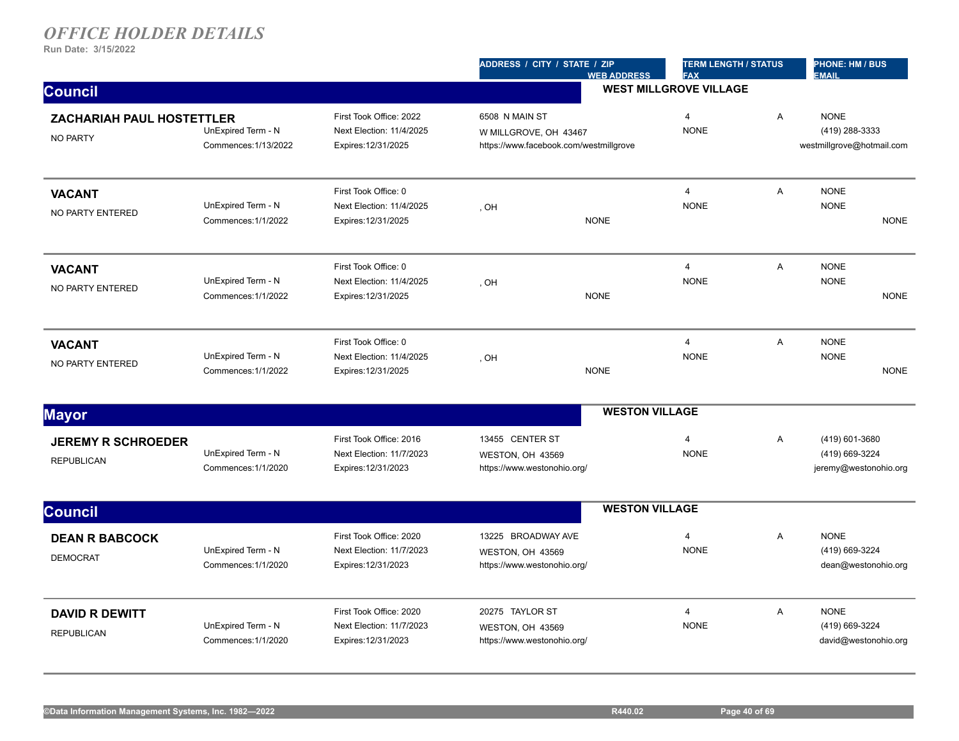|                                                     |                                            |                                                                            | ADDRESS / CITY / STATE / ZIP                                                      | <b>WEB ADDRESS</b>            | <b>TERM LENGTH / STATUS</b><br><b>FAX</b> |   | <b>PHONE: HM / BUS</b><br><b>EMAIL</b>                     |             |
|-----------------------------------------------------|--------------------------------------------|----------------------------------------------------------------------------|-----------------------------------------------------------------------------------|-------------------------------|-------------------------------------------|---|------------------------------------------------------------|-------------|
| <b>Council</b>                                      |                                            |                                                                            |                                                                                   | <b>WEST MILLGROVE VILLAGE</b> |                                           |   |                                                            |             |
| <b>ZACHARIAH PAUL HOSTETTLER</b><br><b>NO PARTY</b> | UnExpired Term - N<br>Commences: 1/13/2022 | First Took Office: 2022<br>Next Election: 11/4/2025<br>Expires: 12/31/2025 | 6508 N MAIN ST<br>W MILLGROVE, OH 43467<br>https://www.facebook.com/westmillgrove |                               | $\overline{4}$<br><b>NONE</b>             | A | <b>NONE</b><br>(419) 288-3333<br>westmillgrove@hotmail.com |             |
| <b>VACANT</b><br>NO PARTY ENTERED                   | UnExpired Term - N<br>Commences: 1/1/2022  | First Took Office: 0<br>Next Election: 11/4/2025<br>Expires: 12/31/2025    | , OH                                                                              | <b>NONE</b>                   | $\overline{\mathbf{4}}$<br><b>NONE</b>    | Α | <b>NONE</b><br><b>NONE</b>                                 | <b>NONE</b> |
| <b>VACANT</b><br><b>NO PARTY ENTERED</b>            | UnExpired Term - N<br>Commences: 1/1/2022  | First Took Office: 0<br>Next Election: 11/4/2025<br>Expires: 12/31/2025    | , OH                                                                              | <b>NONE</b>                   | $\overline{4}$<br><b>NONE</b>             | A | <b>NONE</b><br><b>NONE</b>                                 | <b>NONE</b> |
| <b>VACANT</b><br>NO PARTY ENTERED                   | UnExpired Term - N<br>Commences: 1/1/2022  | First Took Office: 0<br>Next Election: 11/4/2025<br>Expires: 12/31/2025    | , OH                                                                              | <b>NONE</b>                   | $\overline{4}$<br><b>NONE</b>             | A | <b>NONE</b><br><b>NONE</b>                                 | <b>NONE</b> |
| <b>Mayor</b>                                        |                                            |                                                                            |                                                                                   | <b>WESTON VILLAGE</b>         |                                           |   |                                                            |             |
| <b>JEREMY R SCHROEDER</b><br><b>REPUBLICAN</b>      | UnExpired Term - N<br>Commences: 1/1/2020  | First Took Office: 2016<br>Next Election: 11/7/2023<br>Expires: 12/31/2023 | 13455 CENTER ST<br>WESTON, OH 43569<br>https://www.westonohio.org/                |                               | 4<br><b>NONE</b>                          | Α | (419) 601-3680<br>(419) 669-3224<br>jeremy@westonohio.org  |             |
| <b>Council</b>                                      |                                            |                                                                            |                                                                                   | <b>WESTON VILLAGE</b>         |                                           |   |                                                            |             |
| <b>DEAN R BABCOCK</b><br><b>DEMOCRAT</b>            | UnExpired Term - N<br>Commences: 1/1/2020  | First Took Office: 2020<br>Next Election: 11/7/2023<br>Expires: 12/31/2023 | 13225 BROADWAY AVE<br>WESTON, OH 43569<br>https://www.westonohio.org/             |                               | $\overline{4}$<br><b>NONE</b>             | A | <b>NONE</b><br>(419) 669-3224<br>dean@westonohio.org       |             |
| <b>DAVID R DEWITT</b><br><b>REPUBLICAN</b>          | UnExpired Term - N<br>Commences: 1/1/2020  | First Took Office: 2020<br>Next Election: 11/7/2023<br>Expires: 12/31/2023 | 20275 TAYLOR ST<br>WESTON, OH 43569<br>https://www.westonohio.org/                |                               | $\overline{\mathbf{4}}$<br><b>NONE</b>    | Α | <b>NONE</b><br>(419) 669-3224<br>david@westonohio.org      |             |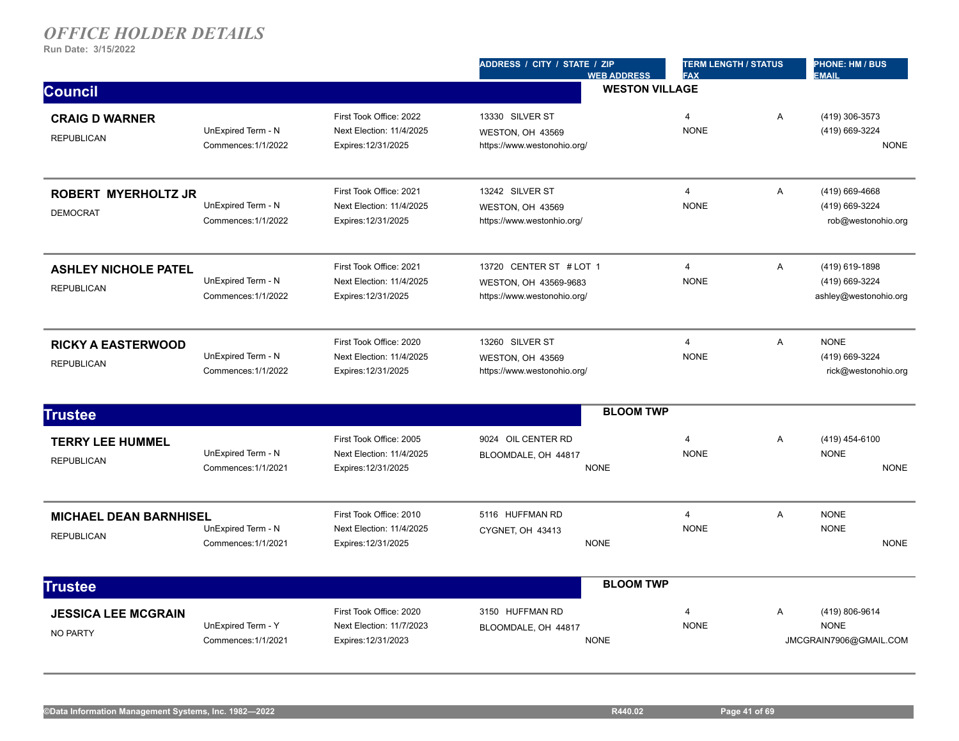|                                                    |                                           |                                                                            | ADDRESS / CITY / STATE / ZIP<br><b>WEB ADDRESS</b>                              | <b>TERM LENGTH / STATUS</b><br><b>FAX</b> |   | PHONE: HM / BUS<br><b>EMAIL</b>                           |  |
|----------------------------------------------------|-------------------------------------------|----------------------------------------------------------------------------|---------------------------------------------------------------------------------|-------------------------------------------|---|-----------------------------------------------------------|--|
| <b>Council</b>                                     |                                           |                                                                            | <b>WESTON VILLAGE</b>                                                           |                                           |   |                                                           |  |
| <b>CRAIG D WARNER</b><br><b>REPUBLICAN</b>         | UnExpired Term - N<br>Commences: 1/1/2022 | First Took Office: 2022<br>Next Election: 11/4/2025<br>Expires: 12/31/2025 | 13330 SILVER ST<br>WESTON, OH 43569<br>https://www.westonohio.org/              | $\overline{4}$<br><b>NONE</b>             | A | (419) 306-3573<br>(419) 669-3224<br><b>NONE</b>           |  |
| <b>ROBERT MYERHOLTZ JR</b><br><b>DEMOCRAT</b>      | UnExpired Term - N<br>Commences: 1/1/2022 | First Took Office: 2021<br>Next Election: 11/4/2025<br>Expires: 12/31/2025 | 13242 SILVER ST<br>WESTON, OH 43569<br>https://www.westonhio.org/               | $\overline{4}$<br><b>NONE</b>             | A | (419) 669-4668<br>(419) 669-3224<br>rob@westonohio.org    |  |
| <b>ASHLEY NICHOLE PATEL</b><br><b>REPUBLICAN</b>   | UnExpired Term - N<br>Commences: 1/1/2022 | First Took Office: 2021<br>Next Election: 11/4/2025<br>Expires: 12/31/2025 | 13720 CENTER ST # LOT 1<br>WESTON, OH 43569-9683<br>https://www.westonohio.org/ | $\overline{4}$<br><b>NONE</b>             | A | (419) 619-1898<br>(419) 669-3224<br>ashley@westonohio.org |  |
| <b>RICKY A EASTERWOOD</b><br><b>REPUBLICAN</b>     | UnExpired Term - N<br>Commences: 1/1/2022 | First Took Office: 2020<br>Next Election: 11/4/2025<br>Expires: 12/31/2025 | 13260 SILVER ST<br>WESTON, OH 43569<br>https://www.westonohio.org/              | $\overline{4}$<br><b>NONE</b>             | A | <b>NONE</b><br>(419) 669-3224<br>rick@westonohio.org      |  |
| <b>Trustee</b>                                     |                                           |                                                                            | <b>BLOOM TWP</b>                                                                |                                           |   |                                                           |  |
| <b>TERRY LEE HUMMEL</b><br><b>REPUBLICAN</b>       | UnExpired Term - N<br>Commences: 1/1/2021 | First Took Office: 2005<br>Next Election: 11/4/2025<br>Expires: 12/31/2025 | 9024 OIL CENTER RD<br>BLOOMDALE, OH 44817<br><b>NONE</b>                        | $\overline{4}$<br><b>NONE</b>             | Α | (419) 454-6100<br><b>NONE</b><br><b>NONE</b>              |  |
| <b>MICHAEL DEAN BARNHISEL</b><br><b>REPUBLICAN</b> | UnExpired Term - N<br>Commences: 1/1/2021 | First Took Office: 2010<br>Next Election: 11/4/2025<br>Expires: 12/31/2025 | 5116 HUFFMAN RD<br>CYGNET, OH 43413<br><b>NONE</b>                              | 4<br><b>NONE</b>                          | A | <b>NONE</b><br><b>NONE</b><br><b>NONE</b>                 |  |
| <b>Trustee</b>                                     |                                           |                                                                            | <b>BLOOM TWP</b>                                                                |                                           |   |                                                           |  |
| <b>JESSICA LEE MCGRAIN</b><br><b>NO PARTY</b>      | UnExpired Term - Y<br>Commences: 1/1/2021 | First Took Office: 2020<br>Next Election: 11/7/2023<br>Expires: 12/31/2023 | 3150 HUFFMAN RD<br>BLOOMDALE, OH 44817<br><b>NONE</b>                           | 4<br><b>NONE</b>                          | A | (419) 806-9614<br><b>NONE</b><br>JMCGRAIN7906@GMAIL.COM   |  |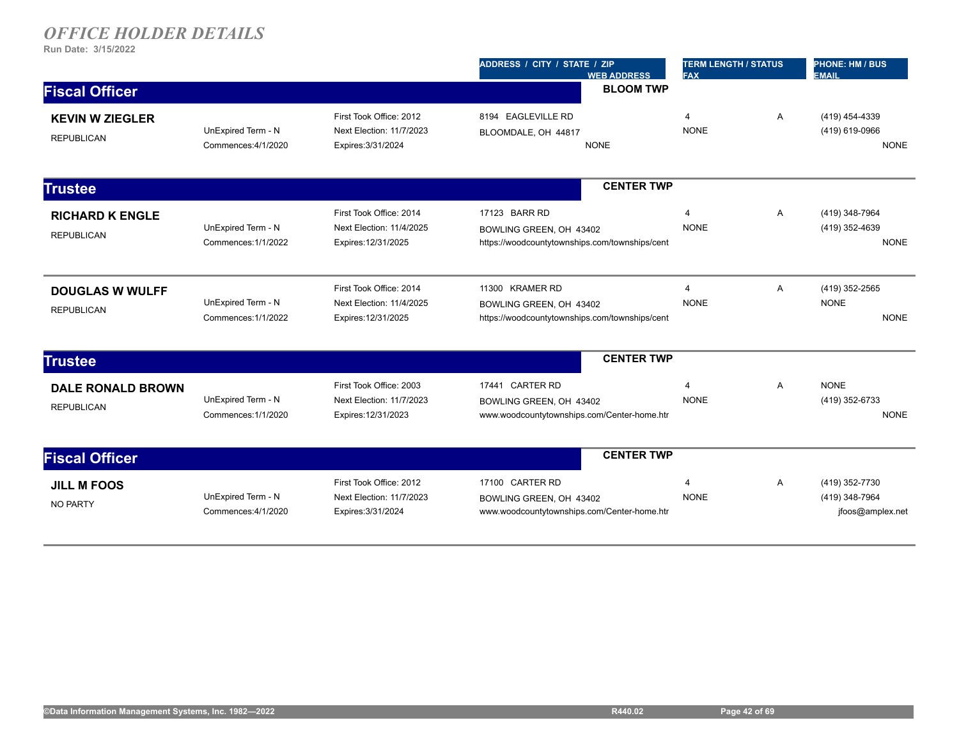|                                               |                                           |                                                                            | ADDRESS / CITY / STATE / ZIP<br><b>FAX</b><br><b>WEB ADDRESS</b>                             |                                        | <b>TERM LENGTH / STATUS</b> | <b>PHONE: HM / BUS</b><br><b>EMAIL</b>               |  |
|-----------------------------------------------|-------------------------------------------|----------------------------------------------------------------------------|----------------------------------------------------------------------------------------------|----------------------------------------|-----------------------------|------------------------------------------------------|--|
| <b>Fiscal Officer</b>                         |                                           |                                                                            | <b>BLOOM TWP</b>                                                                             |                                        |                             |                                                      |  |
| <b>KEVIN W ZIEGLER</b><br><b>REPUBLICAN</b>   | UnExpired Term - N<br>Commences: 4/1/2020 | First Took Office: 2012<br>Next Election: 11/7/2023<br>Expires: 3/31/2024  | 8194 EAGLEVILLE RD<br>BLOOMDALE, OH 44817<br><b>NONE</b>                                     | $\overline{4}$<br><b>NONE</b>          | A                           | (419) 454-4339<br>(419) 619-0966<br><b>NONE</b>      |  |
| <b>Trustee</b>                                |                                           |                                                                            | <b>CENTER TWP</b>                                                                            |                                        |                             |                                                      |  |
| <b>RICHARD K ENGLE</b><br><b>REPUBLICAN</b>   | UnExpired Term - N<br>Commences: 1/1/2022 | First Took Office: 2014<br>Next Election: 11/4/2025<br>Expires: 12/31/2025 | 17123 BARR RD<br>BOWLING GREEN, OH 43402<br>https://woodcountytownships.com/townships/cent   | $\overline{4}$<br><b>NONE</b>          | A                           | (419) 348-7964<br>(419) 352-4639<br><b>NONE</b>      |  |
| <b>DOUGLAS W WULFF</b><br><b>REPUBLICAN</b>   | UnExpired Term - N<br>Commences: 1/1/2022 | First Took Office: 2014<br>Next Election: 11/4/2025<br>Expires: 12/31/2025 | 11300 KRAMER RD<br>BOWLING GREEN, OH 43402<br>https://woodcountytownships.com/townships/cent | 4<br><b>NONE</b>                       | Α                           | (419) 352-2565<br><b>NONE</b><br><b>NONE</b>         |  |
| <b>Trustee</b>                                |                                           |                                                                            | <b>CENTER TWP</b>                                                                            |                                        |                             |                                                      |  |
| <b>DALE RONALD BROWN</b><br><b>REPUBLICAN</b> | UnExpired Term - N<br>Commences: 1/1/2020 | First Took Office: 2003<br>Next Election: 11/7/2023<br>Expires: 12/31/2023 | 17441 CARTER RD<br>BOWLING GREEN, OH 43402<br>www.woodcountytownships.com/Center-home.htr    | $\overline{\mathbf{A}}$<br><b>NONE</b> | A                           | <b>NONE</b><br>(419) 352-6733<br><b>NONE</b>         |  |
| <b>Fiscal Officer</b>                         |                                           |                                                                            | <b>CENTER TWP</b>                                                                            |                                        |                             |                                                      |  |
| <b>JILL M FOOS</b><br><b>NO PARTY</b>         | UnExpired Term - N<br>Commences: 4/1/2020 | First Took Office: 2012<br>Next Election: 11/7/2023<br>Expires: 3/31/2024  | 17100 CARTER RD<br>BOWLING GREEN, OH 43402<br>www.woodcountytownships.com/Center-home.htr    | $\overline{4}$<br><b>NONE</b>          | A                           | (419) 352-7730<br>(419) 348-7964<br>jfoos@amplex.net |  |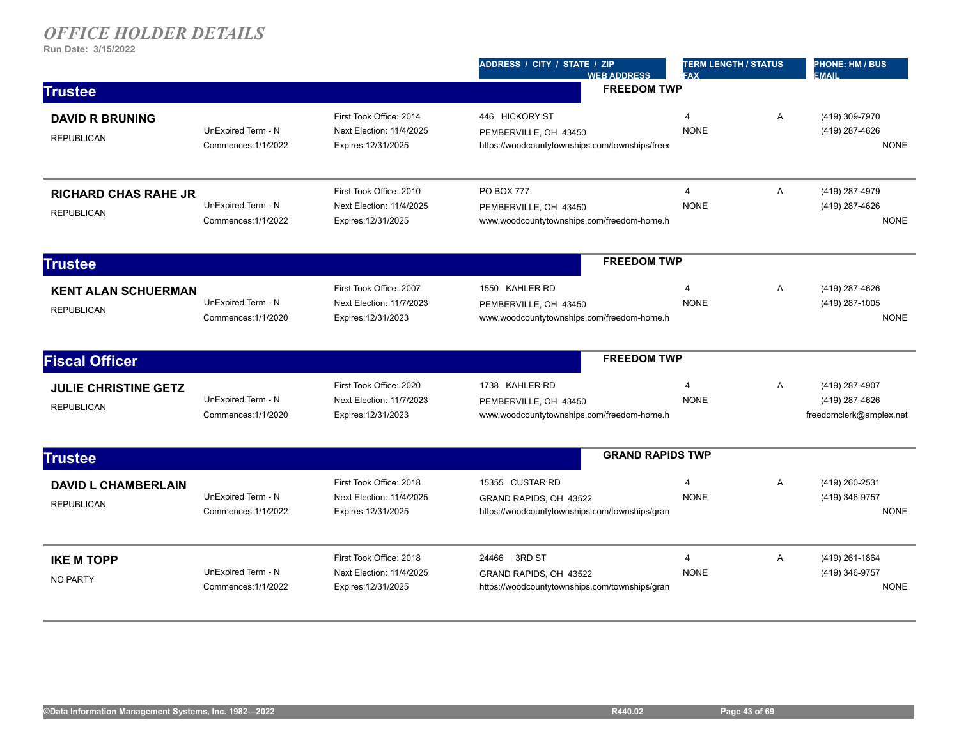|                                                  |                                           |                                                                            | ADDRESS / CITY / STATE / ZIP<br><b>WEB ADDRESS</b>                                          | <b>TERM LENGTH / STATUS</b><br><b>FAX</b> |              | <b>PHONE: HM / BUS</b><br><b>EMAIL</b>                      |
|--------------------------------------------------|-------------------------------------------|----------------------------------------------------------------------------|---------------------------------------------------------------------------------------------|-------------------------------------------|--------------|-------------------------------------------------------------|
| <b>Trustee</b>                                   |                                           |                                                                            | <b>FREEDOM TWP</b>                                                                          |                                           |              |                                                             |
| <b>DAVID R BRUNING</b><br><b>REPUBLICAN</b>      | UnExpired Term - N<br>Commences: 1/1/2022 | First Took Office: 2014<br>Next Election: 11/4/2025<br>Expires: 12/31/2025 | 446 HICKORY ST<br>PEMBERVILLE, OH 43450<br>https://woodcountytownships.com/townships/free   | 4<br><b>NONE</b>                          | $\mathsf{A}$ | (419) 309-7970<br>(419) 287-4626<br><b>NONE</b>             |
| <b>RICHARD CHAS RAHE JR</b><br><b>REPUBLICAN</b> | UnExpired Term - N<br>Commences: 1/1/2022 | First Took Office: 2010<br>Next Election: 11/4/2025<br>Expires: 12/31/2025 | <b>PO BOX 777</b><br>PEMBERVILLE, OH 43450<br>www.woodcountytownships.com/freedom-home.h    | $\overline{\mathbf{4}}$<br><b>NONE</b>    | $\mathsf{A}$ | (419) 287-4979<br>(419) 287-4626<br><b>NONE</b>             |
| <b>Trustee</b>                                   |                                           |                                                                            | <b>FREEDOM TWP</b>                                                                          |                                           |              |                                                             |
| <b>KENT ALAN SCHUERMAN</b><br><b>REPUBLICAN</b>  | UnExpired Term - N<br>Commences: 1/1/2020 | First Took Office: 2007<br>Next Election: 11/7/2023<br>Expires: 12/31/2023 | 1550 KAHLER RD<br>PEMBERVILLE, OH 43450<br>www.woodcountytownships.com/freedom-home.h       | 4<br><b>NONE</b>                          | Α            | (419) 287-4626<br>(419) 287-1005<br><b>NONE</b>             |
| <b>Fiscal Officer</b>                            |                                           |                                                                            | <b>FREEDOM TWP</b>                                                                          |                                           |              |                                                             |
| <b>JULIE CHRISTINE GETZ</b><br><b>REPUBLICAN</b> | UnExpired Term - N<br>Commences: 1/1/2020 | First Took Office: 2020<br>Next Election: 11/7/2023<br>Expires: 12/31/2023 | 1738 KAHLER RD<br>PEMBERVILLE, OH 43450<br>www.woodcountytownships.com/freedom-home.h       | $\overline{4}$<br><b>NONE</b>             | $\mathsf{A}$ | (419) 287-4907<br>(419) 287-4626<br>freedomclerk@amplex.net |
| <b>Trustee</b>                                   |                                           |                                                                            | <b>GRAND RAPIDS TWP</b>                                                                     |                                           |              |                                                             |
| <b>DAVID L CHAMBERLAIN</b><br><b>REPUBLICAN</b>  | UnExpired Term - N<br>Commences: 1/1/2022 | First Took Office: 2018<br>Next Election: 11/4/2025<br>Expires: 12/31/2025 | 15355 CUSTAR RD<br>GRAND RAPIDS, OH 43522<br>https://woodcountytownships.com/townships/gran | 4<br><b>NONE</b>                          | A            | (419) 260-2531<br>(419) 346-9757<br><b>NONE</b>             |
| <b>IKE M TOPP</b><br><b>NO PARTY</b>             | UnExpired Term - N<br>Commences: 1/1/2022 | First Took Office: 2018<br>Next Election: 11/4/2025<br>Expires: 12/31/2025 | 3RD ST<br>24466<br>GRAND RAPIDS, OH 43522<br>https://woodcountytownships.com/townships/gran | $\overline{4}$<br><b>NONE</b>             | Α            | (419) 261-1864<br>(419) 346-9757<br><b>NONE</b>             |
|                                                  |                                           |                                                                            |                                                                                             |                                           |              |                                                             |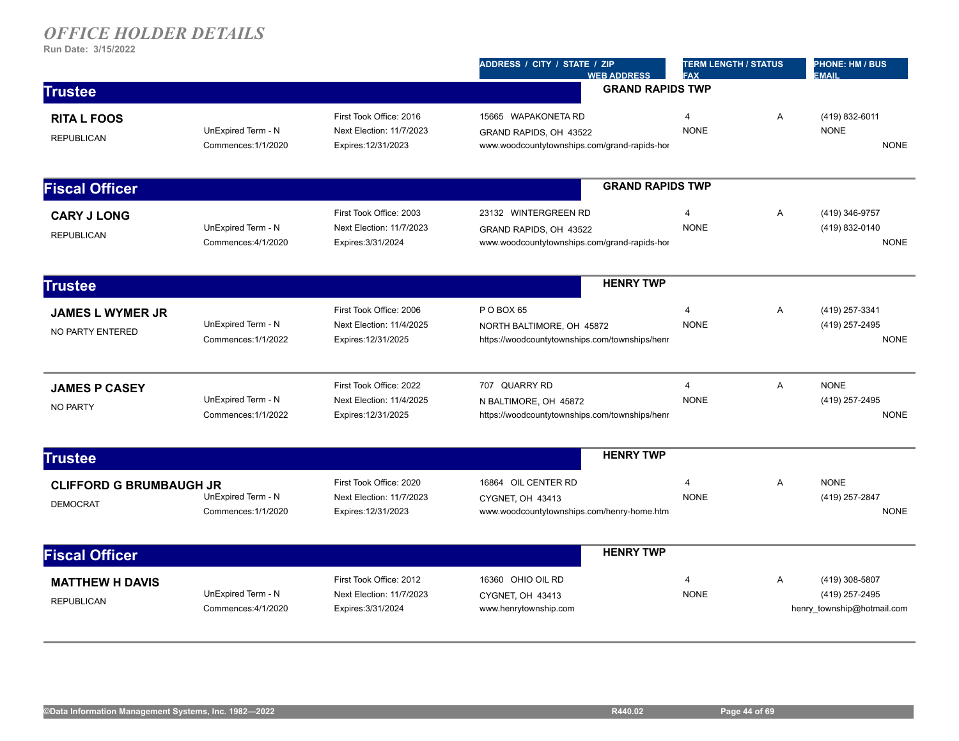|                                                   |                                           |                                                                            | ADDRESS / CITY / STATE / ZIP<br><b>WEB ADDRESS</b>                                             | <b>TERM LENGTH / STATUS</b><br><b>FAX</b> |   | <b>PHONE: HM / BUS</b><br><b>EMAIL</b>                         |  |
|---------------------------------------------------|-------------------------------------------|----------------------------------------------------------------------------|------------------------------------------------------------------------------------------------|-------------------------------------------|---|----------------------------------------------------------------|--|
| <b>Trustee</b>                                    |                                           |                                                                            | <b>GRAND RAPIDS TWP</b>                                                                        |                                           |   |                                                                |  |
| <b>RITA L FOOS</b><br><b>REPUBLICAN</b>           | UnExpired Term - N<br>Commences: 1/1/2020 | First Took Office: 2016<br>Next Election: 11/7/2023<br>Expires: 12/31/2023 | 15665 WAPAKONETA RD<br>GRAND RAPIDS, OH 43522<br>www.woodcountytownships.com/grand-rapids-hor  | $\overline{4}$<br><b>NONE</b>             | Α | (419) 832-6011<br><b>NONE</b><br><b>NONE</b>                   |  |
| <b>Fiscal Officer</b>                             |                                           |                                                                            | <b>GRAND RAPIDS TWP</b>                                                                        |                                           |   |                                                                |  |
| <b>CARY J LONG</b><br><b>REPUBLICAN</b>           | UnExpired Term - N<br>Commences: 4/1/2020 | First Took Office: 2003<br>Next Election: 11/7/2023<br>Expires: 3/31/2024  | 23132 WINTERGREEN RD<br>GRAND RAPIDS, OH 43522<br>www.woodcountytownships.com/grand-rapids-hor | 4<br><b>NONE</b>                          | A | (419) 346-9757<br>(419) 832-0140<br><b>NONE</b>                |  |
| <b>Trustee</b>                                    |                                           |                                                                            | <b>HENRY TWP</b>                                                                               |                                           |   |                                                                |  |
| <b>JAMES L WYMER JR</b><br>NO PARTY ENTERED       | UnExpired Term - N<br>Commences: 1/1/2022 | First Took Office: 2006<br>Next Election: 11/4/2025<br>Expires: 12/31/2025 | P O BOX 65<br>NORTH BALTIMORE, OH 45872<br>https://woodcountytownships.com/townships/henr      | $\overline{4}$<br><b>NONE</b>             | A | (419) 257-3341<br>(419) 257-2495<br><b>NONE</b>                |  |
| <b>JAMES P CASEY</b><br><b>NO PARTY</b>           | UnExpired Term - N<br>Commences: 1/1/2022 | First Took Office: 2022<br>Next Election: 11/4/2025<br>Expires: 12/31/2025 | 707 QUARRY RD<br>N BALTIMORE, OH 45872<br>https://woodcountytownships.com/townships/henr       | 4<br><b>NONE</b>                          | A | <b>NONE</b><br>(419) 257-2495<br><b>NONE</b>                   |  |
| <b>Trustee</b>                                    |                                           |                                                                            | <b>HENRY TWP</b>                                                                               |                                           |   |                                                                |  |
| <b>CLIFFORD G BRUMBAUGH JR</b><br><b>DEMOCRAT</b> | UnExpired Term - N<br>Commences: 1/1/2020 | First Took Office: 2020<br>Next Election: 11/7/2023<br>Expires: 12/31/2023 | 16864 OIL CENTER RD<br>CYGNET, OH 43413<br>www.woodcountytownships.com/henry-home.htm          | $\overline{4}$<br><b>NONE</b>             | A | <b>NONE</b><br>(419) 257-2847<br><b>NONE</b>                   |  |
| <b>Fiscal Officer</b>                             |                                           |                                                                            | <b>HENRY TWP</b>                                                                               |                                           |   |                                                                |  |
| <b>MATTHEW H DAVIS</b><br><b>REPUBLICAN</b>       | UnExpired Term - N<br>Commences: 4/1/2020 | First Took Office: 2012<br>Next Election: 11/7/2023<br>Expires: 3/31/2024  | 16360 OHIO OIL RD<br>CYGNET, OH 43413<br>www.henrytownship.com                                 | $\overline{4}$<br><b>NONE</b>             | Α | (419) 308-5807<br>(419) 257-2495<br>henry township@hotmail.com |  |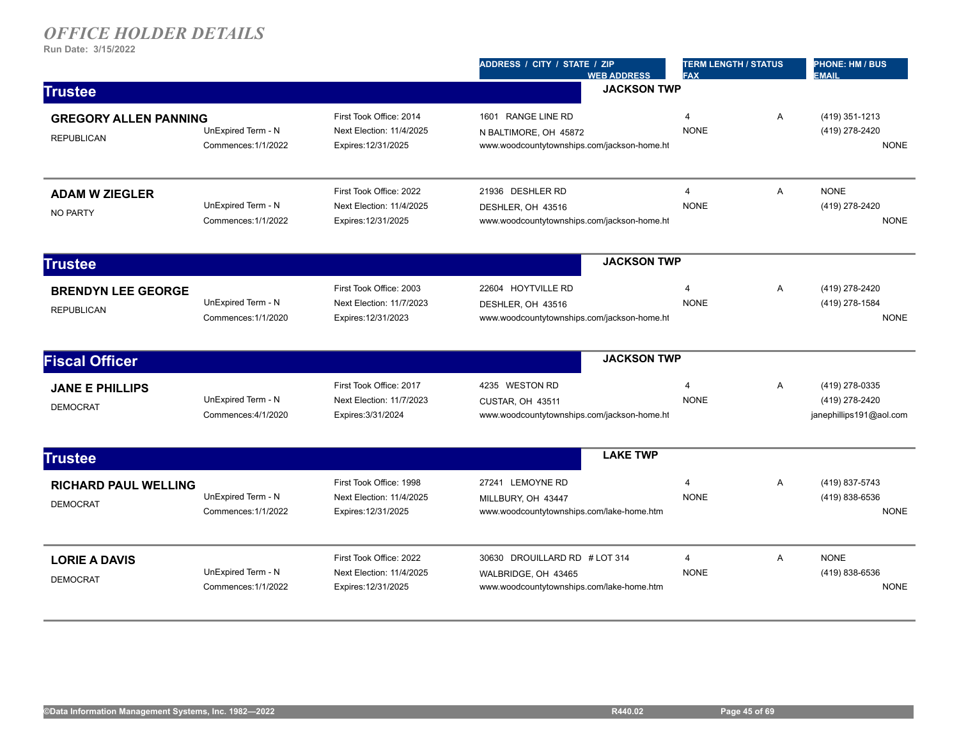|                                                   |                                           |                                                                            | ADDRESS / CITY / STATE / ZIP<br><b>WEB ADDRESS</b>                                                | <b>TERM LENGTH / STATUS</b><br><b>FAX</b> |   | <b>PHONE: HM / BUS</b><br><b>EMAIL</b>                      |
|---------------------------------------------------|-------------------------------------------|----------------------------------------------------------------------------|---------------------------------------------------------------------------------------------------|-------------------------------------------|---|-------------------------------------------------------------|
| <b>Trustee</b>                                    |                                           |                                                                            | <b>JACKSON TWP</b>                                                                                |                                           |   |                                                             |
| <b>GREGORY ALLEN PANNING</b><br><b>REPUBLICAN</b> | UnExpired Term - N<br>Commences: 1/1/2022 | First Took Office: 2014<br>Next Election: 11/4/2025<br>Expires: 12/31/2025 | 1601 RANGE LINE RD<br>N BALTIMORE, OH 45872<br>www.woodcountytownships.com/jackson-home.ht        | $\overline{4}$<br><b>NONE</b>             | Α | (419) 351-1213<br>(419) 278-2420<br><b>NONE</b>             |
| <b>ADAM W ZIEGLER</b><br><b>NO PARTY</b>          | UnExpired Term - N<br>Commences: 1/1/2022 | First Took Office: 2022<br>Next Election: 11/4/2025<br>Expires: 12/31/2025 | 21936 DESHLER RD<br>DESHLER, OH 43516<br>www.woodcountytownships.com/jackson-home.ht              | $\overline{4}$<br><b>NONE</b>             | A | <b>NONE</b><br>(419) 278-2420<br><b>NONE</b>                |
| <b>Trustee</b>                                    |                                           |                                                                            | <b>JACKSON TWP</b>                                                                                |                                           |   |                                                             |
| <b>BRENDYN LEE GEORGE</b><br><b>REPUBLICAN</b>    | UnExpired Term - N<br>Commences: 1/1/2020 | First Took Office: 2003<br>Next Election: 11/7/2023<br>Expires: 12/31/2023 | 22604 HOYTVILLE RD<br>DESHLER, OH 43516<br>www.woodcountytownships.com/jackson-home.ht            | $\overline{\mathbf{4}}$<br><b>NONE</b>    | Α | (419) 278-2420<br>(419) 278-1584<br><b>NONE</b>             |
| <b>Fiscal Officer</b>                             |                                           |                                                                            | <b>JACKSON TWP</b>                                                                                |                                           |   |                                                             |
| <b>JANE E PHILLIPS</b><br><b>DEMOCRAT</b>         | UnExpired Term - N<br>Commences: 4/1/2020 | First Took Office: 2017<br>Next Election: 11/7/2023<br>Expires: 3/31/2024  | 4235 WESTON RD<br>CUSTAR, OH 43511<br>www.woodcountytownships.com/jackson-home.ht                 | 4<br><b>NONE</b>                          | A | (419) 278-0335<br>(419) 278-2420<br>janephillips191@aol.com |
| <b>Trustee</b>                                    |                                           |                                                                            | <b>LAKE TWP</b>                                                                                   |                                           |   |                                                             |
| <b>RICHARD PAUL WELLING</b><br><b>DEMOCRAT</b>    | UnExpired Term - N<br>Commences: 1/1/2022 | First Took Office: 1998<br>Next Election: 11/4/2025<br>Expires: 12/31/2025 | 27241 LEMOYNE RD<br>MILLBURY, OH 43447<br>www.woodcountytownships.com/lake-home.htm               | $\overline{\mathbf{4}}$<br><b>NONE</b>    | Α | (419) 837-5743<br>(419) 838-6536<br><b>NONE</b>             |
| <b>LORIE A DAVIS</b><br><b>DEMOCRAT</b>           | UnExpired Term - N<br>Commences: 1/1/2022 | First Took Office: 2022<br>Next Election: 11/4/2025<br>Expires: 12/31/2025 | 30630 DROUILLARD RD # LOT 314<br>WALBRIDGE, OH 43465<br>www.woodcountytownships.com/lake-home.htm | $\overline{4}$<br><b>NONE</b>             | A | <b>NONE</b><br>(419) 838-6536<br><b>NONE</b>                |
|                                                   |                                           |                                                                            |                                                                                                   |                                           |   |                                                             |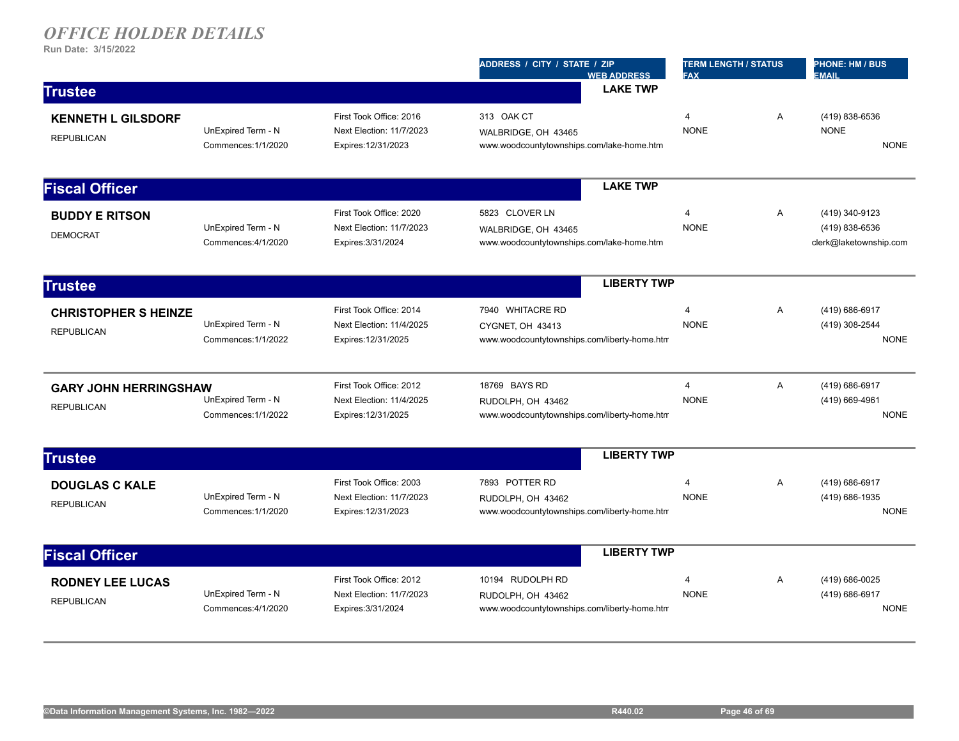|                                                   |                                           |                                                                            | ADDRESS / CITY / STATE / ZIP<br><b>WEB ADDRESS</b>                                    | <b>TERM LENGTH / STATUS</b><br><b>FAX</b> |   | <b>PHONE: HM / BUS</b><br><b>EMAIL</b>                     |
|---------------------------------------------------|-------------------------------------------|----------------------------------------------------------------------------|---------------------------------------------------------------------------------------|-------------------------------------------|---|------------------------------------------------------------|
| <b>Trustee</b>                                    |                                           |                                                                            | <b>LAKE TWP</b>                                                                       |                                           |   |                                                            |
| <b>KENNETH L GILSDORF</b><br><b>REPUBLICAN</b>    | UnExpired Term - N<br>Commences: 1/1/2020 | First Took Office: 2016<br>Next Election: 11/7/2023<br>Expires: 12/31/2023 | 313 OAK CT<br>WALBRIDGE, OH 43465<br>www.woodcountytownships.com/lake-home.htm        | $\overline{4}$<br><b>NONE</b>             | A | (419) 838-6536<br><b>NONE</b><br><b>NONE</b>               |
| <b>Fiscal Officer</b>                             |                                           |                                                                            | <b>LAKE TWP</b>                                                                       |                                           |   |                                                            |
| <b>BUDDY E RITSON</b><br><b>DEMOCRAT</b>          | UnExpired Term - N<br>Commences: 4/1/2020 | First Took Office: 2020<br>Next Election: 11/7/2023<br>Expires: 3/31/2024  | 5823 CLOVER LN<br>WALBRIDGE, OH 43465<br>www.woodcountytownships.com/lake-home.htm    | $\overline{4}$<br><b>NONE</b>             | A | (419) 340-9123<br>(419) 838-6536<br>clerk@laketownship.com |
| <b>Trustee</b>                                    |                                           |                                                                            | <b>LIBERTY TWP</b>                                                                    |                                           |   |                                                            |
| <b>CHRISTOPHER S HEINZE</b><br><b>REPUBLICAN</b>  | UnExpired Term - N<br>Commences: 1/1/2022 | First Took Office: 2014<br>Next Election: 11/4/2025<br>Expires: 12/31/2025 | 7940 WHITACRE RD<br>CYGNET, OH 43413<br>www.woodcountytownships.com/liberty-home.htm  | $\overline{4}$<br><b>NONE</b>             | A | (419) 686-6917<br>(419) 308-2544<br><b>NONE</b>            |
| <b>GARY JOHN HERRINGSHAW</b><br><b>REPUBLICAN</b> | UnExpired Term - N<br>Commences: 1/1/2022 | First Took Office: 2012<br>Next Election: 11/4/2025<br>Expires: 12/31/2025 | 18769 BAYS RD<br>RUDOLPH, OH 43462<br>www.woodcountytownships.com/liberty-home.htm    | $\overline{4}$<br><b>NONE</b>             | Α | (419) 686-6917<br>(419) 669-4961<br><b>NONE</b>            |
| <b>Trustee</b>                                    |                                           |                                                                            | <b>LIBERTY TWP</b>                                                                    |                                           |   |                                                            |
| <b>DOUGLAS C KALE</b><br><b>REPUBLICAN</b>        | UnExpired Term - N<br>Commences: 1/1/2020 | First Took Office: 2003<br>Next Election: 11/7/2023<br>Expires: 12/31/2023 | 7893 POTTER RD<br>RUDOLPH, OH 43462<br>www.woodcountytownships.com/liberty-home.htm   | 4<br><b>NONE</b>                          | Α | (419) 686-6917<br>(419) 686-1935<br><b>NONE</b>            |
| <b>Fiscal Officer</b>                             |                                           |                                                                            | <b>LIBERTY TWP</b>                                                                    |                                           |   |                                                            |
| <b>RODNEY LEE LUCAS</b><br><b>REPUBLICAN</b>      | UnExpired Term - N<br>Commences: 4/1/2020 | First Took Office: 2012<br>Next Election: 11/7/2023<br>Expires: 3/31/2024  | 10194 RUDOLPH RD<br>RUDOLPH, OH 43462<br>www.woodcountytownships.com/liberty-home.htm | $\overline{4}$<br><b>NONE</b>             | A | (419) 686-0025<br>(419) 686-6917<br><b>NONE</b>            |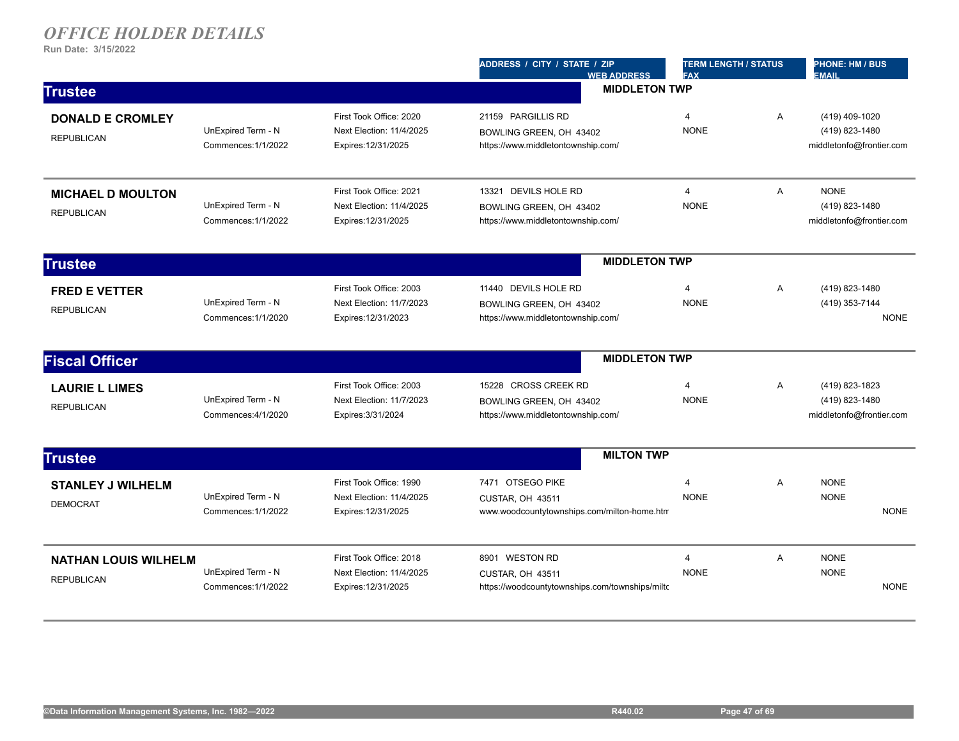|                                                  |                                           |                                                                            | ADDRESS / CITY / STATE / ZIP<br><b>WEB ADDRESS</b>                                    | <b>TERM LENGTH / STATUS</b><br><b>FAX</b> |                | <b>PHONE: HM / BUS</b><br><b>EMAIL</b>                       |
|--------------------------------------------------|-------------------------------------------|----------------------------------------------------------------------------|---------------------------------------------------------------------------------------|-------------------------------------------|----------------|--------------------------------------------------------------|
| <b>Trustee</b>                                   |                                           |                                                                            |                                                                                       | <b>MIDDLETON TWP</b>                      |                |                                                              |
| <b>DONALD E CROMLEY</b><br><b>REPUBLICAN</b>     | UnExpired Term - N<br>Commences: 1/1/2022 | First Took Office: 2020<br>Next Election: 11/4/2025<br>Expires: 12/31/2025 | 21159 PARGILLIS RD<br>BOWLING GREEN, OH 43402<br>https://www.middletontownship.com/   | $\overline{4}$<br><b>NONE</b>             | A              | (419) 409-1020<br>(419) 823-1480<br>middletonfo@frontier.com |
| <b>MICHAEL D MOULTON</b><br><b>REPUBLICAN</b>    | UnExpired Term - N<br>Commences: 1/1/2022 | First Took Office: 2021<br>Next Election: 11/4/2025<br>Expires: 12/31/2025 | 13321 DEVILS HOLE RD<br>BOWLING GREEN, OH 43402<br>https://www.middletontownship.com/ | $\overline{4}$<br><b>NONE</b>             | A              | <b>NONE</b><br>(419) 823-1480<br>middletonfo@frontier.com    |
| <b>Trustee</b>                                   |                                           |                                                                            | <b>MIDDLETON TWP</b>                                                                  |                                           |                |                                                              |
| <b>FRED E VETTER</b><br><b>REPUBLICAN</b>        | UnExpired Term - N<br>Commences: 1/1/2020 | First Took Office: 2003<br>Next Election: 11/7/2023<br>Expires: 12/31/2023 | 11440 DEVILS HOLE RD<br>BOWLING GREEN, OH 43402<br>https://www.middletontownship.com/ | 4<br><b>NONE</b>                          | Α              | (419) 823-1480<br>(419) 353-7144<br><b>NONE</b>              |
| <b>Fiscal Officer</b>                            |                                           |                                                                            | <b>MIDDLETON TWP</b>                                                                  |                                           |                |                                                              |
| <b>LAURIE L LIMES</b><br><b>REPUBLICAN</b>       | UnExpired Term - N<br>Commences: 4/1/2020 | First Took Office: 2003<br>Next Election: 11/7/2023<br>Expires: 3/31/2024  | 15228 CROSS CREEK RD<br>BOWLING GREEN, OH 43402<br>https://www.middletontownship.com/ | 4<br><b>NONE</b>                          | A              | (419) 823-1823<br>(419) 823-1480<br>middletonfo@frontier.com |
| <b>Trustee</b>                                   |                                           |                                                                            | <b>MILTON TWP</b>                                                                     |                                           |                |                                                              |
| <b>STANLEY J WILHELM</b><br><b>DEMOCRAT</b>      | UnExpired Term - N<br>Commences: 1/1/2022 | First Took Office: 1990<br>Next Election: 11/4/2025<br>Expires: 12/31/2025 | 7471 OTSEGO PIKE<br>CUSTAR, OH 43511<br>www.woodcountytownships.com/milton-home.htm   | 4<br><b>NONE</b>                          | A              | <b>NONE</b><br><b>NONE</b><br><b>NONE</b>                    |
| <b>NATHAN LOUIS WILHELM</b><br><b>REPUBLICAN</b> | UnExpired Term - N<br>Commences: 1/1/2022 | First Took Office: 2018<br>Next Election: 11/4/2025<br>Expires: 12/31/2025 | 8901 WESTON RD<br>CUSTAR, OH 43511<br>https://woodcountytownships.com/townships/milto | 4<br><b>NONE</b>                          | $\overline{A}$ | <b>NONE</b><br><b>NONE</b><br><b>NONE</b>                    |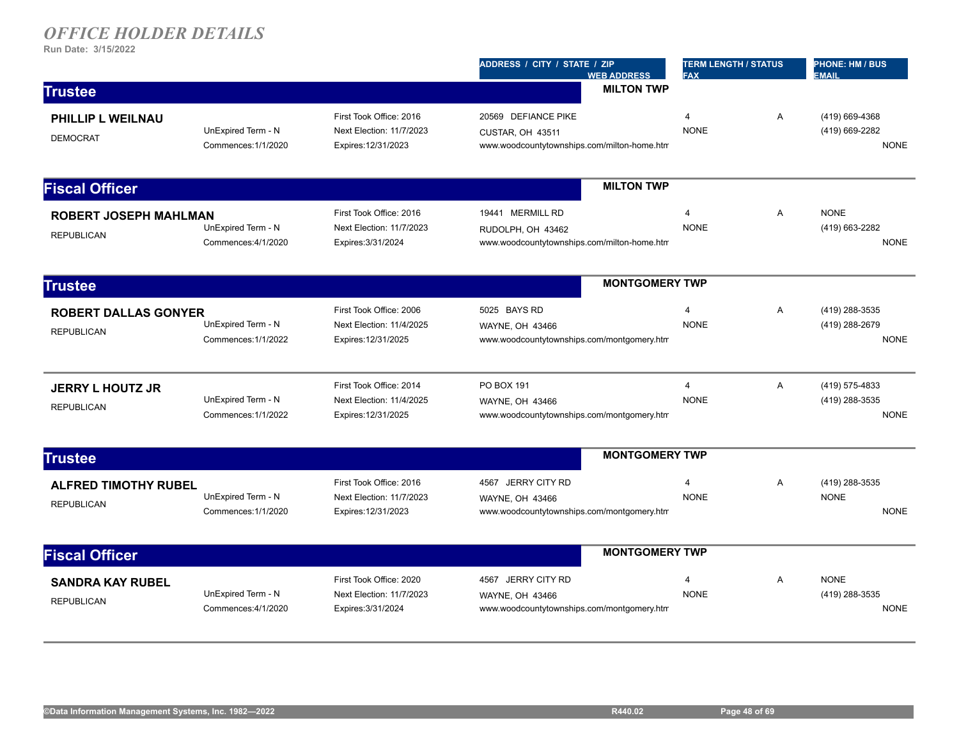|                                                   |                                           |                                                                            | ADDRESS / CITY / STATE / ZIP<br><b>WEB ADDRESS</b>                                     | <b>TERM LENGTH / STATUS</b><br><b>FAX</b> |   | <b>PHONE: HM / BUS</b><br><b>EMAIL</b>          |
|---------------------------------------------------|-------------------------------------------|----------------------------------------------------------------------------|----------------------------------------------------------------------------------------|-------------------------------------------|---|-------------------------------------------------|
| <b>Trustee</b>                                    |                                           |                                                                            | <b>MILTON TWP</b>                                                                      |                                           |   |                                                 |
| PHILLIP L WEILNAU<br><b>DEMOCRAT</b>              | UnExpired Term - N<br>Commences: 1/1/2020 | First Took Office: 2016<br>Next Election: 11/7/2023<br>Expires: 12/31/2023 | 20569 DEFIANCE PIKE<br>CUSTAR, OH 43511<br>www.woodcountytownships.com/milton-home.htm | 4<br><b>NONE</b>                          | Α | (419) 669-4368<br>(419) 669-2282<br><b>NONE</b> |
| <b>Fiscal Officer</b>                             |                                           |                                                                            | <b>MILTON TWP</b>                                                                      |                                           |   |                                                 |
| <b>ROBERT JOSEPH MAHLMAN</b><br><b>REPUBLICAN</b> | UnExpired Term - N<br>Commences: 4/1/2020 | First Took Office: 2016<br>Next Election: 11/7/2023<br>Expires: 3/31/2024  | 19441 MERMILL RD<br>RUDOLPH, OH 43462<br>www.woodcountytownships.com/milton-home.htm   | $\overline{4}$<br><b>NONE</b>             | Α | <b>NONE</b><br>(419) 663-2282<br><b>NONE</b>    |
| <b>Trustee</b>                                    |                                           |                                                                            | <b>MONTGOMERY TWP</b>                                                                  |                                           |   |                                                 |
| <b>ROBERT DALLAS GONYER</b><br><b>REPUBLICAN</b>  | UnExpired Term - N<br>Commences: 1/1/2022 | First Took Office: 2006<br>Next Election: 11/4/2025<br>Expires: 12/31/2025 | 5025 BAYS RD<br>WAYNE, OH 43466<br>www.woodcountytownships.com/montgomery.htm          | $\overline{4}$<br><b>NONE</b>             | A | (419) 288-3535<br>(419) 288-2679<br><b>NONE</b> |
| <b>JERRY L HOUTZ JR</b><br><b>REPUBLICAN</b>      | UnExpired Term - N<br>Commences: 1/1/2022 | First Took Office: 2014<br>Next Election: 11/4/2025<br>Expires: 12/31/2025 | PO BOX 191<br>WAYNE, OH 43466<br>www.woodcountytownships.com/montgomery.htm            | $\overline{4}$<br><b>NONE</b>             | A | (419) 575-4833<br>(419) 288-3535<br><b>NONE</b> |
| <b>Trustee</b>                                    |                                           |                                                                            | <b>MONTGOMERY TWP</b>                                                                  |                                           |   |                                                 |
| <b>ALFRED TIMOTHY RUBEL</b><br><b>REPUBLICAN</b>  | UnExpired Term - N<br>Commences: 1/1/2020 | First Took Office: 2016<br>Next Election: 11/7/2023<br>Expires: 12/31/2023 | 4567 JERRY CITY RD<br>WAYNE, OH 43466<br>www.woodcountytownships.com/montgomery.htm    | 4<br><b>NONE</b>                          | Α | (419) 288-3535<br><b>NONE</b><br><b>NONE</b>    |
| <b>Fiscal Officer</b>                             |                                           |                                                                            | <b>MONTGOMERY TWP</b>                                                                  |                                           |   |                                                 |
| <b>SANDRA KAY RUBEL</b><br><b>REPUBLICAN</b>      | UnExpired Term - N<br>Commences: 4/1/2020 | First Took Office: 2020<br>Next Election: 11/7/2023<br>Expires: 3/31/2024  | 4567 JERRY CITY RD<br>WAYNE, OH 43466<br>www.woodcountytownships.com/montgomery.htm    | $\overline{4}$<br><b>NONE</b>             | A | <b>NONE</b><br>(419) 288-3535<br><b>NONE</b>    |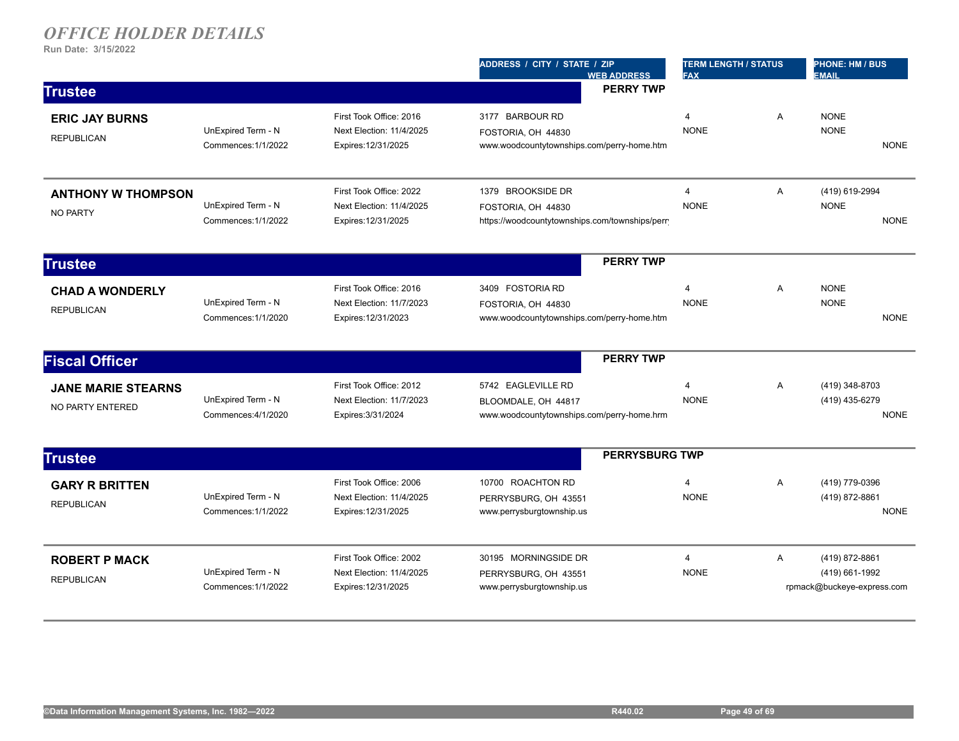|                           |                     |                          | ADDRESS / CITY / STATE / ZIP<br><b>WEB ADDRESS</b> | <b>TERM LENGTH / STATUS</b><br><b>FAX</b> |   | <b>PHONE: HM / BUS</b><br><b>EMAIL</b> |             |
|---------------------------|---------------------|--------------------------|----------------------------------------------------|-------------------------------------------|---|----------------------------------------|-------------|
| <b>Trustee</b>            |                     |                          | <b>PERRY TWP</b>                                   |                                           |   |                                        |             |
| <b>ERIC JAY BURNS</b>     |                     | First Took Office: 2016  | 3177 BARBOUR RD                                    | 4                                         | A | <b>NONE</b>                            |             |
| <b>REPUBLICAN</b>         | UnExpired Term - N  | Next Election: 11/4/2025 | FOSTORIA, OH 44830                                 | <b>NONE</b>                               |   | <b>NONE</b>                            |             |
|                           | Commences: 1/1/2022 | Expires: 12/31/2025      | www.woodcountytownships.com/perry-home.htm         |                                           |   |                                        | <b>NONE</b> |
| <b>ANTHONY W THOMPSON</b> |                     | First Took Office: 2022  | 1379 BROOKSIDE DR                                  | $\overline{4}$                            | A | (419) 619-2994                         |             |
| <b>NO PARTY</b>           | UnExpired Term - N  | Next Election: 11/4/2025 | FOSTORIA, OH 44830                                 | <b>NONE</b>                               |   | <b>NONE</b>                            |             |
|                           | Commences: 1/1/2022 | Expires: 12/31/2025      | https://woodcountytownships.com/townships/perr     |                                           |   |                                        | <b>NONE</b> |
| <b>Trustee</b>            |                     |                          | <b>PERRY TWP</b>                                   |                                           |   |                                        |             |
| <b>CHAD A WONDERLY</b>    |                     | First Took Office: 2016  | 3409 FOSTORIA RD                                   | $\overline{4}$                            | A | <b>NONE</b>                            |             |
| <b>REPUBLICAN</b>         | UnExpired Term - N  | Next Election: 11/7/2023 | FOSTORIA, OH 44830                                 | <b>NONE</b>                               |   | <b>NONE</b>                            |             |
|                           | Commences: 1/1/2020 | Expires: 12/31/2023      | www.woodcountytownships.com/perry-home.htm         |                                           |   |                                        | <b>NONE</b> |
| <b>Fiscal Officer</b>     |                     |                          | <b>PERRY TWP</b>                                   |                                           |   |                                        |             |
| <b>JANE MARIE STEARNS</b> |                     | First Took Office: 2012  | 5742 EAGLEVILLE RD                                 | 4                                         | A | (419) 348-8703                         |             |
|                           | UnExpired Term - N  | Next Election: 11/7/2023 | BLOOMDALE, OH 44817                                | <b>NONE</b>                               |   | (419) 435-6279                         |             |
| NO PARTY ENTERED          | Commences: 4/1/2020 | Expires: 3/31/2024       | www.woodcountytownships.com/perry-home.hrm         |                                           |   |                                        | <b>NONE</b> |
| <b>Trustee</b>            |                     |                          |                                                    | <b>PERRYSBURG TWP</b>                     |   |                                        |             |
| <b>GARY R BRITTEN</b>     |                     | First Took Office: 2006  | 10700 ROACHTON RD                                  | $\overline{4}$                            | Α | (419) 779-0396                         |             |
|                           | UnExpired Term - N  | Next Election: 11/4/2025 | PERRYSBURG, OH 43551                               | <b>NONE</b>                               |   | (419) 872-8861                         |             |
| <b>REPUBLICAN</b>         | Commences: 1/1/2022 | Expires: 12/31/2025      | www.perrysburgtownship.us                          |                                           |   |                                        | <b>NONE</b> |
| <b>ROBERT P MACK</b>      |                     | First Took Office: 2002  | 30195 MORNINGSIDE DR                               | $\overline{4}$                            | Α | (419) 872-8861                         |             |
| <b>REPUBLICAN</b>         | UnExpired Term - N  | Next Election: 11/4/2025 | PERRYSBURG, OH 43551                               | <b>NONE</b>                               |   | (419) 661-1992                         |             |
|                           | Commences: 1/1/2022 | Expires: 12/31/2025      | www.perrysburgtownship.us                          |                                           |   | rpmack@buckeye-express.com             |             |
|                           |                     |                          |                                                    |                                           |   |                                        |             |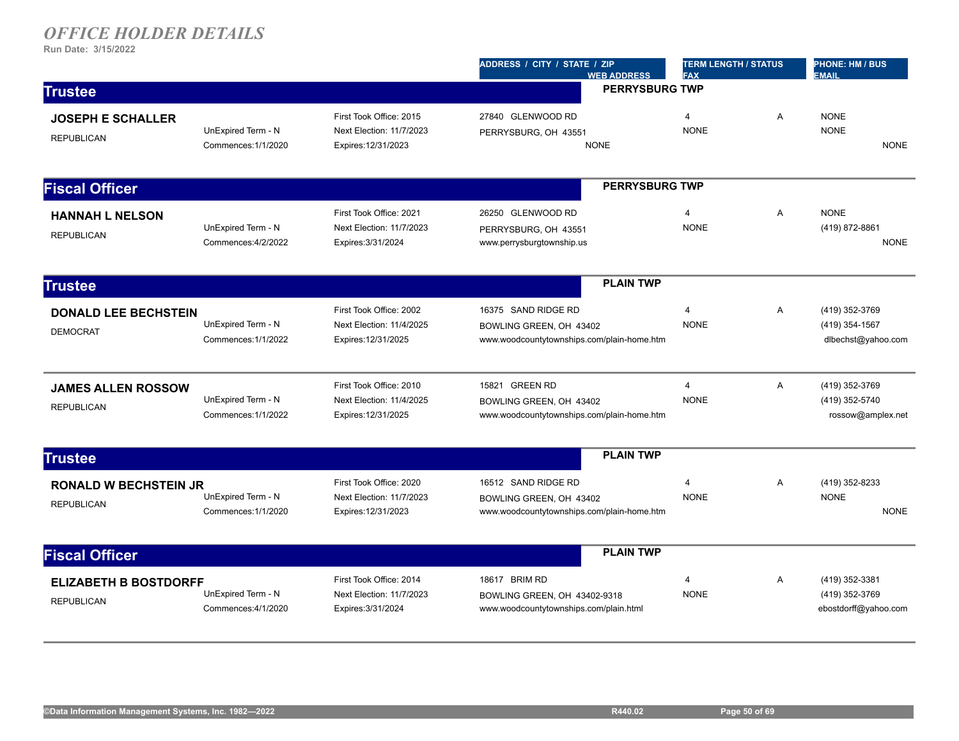|                                                   |                                           |                                                                            | ADDRESS / CITY / STATE / ZIP<br><b>WEB ADDRESS</b>                                           | <b>TERM LENGTH / STATUS</b><br><b>FAX</b> |   | <b>PHONE: HM / BUS</b><br><b>EMAIL</b>                   |
|---------------------------------------------------|-------------------------------------------|----------------------------------------------------------------------------|----------------------------------------------------------------------------------------------|-------------------------------------------|---|----------------------------------------------------------|
| <b>Trustee</b>                                    |                                           |                                                                            | <b>PERRYSBURG TWP</b>                                                                        |                                           |   |                                                          |
| <b>JOSEPH E SCHALLER</b><br><b>REPUBLICAN</b>     | UnExpired Term - N<br>Commences: 1/1/2020 | First Took Office: 2015<br>Next Election: 11/7/2023<br>Expires: 12/31/2023 | 27840 GLENWOOD RD<br>PERRYSBURG, OH 43551<br><b>NONE</b>                                     | 4<br><b>NONE</b>                          | Α | <b>NONE</b><br><b>NONE</b><br><b>NONE</b>                |
| <b>Fiscal Officer</b>                             |                                           |                                                                            | <b>PERRYSBURG TWP</b>                                                                        |                                           |   |                                                          |
| <b>HANNAH L NELSON</b><br><b>REPUBLICAN</b>       | UnExpired Term - N<br>Commences: 4/2/2022 | First Took Office: 2021<br>Next Election: 11/7/2023<br>Expires: 3/31/2024  | 26250 GLENWOOD RD<br>PERRYSBURG, OH 43551<br>www.perrysburgtownship.us                       | $\overline{4}$<br><b>NONE</b>             | A | <b>NONE</b><br>(419) 872-8861<br><b>NONE</b>             |
| <b>Trustee</b>                                    |                                           |                                                                            | <b>PLAIN TWP</b>                                                                             |                                           |   |                                                          |
| <b>DONALD LEE BECHSTEIN</b><br><b>DEMOCRAT</b>    | UnExpired Term - N<br>Commences: 1/1/2022 | First Took Office: 2002<br>Next Election: 11/4/2025<br>Expires: 12/31/2025 | 16375 SAND RIDGE RD<br>BOWLING GREEN, OH 43402<br>www.woodcountytownships.com/plain-home.htm | $\overline{4}$<br><b>NONE</b>             | A | (419) 352-3769<br>(419) 354-1567<br>dlbechst@yahoo.com   |
| <b>JAMES ALLEN ROSSOW</b><br><b>REPUBLICAN</b>    | UnExpired Term - N<br>Commences: 1/1/2022 | First Took Office: 2010<br>Next Election: 11/4/2025<br>Expires: 12/31/2025 | 15821 GREEN RD<br>BOWLING GREEN, OH 43402<br>www.woodcountytownships.com/plain-home.htm      | 4<br><b>NONE</b>                          | Α | (419) 352-3769<br>(419) 352-5740<br>rossow@amplex.net    |
| <b>Trustee</b>                                    |                                           |                                                                            | <b>PLAIN TWP</b>                                                                             |                                           |   |                                                          |
| <b>RONALD W BECHSTEIN JR</b><br><b>REPUBLICAN</b> | UnExpired Term - N<br>Commences: 1/1/2020 | First Took Office: 2020<br>Next Election: 11/7/2023<br>Expires: 12/31/2023 | 16512 SAND RIDGE RD<br>BOWLING GREEN, OH 43402<br>www.woodcountytownships.com/plain-home.htm | $\overline{4}$<br><b>NONE</b>             | Α | (419) 352-8233<br><b>NONE</b><br><b>NONE</b>             |
| <b>Fiscal Officer</b>                             |                                           |                                                                            | <b>PLAIN TWP</b>                                                                             |                                           |   |                                                          |
| <b>ELIZABETH B BOSTDORFF</b><br><b>REPUBLICAN</b> | UnExpired Term - N<br>Commences: 4/1/2020 | First Took Office: 2014<br>Next Election: 11/7/2023<br>Expires: 3/31/2024  | 18617 BRIM RD<br>BOWLING GREEN, OH 43402-9318<br>www.woodcountytownships.com/plain.html      | $\overline{4}$<br><b>NONE</b>             | Α | (419) 352-3381<br>(419) 352-3769<br>ebostdorff@yahoo.com |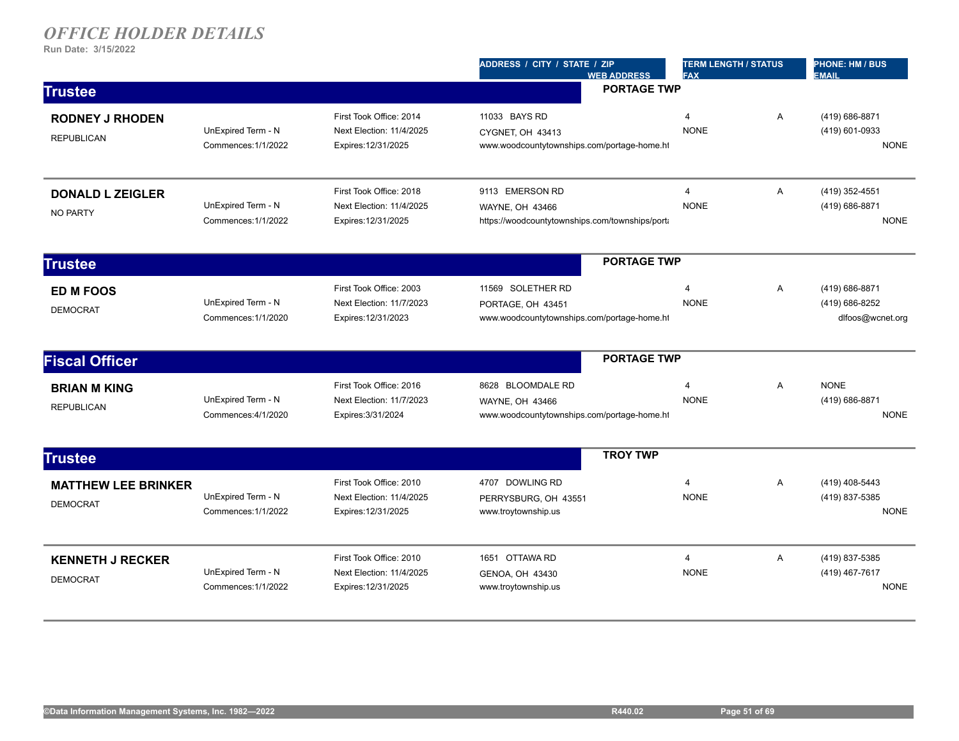|                                               |                                           |                                                                            | ADDRESS / CITY / STATE / ZIP<br><b>WEB ADDRESS</b>                                    | <b>TERM LENGTH / STATUS</b><br><b>FAX</b> |   | <b>PHONE: HM / BUS</b><br><b>EMAIL</b>               |
|-----------------------------------------------|-------------------------------------------|----------------------------------------------------------------------------|---------------------------------------------------------------------------------------|-------------------------------------------|---|------------------------------------------------------|
| <b>Trustee</b>                                |                                           |                                                                            | <b>PORTAGE TWP</b>                                                                    |                                           |   |                                                      |
| <b>RODNEY J RHODEN</b><br><b>REPUBLICAN</b>   | UnExpired Term - N<br>Commences: 1/1/2022 | First Took Office: 2014<br>Next Election: 11/4/2025<br>Expires: 12/31/2025 | 11033 BAYS RD<br>CYGNET, OH 43413<br>www.woodcountytownships.com/portage-home.ht      | $\overline{4}$<br><b>NONE</b>             | A | (419) 686-8871<br>(419) 601-0933<br><b>NONE</b>      |
| <b>DONALD L ZEIGLER</b><br><b>NO PARTY</b>    | UnExpired Term - N<br>Commences: 1/1/2022 | First Took Office: 2018<br>Next Election: 11/4/2025<br>Expires: 12/31/2025 | 9113 EMERSON RD<br>WAYNE, OH 43466<br>https://woodcountytownships.com/townships/porta | $\overline{4}$<br><b>NONE</b>             | A | (419) 352-4551<br>(419) 686-8871<br><b>NONE</b>      |
| <b>Trustee</b>                                |                                           |                                                                            | <b>PORTAGE TWP</b>                                                                    |                                           |   |                                                      |
| <b>ED M FOOS</b><br><b>DEMOCRAT</b>           | UnExpired Term - N<br>Commences: 1/1/2020 | First Took Office: 2003<br>Next Election: 11/7/2023<br>Expires: 12/31/2023 | 11569 SOLETHER RD<br>PORTAGE, OH 43451<br>www.woodcountytownships.com/portage-home.ht | $\overline{4}$<br><b>NONE</b>             | Α | (419) 686-8871<br>(419) 686-8252<br>dlfoos@wcnet.org |
| <b>Fiscal Officer</b>                         |                                           |                                                                            | <b>PORTAGE TWP</b>                                                                    |                                           |   |                                                      |
| <b>BRIAN M KING</b><br><b>REPUBLICAN</b>      | UnExpired Term - N<br>Commences: 4/1/2020 | First Took Office: 2016<br>Next Election: 11/7/2023<br>Expires: 3/31/2024  | 8628 BLOOMDALE RD<br>WAYNE, OH 43466<br>www.woodcountytownships.com/portage-home.ht   | $\overline{4}$<br><b>NONE</b>             | A | <b>NONE</b><br>(419) 686-8871<br><b>NONE</b>         |
| <b>Trustee</b>                                |                                           |                                                                            | <b>TROY TWP</b>                                                                       |                                           |   |                                                      |
| <b>MATTHEW LEE BRINKER</b><br><b>DEMOCRAT</b> | UnExpired Term - N<br>Commences: 1/1/2022 | First Took Office: 2010<br>Next Election: 11/4/2025<br>Expires: 12/31/2025 | 4707 DOWLING RD<br>PERRYSBURG, OH 43551<br>www.troytownship.us                        | $\overline{4}$<br><b>NONE</b>             | A | (419) 408-5443<br>(419) 837-5385<br><b>NONE</b>      |
| <b>KENNETH J RECKER</b><br><b>DEMOCRAT</b>    | UnExpired Term - N<br>Commences: 1/1/2022 | First Took Office: 2010<br>Next Election: 11/4/2025<br>Expires: 12/31/2025 | 1651 OTTAWA RD<br>GENOA, OH 43430<br>www.troytownship.us                              | $\overline{4}$<br><b>NONE</b>             | A | (419) 837-5385<br>(419) 467-7617<br><b>NONE</b>      |
|                                               |                                           |                                                                            |                                                                                       |                                           |   |                                                      |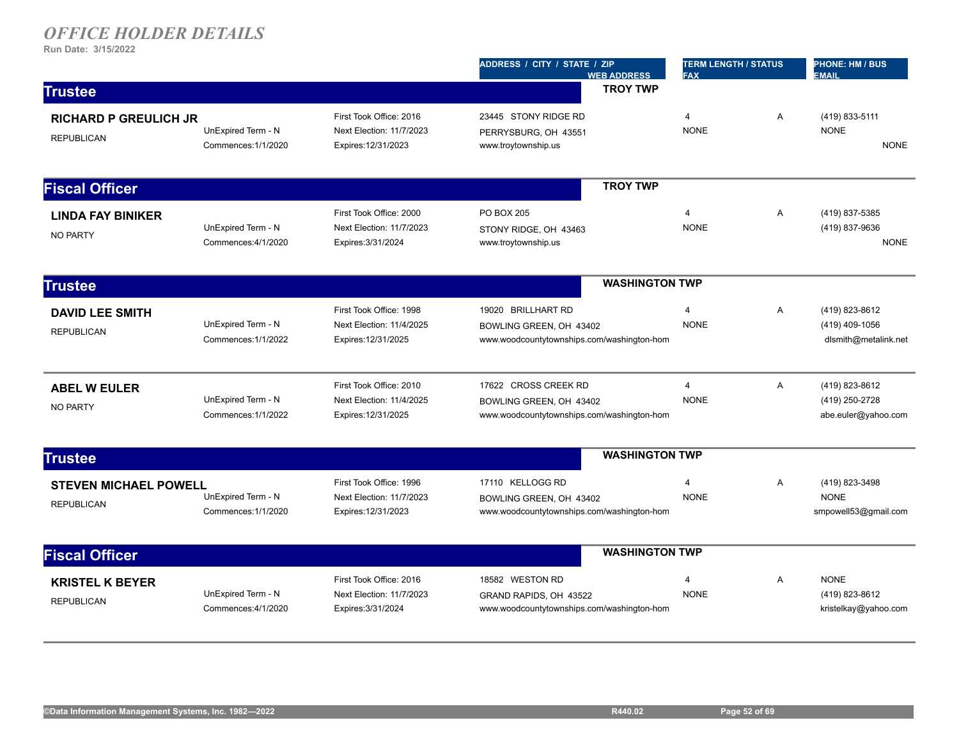| (419) 833-5111<br>A<br><b>NONE</b><br><b>NONE</b> |
|---------------------------------------------------|
|                                                   |
|                                                   |
|                                                   |
|                                                   |
|                                                   |
| $\overline{A}$<br>(419) 837-5385                  |
| (419) 837-9636                                    |
| <b>NONE</b>                                       |
|                                                   |
| (419) 823-8612                                    |
| (419) 409-1056                                    |
| dlsmith@metalink.net                              |
| A<br>(419) 823-8612                               |
| (419) 250-2728                                    |
| abe.euler@yahoo.com                               |
|                                                   |
| Α<br>(419) 823-3498                               |
| <b>NONE</b>                                       |
| smpowell53@gmail.com                              |
|                                                   |
|                                                   |
| (419) 823-8612                                    |
| kristelkay@yahoo.com                              |
| A<br><b>NONE</b><br>$\overline{A}$                |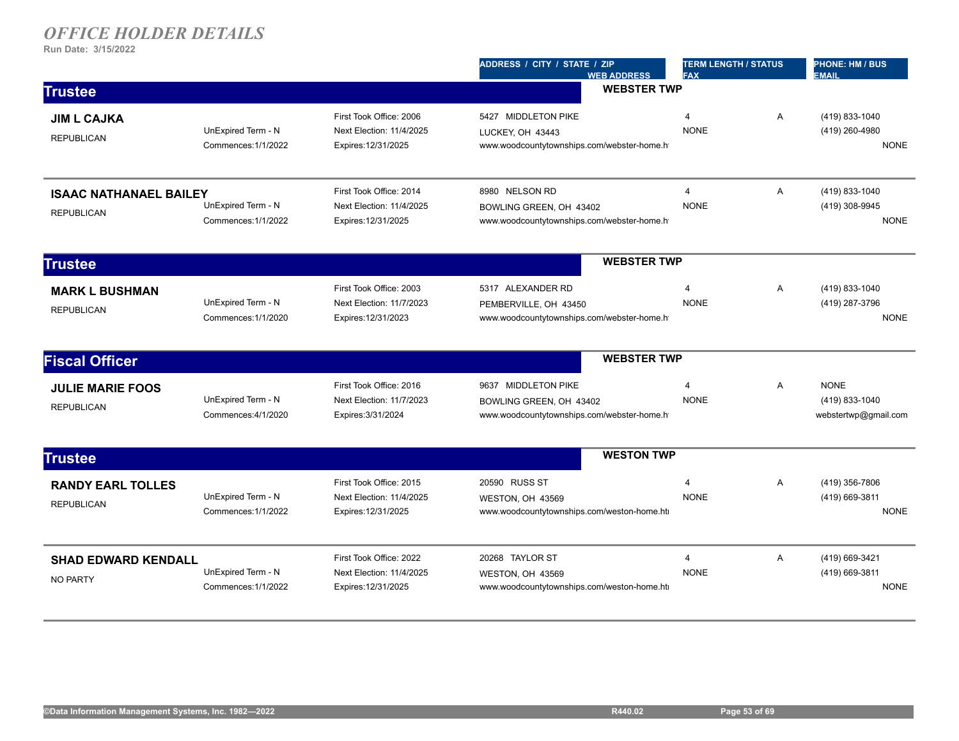|                                                    |                                           |                                                                            | ADDRESS / CITY / STATE / ZIP<br><b>WEB ADDRESS</b>                                           | <b>TERM LENGTH / STATUS</b><br><b>FAX</b> |                | <b>PHONE: HM / BUS</b><br><b>EMAIL</b>                |
|----------------------------------------------------|-------------------------------------------|----------------------------------------------------------------------------|----------------------------------------------------------------------------------------------|-------------------------------------------|----------------|-------------------------------------------------------|
| <b>Trustee</b>                                     |                                           |                                                                            | <b>WEBSTER TWP</b>                                                                           |                                           |                |                                                       |
| <b>JIM L CAJKA</b><br><b>REPUBLICAN</b>            | UnExpired Term - N<br>Commences: 1/1/2022 | First Took Office: 2006<br>Next Election: 11/4/2025<br>Expires: 12/31/2025 | 5427 MIDDLETON PIKE<br>LUCKEY, OH 43443<br>www.woodcountytownships.com/webster-home.h        | 4<br><b>NONE</b>                          | A              | (419) 833-1040<br>(419) 260-4980<br><b>NONE</b>       |
| <b>ISAAC NATHANAEL BAILEY</b><br><b>REPUBLICAN</b> | UnExpired Term - N<br>Commences: 1/1/2022 | First Took Office: 2014<br>Next Election: 11/4/2025<br>Expires: 12/31/2025 | 8980 NELSON RD<br>BOWLING GREEN, OH 43402<br>www.woodcountytownships.com/webster-home.h      | $\overline{4}$<br><b>NONE</b>             | A              | (419) 833-1040<br>(419) 308-9945<br><b>NONE</b>       |
| <b>Trustee</b>                                     |                                           |                                                                            | <b>WEBSTER TWP</b>                                                                           |                                           |                |                                                       |
| <b>MARK L BUSHMAN</b><br><b>REPUBLICAN</b>         | UnExpired Term - N<br>Commences: 1/1/2020 | First Took Office: 2003<br>Next Election: 11/7/2023<br>Expires: 12/31/2023 | 5317 ALEXANDER RD<br>PEMBERVILLE, OH 43450<br>www.woodcountytownships.com/webster-home.h     | 4<br><b>NONE</b>                          | A              | (419) 833-1040<br>(419) 287-3796<br><b>NONE</b>       |
| <b>Fiscal Officer</b>                              |                                           |                                                                            | <b>WEBSTER TWP</b>                                                                           |                                           |                |                                                       |
| <b>JULIE MARIE FOOS</b><br><b>REPUBLICAN</b>       | UnExpired Term - N<br>Commences: 4/1/2020 | First Took Office: 2016<br>Next Election: 11/7/2023<br>Expires: 3/31/2024  | 9637 MIDDLETON PIKE<br>BOWLING GREEN, OH 43402<br>www.woodcountytownships.com/webster-home.h | $\overline{4}$<br><b>NONE</b>             | $\overline{A}$ | <b>NONE</b><br>(419) 833-1040<br>webstertwp@gmail.com |
| <b>Trustee</b>                                     |                                           |                                                                            | <b>WESTON TWP</b>                                                                            |                                           |                |                                                       |
| <b>RANDY EARL TOLLES</b><br><b>REPUBLICAN</b>      | UnExpired Term - N<br>Commences: 1/1/2022 | First Took Office: 2015<br>Next Election: 11/4/2025<br>Expires: 12/31/2025 | 20590 RUSS ST<br>WESTON, OH 43569<br>www.woodcountytownships.com/weston-home.ht              | 4<br><b>NONE</b>                          | A              | (419) 356-7806<br>(419) 669-3811<br><b>NONE</b>       |
| <b>SHAD EDWARD KENDALL</b><br><b>NO PARTY</b>      | UnExpired Term - N<br>Commences: 1/1/2022 | First Took Office: 2022<br>Next Election: 11/4/2025<br>Expires: 12/31/2025 | 20268 TAYLOR ST<br>WESTON, OH 43569<br>www.woodcountytownships.com/weston-home.ht            | $\overline{4}$<br><b>NONE</b>             | $\overline{A}$ | (419) 669-3421<br>(419) 669-3811<br><b>NONE</b>       |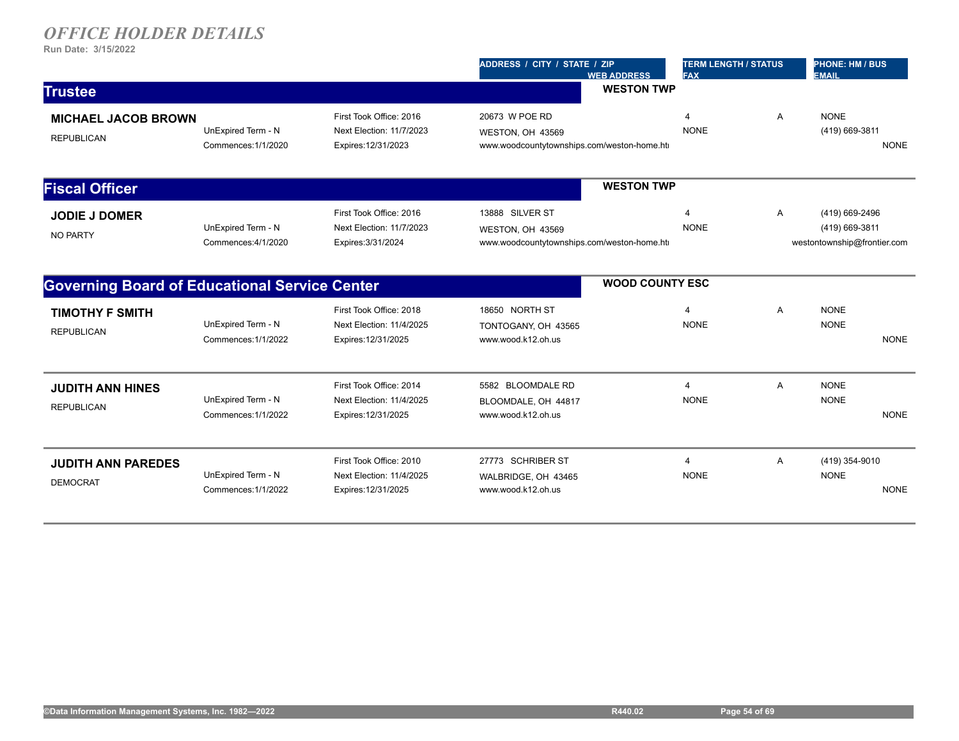|                                                      |                                           |                                                                            | ADDRESS / CITY / STATE / ZIP<br><b>WEB ADDRESS</b>                                 | <b>TERM LENGTH / STATUS</b><br><b>FAX</b> |              | PHONE: HM / BUS<br><b>EMAIL</b>                                 |
|------------------------------------------------------|-------------------------------------------|----------------------------------------------------------------------------|------------------------------------------------------------------------------------|-------------------------------------------|--------------|-----------------------------------------------------------------|
| <b>Trustee</b>                                       |                                           |                                                                            | <b>WESTON TWP</b>                                                                  |                                           |              |                                                                 |
| <b>MICHAEL JACOB BROWN</b><br><b>REPUBLICAN</b>      | UnExpired Term - N<br>Commences: 1/1/2020 | First Took Office: 2016<br>Next Election: 11/7/2023<br>Expires: 12/31/2023 | 20673 W POE RD<br>WESTON, OH 43569<br>www.woodcountytownships.com/weston-home.ht   | 4<br><b>NONE</b>                          | A            | <b>NONE</b><br>(419) 669-3811<br><b>NONE</b>                    |
| <b>Fiscal Officer</b>                                |                                           |                                                                            | <b>WESTON TWP</b>                                                                  |                                           |              |                                                                 |
| <b>JODIE J DOMER</b><br><b>NO PARTY</b>              | UnExpired Term - N<br>Commences: 4/1/2020 | First Took Office: 2016<br>Next Election: 11/7/2023<br>Expires: 3/31/2024  | 13888 SILVER ST<br>WESTON, OH 43569<br>www.woodcountytownships.com/weston-home.htm | 4<br><b>NONE</b>                          | $\mathsf{A}$ | (419) 669-2496<br>(419) 669-3811<br>westontownship@frontier.com |
| <b>Governing Board of Educational Service Center</b> |                                           |                                                                            | <b>WOOD COUNTY ESC</b>                                                             |                                           |              |                                                                 |
| <b>TIMOTHY F SMITH</b><br><b>REPUBLICAN</b>          | UnExpired Term - N<br>Commences: 1/1/2022 | First Took Office: 2018<br>Next Election: 11/4/2025<br>Expires: 12/31/2025 | 18650 NORTH ST<br>TONTOGANY, OH 43565<br>www.wood.k12.oh.us                        | 4<br><b>NONE</b>                          | A            | <b>NONE</b><br><b>NONE</b><br><b>NONE</b>                       |
| <b>JUDITH ANN HINES</b><br><b>REPUBLICAN</b>         | UnExpired Term - N<br>Commences: 1/1/2022 | First Took Office: 2014<br>Next Election: 11/4/2025<br>Expires: 12/31/2025 | 5582 BLOOMDALE RD<br>BLOOMDALE, OH 44817<br>www.wood.k12.oh.us                     | 4<br><b>NONE</b>                          | Α            | <b>NONE</b><br><b>NONE</b><br><b>NONE</b>                       |
| <b>JUDITH ANN PAREDES</b><br><b>DEMOCRAT</b>         | UnExpired Term - N<br>Commences: 1/1/2022 | First Took Office: 2010<br>Next Election: 11/4/2025<br>Expires: 12/31/2025 | 27773 SCHRIBER ST<br>WALBRIDGE, OH 43465<br>www.wood.k12.oh.us                     | 4<br><b>NONE</b>                          | A            | (419) 354-9010<br><b>NONE</b><br><b>NONE</b>                    |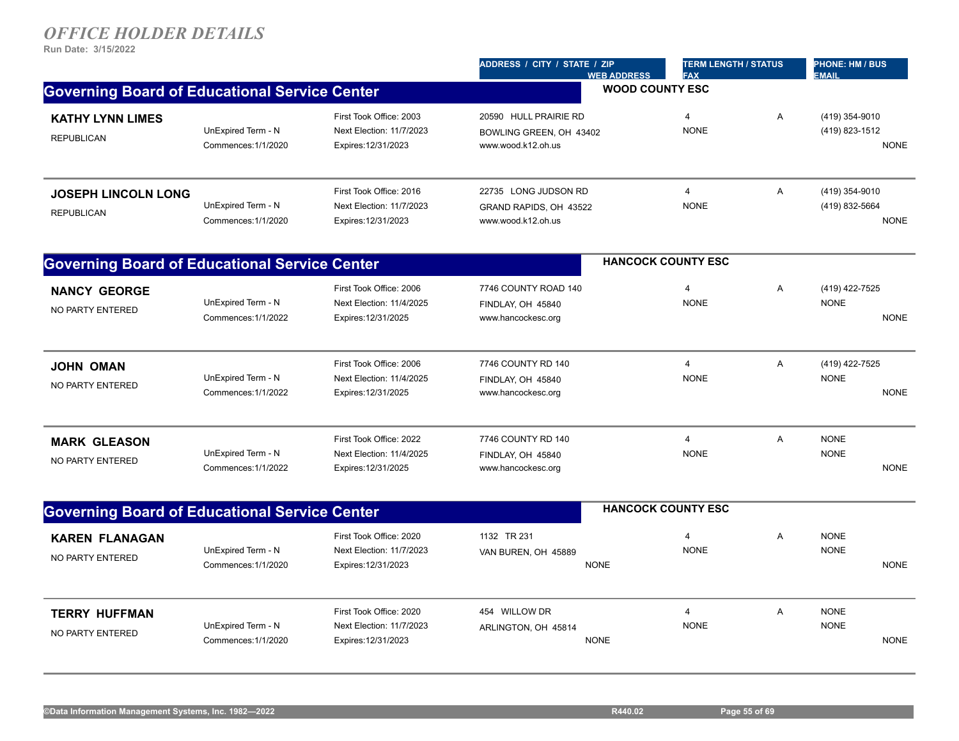|                                                      |                                           |                                                                            | ADDRESS / CITY / STATE / ZIP<br><b>WEB ADDRESS</b>                     | <b>TERM LENGTH / STATUS</b><br><b>FAX</b> |   | <b>PHONE: HM / BUS</b><br><b>EMAIL</b>          |
|------------------------------------------------------|-------------------------------------------|----------------------------------------------------------------------------|------------------------------------------------------------------------|-------------------------------------------|---|-------------------------------------------------|
| <b>Governing Board of Educational Service Center</b> |                                           |                                                                            |                                                                        | <b>WOOD COUNTY ESC</b>                    |   |                                                 |
| <b>KATHY LYNN LIMES</b><br><b>REPUBLICAN</b>         | UnExpired Term - N<br>Commences: 1/1/2020 | First Took Office: 2003<br>Next Election: 11/7/2023<br>Expires: 12/31/2023 | 20590 HULL PRAIRIE RD<br>BOWLING GREEN, OH 43402<br>www.wood.k12.oh.us | $\overline{4}$<br><b>NONE</b>             | Α | (419) 354-9010<br>(419) 823-1512<br><b>NONE</b> |
| <b>JOSEPH LINCOLN LONG</b><br><b>REPUBLICAN</b>      | UnExpired Term - N<br>Commences: 1/1/2020 | First Took Office: 2016<br>Next Election: 11/7/2023<br>Expires: 12/31/2023 | 22735 LONG JUDSON RD<br>GRAND RAPIDS, OH 43522<br>www.wood.k12.oh.us   | 4<br><b>NONE</b>                          | Α | (419) 354-9010<br>(419) 832-5664<br><b>NONE</b> |
| <b>Governing Board of Educational Service Center</b> |                                           |                                                                            |                                                                        | <b>HANCOCK COUNTY ESC</b>                 |   |                                                 |
| <b>NANCY GEORGE</b><br>NO PARTY ENTERED              | UnExpired Term - N<br>Commences: 1/1/2022 | First Took Office: 2006<br>Next Election: 11/4/2025<br>Expires: 12/31/2025 | 7746 COUNTY ROAD 140<br>FINDLAY, OH 45840<br>www.hancockesc.org        | 4<br><b>NONE</b>                          | Α | (419) 422-7525<br><b>NONE</b><br><b>NONE</b>    |
| <b>JOHN OMAN</b><br>NO PARTY ENTERED                 | UnExpired Term - N<br>Commences: 1/1/2022 | First Took Office: 2006<br>Next Election: 11/4/2025<br>Expires: 12/31/2025 | 7746 COUNTY RD 140<br>FINDLAY, OH 45840<br>www.hancockesc.org          | $\overline{4}$<br><b>NONE</b>             | Α | (419) 422-7525<br><b>NONE</b><br><b>NONE</b>    |
| <b>MARK GLEASON</b><br><b>NO PARTY ENTERED</b>       | UnExpired Term - N<br>Commences: 1/1/2022 | First Took Office: 2022<br>Next Election: 11/4/2025<br>Expires: 12/31/2025 | 7746 COUNTY RD 140<br>FINDLAY, OH 45840<br>www.hancockesc.org          | $\overline{4}$<br><b>NONE</b>             | Α | <b>NONE</b><br><b>NONE</b><br><b>NONE</b>       |
| <b>Governing Board of Educational Service Center</b> |                                           |                                                                            |                                                                        | <b>HANCOCK COUNTY ESC</b>                 |   |                                                 |
| KAREN FLANAGAN<br>NO PARTY ENTERED                   | UnExpired Term - N<br>Commences: 1/1/2020 | First Took Office: 2020<br>Next Election: 11/7/2023<br>Expires: 12/31/2023 | 1132 TR 231<br>VAN BUREN, OH 45889<br><b>NONE</b>                      | $\overline{4}$<br><b>NONE</b>             | A | <b>NONE</b><br><b>NONE</b><br><b>NONE</b>       |
| <b>TERRY HUFFMAN</b><br>NO PARTY ENTERED             | UnExpired Term - N<br>Commences: 1/1/2020 | First Took Office: 2020<br>Next Election: 11/7/2023<br>Expires: 12/31/2023 | 454 WILLOW DR<br>ARLINGTON, OH 45814<br><b>NONE</b>                    | $\overline{4}$<br><b>NONE</b>             | A | <b>NONE</b><br><b>NONE</b><br><b>NONE</b>       |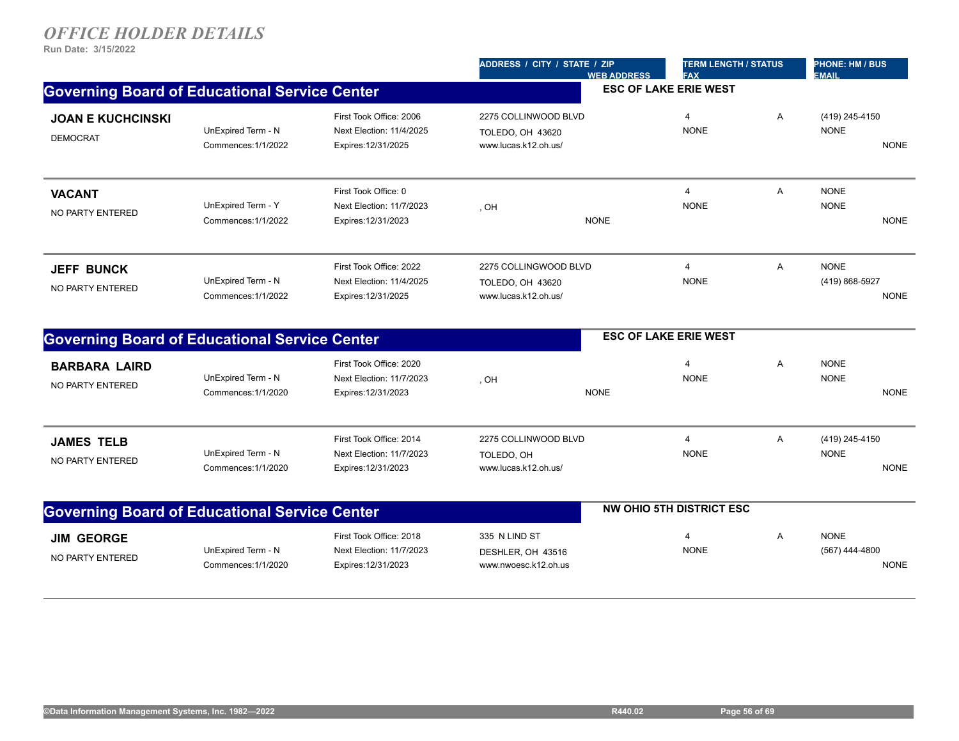|                                                      |                                           |                                                                            | ADDRESS / CITY / STATE / ZIP                                      | <b>TERM LENGTH / STATUS</b><br><b>FAX</b><br><b>WEB ADDRESS</b> |   | <b>PHONE: HM / BUS</b><br><b>EMAIL</b>       |
|------------------------------------------------------|-------------------------------------------|----------------------------------------------------------------------------|-------------------------------------------------------------------|-----------------------------------------------------------------|---|----------------------------------------------|
| <b>Governing Board of Educational Service Center</b> |                                           |                                                                            |                                                                   | <b>ESC OF LAKE ERIE WEST</b>                                    |   |                                              |
| <b>JOAN E KUCHCINSKI</b><br><b>DEMOCRAT</b>          | UnExpired Term - N<br>Commences: 1/1/2022 | First Took Office: 2006<br>Next Election: 11/4/2025<br>Expires: 12/31/2025 | 2275 COLLINWOOD BLVD<br>TOLEDO, OH 43620<br>www.lucas.k12.oh.us/  | $\overline{4}$<br><b>NONE</b>                                   | Α | (419) 245-4150<br><b>NONE</b><br><b>NONE</b> |
| <b>VACANT</b><br><b>NO PARTY ENTERED</b>             | UnExpired Term - Y<br>Commences: 1/1/2022 | First Took Office: 0<br>Next Election: 11/7/2023<br>Expires: 12/31/2023    | , OH<br><b>NONE</b>                                               | $\overline{4}$<br><b>NONE</b>                                   | Α | <b>NONE</b><br><b>NONE</b><br><b>NONE</b>    |
| <b>JEFF BUNCK</b><br>NO PARTY ENTERED                | UnExpired Term - N<br>Commences: 1/1/2022 | First Took Office: 2022<br>Next Election: 11/4/2025<br>Expires: 12/31/2025 | 2275 COLLINGWOOD BLVD<br>TOLEDO, OH 43620<br>www.lucas.k12.oh.us/ | $\overline{4}$<br><b>NONE</b>                                   | A | <b>NONE</b><br>(419) 868-5927<br><b>NONE</b> |
| <b>Governing Board of Educational Service Center</b> |                                           |                                                                            |                                                                   | <b>ESC OF LAKE ERIE WEST</b>                                    |   |                                              |
| <b>BARBARA LAIRD</b><br><b>NO PARTY ENTERED</b>      | UnExpired Term - N<br>Commences: 1/1/2020 | First Took Office: 2020<br>Next Election: 11/7/2023<br>Expires: 12/31/2023 | , OH<br><b>NONE</b>                                               | 4<br><b>NONE</b>                                                | A | <b>NONE</b><br><b>NONE</b><br><b>NONE</b>    |
| <b>JAMES TELB</b><br>NO PARTY ENTERED                | UnExpired Term - N<br>Commences: 1/1/2020 | First Took Office: 2014<br>Next Election: 11/7/2023<br>Expires: 12/31/2023 | 2275 COLLINWOOD BLVD<br>TOLEDO, OH<br>www.lucas.k12.oh.us/        | $\overline{4}$<br><b>NONE</b>                                   | A | (419) 245-4150<br><b>NONE</b><br><b>NONE</b> |
| <b>Governing Board of Educational Service Center</b> |                                           |                                                                            |                                                                   | <b>NW OHIO 5TH DISTRICT ESC</b>                                 |   |                                              |
| <b>JIM GEORGE</b><br>NO PARTY ENTERED                | UnExpired Term - N<br>Commences: 1/1/2020 | First Took Office: 2018<br>Next Election: 11/7/2023<br>Expires: 12/31/2023 | 335 N LIND ST<br>DESHLER, OH 43516<br>www.nwoesc.k12.oh.us        | $\overline{4}$<br><b>NONE</b>                                   | A | <b>NONE</b><br>(567) 444-4800<br><b>NONE</b> |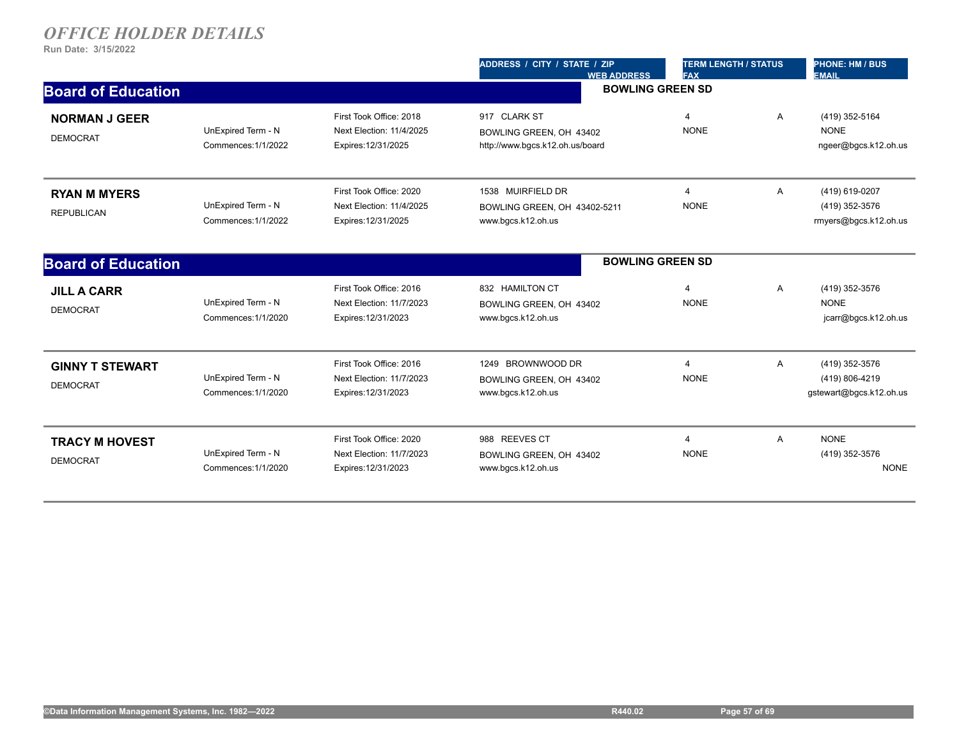|                                           |                                           |                                                                            | ADDRESS / CITY / STATE / ZIP<br><b>WEB ADDRESS</b>                         | <b>TERM LENGTH / STATUS</b><br><b>FAX</b> |   | <b>PHONE: HM / BUS</b><br><b>EMAIL</b>                      |  |
|-------------------------------------------|-------------------------------------------|----------------------------------------------------------------------------|----------------------------------------------------------------------------|-------------------------------------------|---|-------------------------------------------------------------|--|
| <b>Board of Education</b>                 |                                           |                                                                            | <b>BOWLING GREEN SD</b>                                                    |                                           |   |                                                             |  |
| <b>NORMAN J GEER</b><br><b>DEMOCRAT</b>   | UnExpired Term - N<br>Commences: 1/1/2022 | First Took Office: 2018<br>Next Election: 11/4/2025<br>Expires: 12/31/2025 | 917 CLARK ST<br>BOWLING GREEN, OH 43402<br>http://www.bgcs.k12.oh.us/board | $\overline{4}$<br><b>NONE</b>             | A | (419) 352-5164<br><b>NONE</b><br>ngeer@bgcs.k12.oh.us       |  |
| <b>RYAN M MYERS</b><br><b>REPUBLICAN</b>  | UnExpired Term - N<br>Commences: 1/1/2022 | First Took Office: 2020<br>Next Election: 11/4/2025<br>Expires: 12/31/2025 | 1538 MUIRFIELD DR<br>BOWLING GREEN, OH 43402-5211<br>www.bgcs.k12.oh.us    | $\overline{4}$<br><b>NONE</b>             | A | (419) 619-0207<br>(419) 352-3576<br>rmyers@bgcs.k12.oh.us   |  |
| <b>Board of Education</b>                 |                                           |                                                                            | <b>BOWLING GREEN SD</b>                                                    |                                           |   |                                                             |  |
| <b>JILL A CARR</b><br><b>DEMOCRAT</b>     | UnExpired Term - N<br>Commences: 1/1/2020 | First Took Office: 2016<br>Next Election: 11/7/2023<br>Expires: 12/31/2023 | 832 HAMILTON CT<br>BOWLING GREEN, OH 43402<br>www.bgcs.k12.oh.us           | $\overline{4}$<br><b>NONE</b>             | A | (419) 352-3576<br><b>NONE</b><br>jcarr@bgcs.k12.oh.us       |  |
| <b>GINNY T STEWART</b><br><b>DEMOCRAT</b> | UnExpired Term - N<br>Commences: 1/1/2020 | First Took Office: 2016<br>Next Election: 11/7/2023<br>Expires: 12/31/2023 | 1249 BROWNWOOD DR<br>BOWLING GREEN, OH 43402<br>www.bgcs.k12.oh.us         | $\overline{4}$<br><b>NONE</b>             | A | (419) 352-3576<br>(419) 806-4219<br>gstewart@bgcs.k12.oh.us |  |
| <b>TRACY M HOVEST</b><br><b>DEMOCRAT</b>  | UnExpired Term - N<br>Commences: 1/1/2020 | First Took Office: 2020<br>Next Election: 11/7/2023<br>Expires: 12/31/2023 | 988 REEVES CT<br>BOWLING GREEN, OH 43402<br>www.bgcs.k12.oh.us             | $\overline{4}$<br><b>NONE</b>             | A | <b>NONE</b><br>(419) 352-3576<br><b>NONE</b>                |  |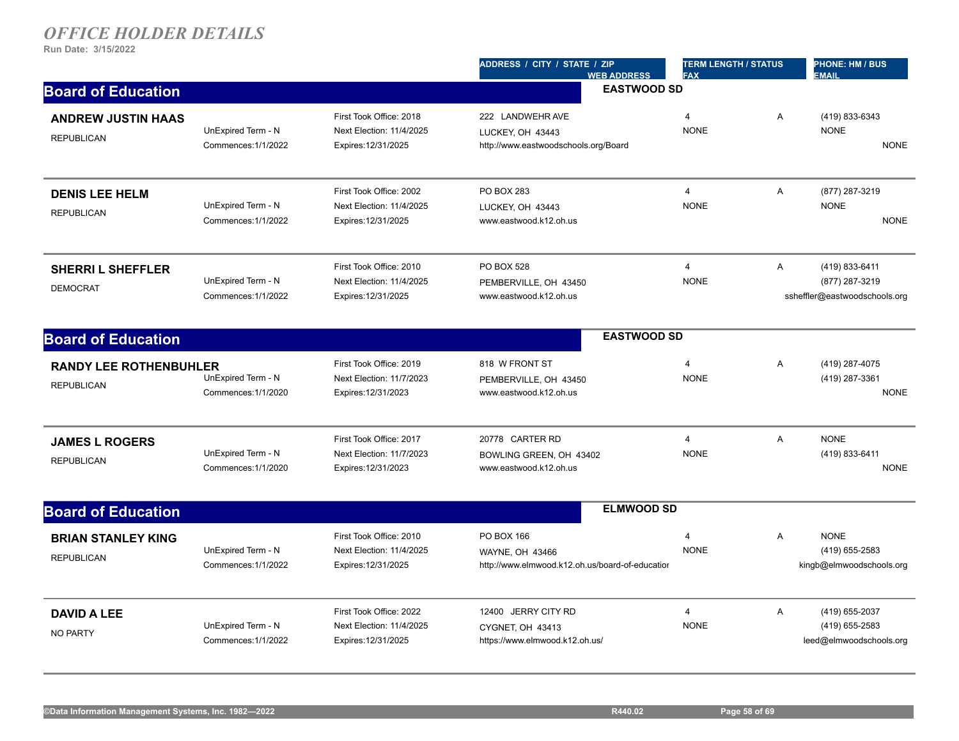|                                                    |                                           |                                                                            | ADDRESS / CITY / STATE / ZIP<br><b>WEB ADDRESS</b>                               | <b>TERM LENGTH / STATUS</b><br><b>FAX</b> |                | <b>PHONE: HM / BUS</b><br><b>EMAIL</b>                            |
|----------------------------------------------------|-------------------------------------------|----------------------------------------------------------------------------|----------------------------------------------------------------------------------|-------------------------------------------|----------------|-------------------------------------------------------------------|
| <b>Board of Education</b>                          |                                           |                                                                            | <b>EASTWOOD SD</b>                                                               |                                           |                |                                                                   |
| <b>ANDREW JUSTIN HAAS</b><br><b>REPUBLICAN</b>     | UnExpired Term - N<br>Commences: 1/1/2022 | First Took Office: 2018<br>Next Election: 11/4/2025<br>Expires: 12/31/2025 | 222 LANDWEHR AVE<br>LUCKEY, OH 43443<br>http://www.eastwoodschools.org/Board     | $\overline{4}$<br><b>NONE</b>             | A              | (419) 833-6343<br><b>NONE</b><br><b>NONE</b>                      |
| <b>DENIS LEE HELM</b>                              |                                           | First Took Office: 2002                                                    | PO BOX 283                                                                       | $\overline{4}$                            | A              | (877) 287-3219                                                    |
| <b>REPUBLICAN</b>                                  | UnExpired Term - N<br>Commences: 1/1/2022 | Next Election: 11/4/2025<br>Expires: 12/31/2025                            | LUCKEY, OH 43443<br>www.eastwood.k12.oh.us                                       | <b>NONE</b>                               |                | <b>NONE</b><br><b>NONE</b>                                        |
| <b>SHERRIL SHEFFLER</b><br><b>DEMOCRAT</b>         | UnExpired Term - N<br>Commences: 1/1/2022 | First Took Office: 2010<br>Next Election: 11/4/2025<br>Expires: 12/31/2025 | PO BOX 528<br>PEMBERVILLE, OH 43450<br>www.eastwood.k12.oh.us                    | $\overline{4}$<br><b>NONE</b>             | A              | (419) 833-6411<br>(877) 287-3219<br>ssheffler@eastwoodschools.org |
| <b>Board of Education</b>                          |                                           |                                                                            | <b>EASTWOOD SD</b>                                                               |                                           |                |                                                                   |
| <b>RANDY LEE ROTHENBUHLER</b><br><b>REPUBLICAN</b> | UnExpired Term - N<br>Commences: 1/1/2020 | First Took Office: 2019<br>Next Election: 11/7/2023<br>Expires: 12/31/2023 | 818 W FRONT ST<br>PEMBERVILLE, OH 43450<br>www.eastwood.k12.oh.us                | $\overline{4}$<br><b>NONE</b>             | A              | (419) 287-4075<br>(419) 287-3361<br><b>NONE</b>                   |
| <b>JAMES L ROGERS</b><br><b>REPUBLICAN</b>         | UnExpired Term - N<br>Commences: 1/1/2020 | First Took Office: 2017<br>Next Election: 11/7/2023<br>Expires: 12/31/2023 | 20778 CARTER RD<br>BOWLING GREEN, OH 43402<br>www.eastwood.k12.oh.us             | $\overline{4}$<br><b>NONE</b>             | A              | <b>NONE</b><br>(419) 833-6411<br><b>NONE</b>                      |
| <b>Board of Education</b>                          |                                           |                                                                            | <b>ELMWOOD SD</b>                                                                |                                           |                |                                                                   |
| <b>BRIAN STANLEY KING</b><br><b>REPUBLICAN</b>     | UnExpired Term - N<br>Commences: 1/1/2022 | First Took Office: 2010<br>Next Election: 11/4/2025<br>Expires: 12/31/2025 | PO BOX 166<br>WAYNE, OH 43466<br>http://www.elmwood.k12.oh.us/board-of-education | $\overline{4}$<br><b>NONE</b>             | $\overline{A}$ | <b>NONE</b><br>(419) 655-2583<br>kingb@elmwoodschools.org         |
| <b>DAVID A LEE</b><br><b>NO PARTY</b>              | UnExpired Term - N<br>Commences: 1/1/2022 | First Took Office: 2022<br>Next Election: 11/4/2025<br>Expires: 12/31/2025 | 12400 JERRY CITY RD<br>CYGNET, OH 43413<br>https://www.elmwood.k12.oh.us/        | $\overline{4}$<br><b>NONE</b>             | A              | (419) 655-2037<br>(419) 655-2583<br>leed@elmwoodschools.org       |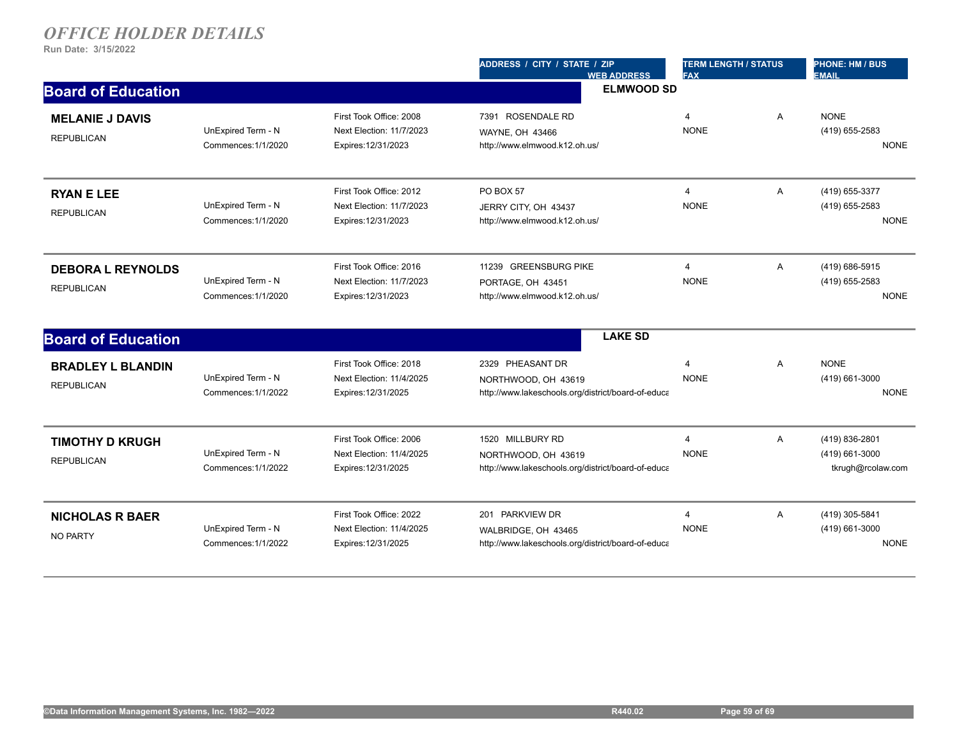|                                               |                                           |                                                                            | ADDRESS / CITY / STATE / ZIP<br><b>WEB ADDRESS</b>                                            | <b>TERM LENGTH / STATUS</b><br><b>FAX</b> |                | <b>PHONE: HM / BUS</b><br><b>EMAIL</b>                |
|-----------------------------------------------|-------------------------------------------|----------------------------------------------------------------------------|-----------------------------------------------------------------------------------------------|-------------------------------------------|----------------|-------------------------------------------------------|
| <b>Board of Education</b>                     |                                           |                                                                            | <b>ELMWOOD SD</b>                                                                             |                                           |                |                                                       |
| <b>MELANIE J DAVIS</b><br><b>REPUBLICAN</b>   | UnExpired Term - N<br>Commences: 1/1/2020 | First Took Office: 2008<br>Next Election: 11/7/2023<br>Expires: 12/31/2023 | 7391 ROSENDALE RD<br>WAYNE, OH 43466<br>http://www.elmwood.k12.oh.us/                         | $\overline{4}$<br><b>NONE</b>             | A              | <b>NONE</b><br>(419) 655-2583<br><b>NONE</b>          |
| <b>RYAN E LEE</b><br><b>REPUBLICAN</b>        | UnExpired Term - N<br>Commences: 1/1/2020 | First Took Office: 2012<br>Next Election: 11/7/2023<br>Expires: 12/31/2023 | PO BOX 57<br>JERRY CITY, OH 43437<br>http://www.elmwood.k12.oh.us/                            | $\overline{4}$<br><b>NONE</b>             | A              | (419) 655-3377<br>(419) 655-2583<br><b>NONE</b>       |
| <b>DEBORA L REYNOLDS</b><br><b>REPUBLICAN</b> | UnExpired Term - N<br>Commences: 1/1/2020 | First Took Office: 2016<br>Next Election: 11/7/2023<br>Expires: 12/31/2023 | 11239 GREENSBURG PIKE<br>PORTAGE, OH 43451<br>http://www.elmwood.k12.oh.us/                   | $\overline{4}$<br><b>NONE</b>             | A              | (419) 686-5915<br>(419) 655-2583<br><b>NONE</b>       |
| <b>Board of Education</b>                     |                                           |                                                                            | <b>LAKE SD</b>                                                                                |                                           |                |                                                       |
| <b>BRADLEY L BLANDIN</b><br><b>REPUBLICAN</b> | UnExpired Term - N<br>Commences: 1/1/2022 | First Took Office: 2018<br>Next Election: 11/4/2025<br>Expires: 12/31/2025 | 2329 PHEASANT DR<br>NORTHWOOD, OH 43619<br>http://www.lakeschools.org/district/board-of-educa | $\overline{4}$<br><b>NONE</b>             | $\overline{A}$ | <b>NONE</b><br>(419) 661-3000<br><b>NONE</b>          |
| <b>TIMOTHY D KRUGH</b><br><b>REPUBLICAN</b>   | UnExpired Term - N<br>Commences: 1/1/2022 | First Took Office: 2006<br>Next Election: 11/4/2025<br>Expires: 12/31/2025 | 1520 MILLBURY RD<br>NORTHWOOD, OH 43619<br>http://www.lakeschools.org/district/board-of-educa | $\overline{4}$<br><b>NONE</b>             | A              | (419) 836-2801<br>(419) 661-3000<br>tkrugh@rcolaw.com |
| <b>NICHOLAS R BAER</b><br>NO PARTY            | UnExpired Term - N<br>Commences: 1/1/2022 | First Took Office: 2022<br>Next Election: 11/4/2025<br>Expires: 12/31/2025 | 201 PARKVIEW DR<br>WALBRIDGE, OH 43465<br>http://www.lakeschools.org/district/board-of-educa  | 4<br><b>NONE</b>                          | A              | (419) 305-5841<br>(419) 661-3000<br><b>NONE</b>       |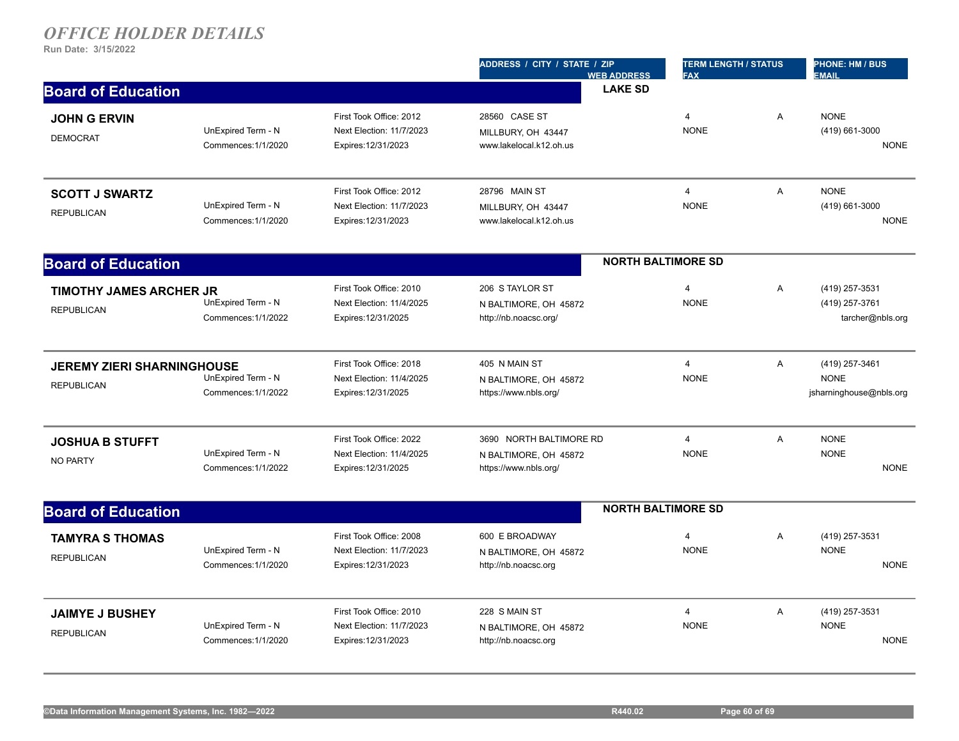|                                                        |                                           |                                                                            | ADDRESS / CITY / STATE / ZIP<br><b>WEB ADDRESS</b>                        | <b>TERM LENGTH / STATUS</b><br><b>FAX</b> |                | <b>PHONE: HM / BUS</b><br><b>EMAIL</b>                   |
|--------------------------------------------------------|-------------------------------------------|----------------------------------------------------------------------------|---------------------------------------------------------------------------|-------------------------------------------|----------------|----------------------------------------------------------|
| <b>Board of Education</b>                              |                                           |                                                                            | <b>LAKE SD</b>                                                            |                                           |                |                                                          |
| <b>JOHN G ERVIN</b><br><b>DEMOCRAT</b>                 | UnExpired Term - N<br>Commences: 1/1/2020 | First Took Office: 2012<br>Next Election: 11/7/2023<br>Expires: 12/31/2023 | 28560 CASE ST<br>MILLBURY, OH 43447<br>www.lakelocal.k12.oh.us            | $\overline{4}$<br><b>NONE</b>             | A              | <b>NONE</b><br>(419) 661-3000<br><b>NONE</b>             |
| <b>SCOTT J SWARTZ</b><br><b>REPUBLICAN</b>             | UnExpired Term - N<br>Commences: 1/1/2020 | First Took Office: 2012<br>Next Election: 11/7/2023<br>Expires: 12/31/2023 | 28796 MAIN ST<br>MILLBURY, OH 43447<br>www.lakelocal.k12.oh.us            | $\overline{4}$<br><b>NONE</b>             | A              | <b>NONE</b><br>(419) 661-3000<br><b>NONE</b>             |
| <b>Board of Education</b>                              |                                           |                                                                            |                                                                           | <b>NORTH BALTIMORE SD</b>                 |                |                                                          |
| <b>TIMOTHY JAMES ARCHER JR</b><br><b>REPUBLICAN</b>    | UnExpired Term - N<br>Commences: 1/1/2022 | First Took Office: 2010<br>Next Election: 11/4/2025<br>Expires: 12/31/2025 | 206 S TAYLOR ST<br>N BALTIMORE, OH 45872<br>http://nb.noacsc.org/         | 4<br><b>NONE</b>                          | Α              | (419) 257-3531<br>(419) 257-3761<br>tarcher@nbls.org     |
| <b>JEREMY ZIERI SHARNINGHOUSE</b><br><b>REPUBLICAN</b> | UnExpired Term - N<br>Commences: 1/1/2022 | First Took Office: 2018<br>Next Election: 11/4/2025<br>Expires: 12/31/2025 | 405 N MAIN ST<br>N BALTIMORE, OH 45872<br>https://www.nbls.org/           | $\overline{4}$<br><b>NONE</b>             | A              | (419) 257-3461<br><b>NONE</b><br>jsharninghouse@nbls.org |
| <b>JOSHUA B STUFFT</b><br><b>NO PARTY</b>              | UnExpired Term - N<br>Commences: 1/1/2022 | First Took Office: 2022<br>Next Election: 11/4/2025<br>Expires: 12/31/2025 | 3690 NORTH BALTIMORE RD<br>N BALTIMORE, OH 45872<br>https://www.nbls.org/ | $\overline{4}$<br><b>NONE</b>             | $\overline{A}$ | <b>NONE</b><br><b>NONE</b><br><b>NONE</b>                |
| <b>Board of Education</b>                              |                                           |                                                                            |                                                                           | <b>NORTH BALTIMORE SD</b>                 |                |                                                          |
| <b>TAMYRA S THOMAS</b><br><b>REPUBLICAN</b>            | UnExpired Term - N<br>Commences: 1/1/2020 | First Took Office: 2008<br>Next Election: 11/7/2023<br>Expires: 12/31/2023 | 600 E BROADWAY<br>N BALTIMORE, OH 45872<br>http://nb.noacsc.org           | $\overline{4}$<br><b>NONE</b>             | A              | (419) 257-3531<br><b>NONE</b><br><b>NONE</b>             |
| <b>JAIMYE J BUSHEY</b><br><b>REPUBLICAN</b>            | UnExpired Term - N<br>Commences: 1/1/2020 | First Took Office: 2010<br>Next Election: 11/7/2023<br>Expires: 12/31/2023 | 228 S MAIN ST<br>N BALTIMORE, OH 45872<br>http://nb.noacsc.org            | $\overline{4}$<br><b>NONE</b>             | A              | (419) 257-3531<br><b>NONE</b><br><b>NONE</b>             |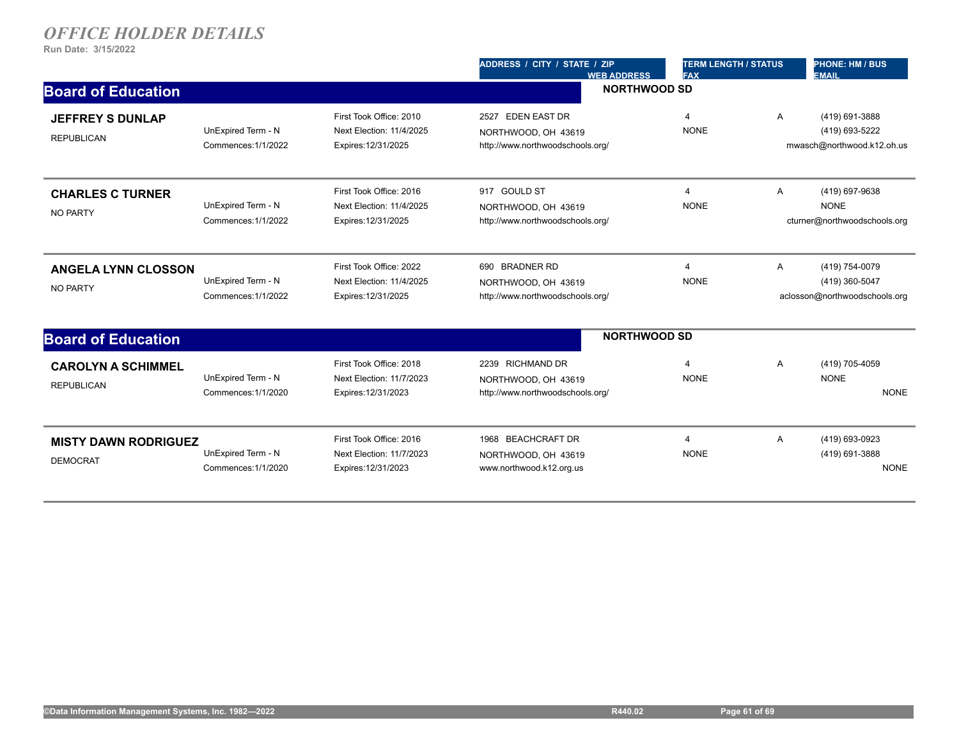|                                                |                                           |                                                                            | ADDRESS / CITY / STATE / ZIP<br><b>WEB ADDRESS</b>                           | <b>TERM LENGTH / STATUS</b><br><b>FAX</b> |              | <b>PHONE: HM / BUS</b><br><b>EMAIL</b>                            |  |
|------------------------------------------------|-------------------------------------------|----------------------------------------------------------------------------|------------------------------------------------------------------------------|-------------------------------------------|--------------|-------------------------------------------------------------------|--|
| <b>Board of Education</b>                      |                                           |                                                                            | <b>NORTHWOOD SD</b>                                                          |                                           |              |                                                                   |  |
| <b>JEFFREY S DUNLAP</b><br><b>REPUBLICAN</b>   | UnExpired Term - N<br>Commences: 1/1/2022 | First Took Office: 2010<br>Next Election: 11/4/2025<br>Expires: 12/31/2025 | 2527 EDEN EAST DR<br>NORTHWOOD, OH 43619<br>http://www.northwoodschools.org/ | 4<br><b>NONE</b>                          | $\mathsf{A}$ | (419) 691-3888<br>(419) 693-5222<br>mwasch@northwood.k12.oh.us    |  |
| <b>CHARLES C TURNER</b><br><b>NO PARTY</b>     | UnExpired Term - N<br>Commences: 1/1/2022 | First Took Office: 2016<br>Next Election: 11/4/2025<br>Expires: 12/31/2025 | 917 GOULD ST<br>NORTHWOOD, OH 43619<br>http://www.northwoodschools.org/      | 4<br><b>NONE</b>                          | A            | (419) 697-9638<br><b>NONE</b><br>cturner@northwoodschools.org     |  |
| <b>ANGELA LYNN CLOSSON</b><br><b>NO PARTY</b>  | UnExpired Term - N<br>Commences: 1/1/2022 | First Took Office: 2022<br>Next Election: 11/4/2025<br>Expires: 12/31/2025 | 690 BRADNER RD<br>NORTHWOOD, OH 43619<br>http://www.northwoodschools.org/    | $\overline{4}$<br><b>NONE</b>             | $\mathsf{A}$ | (419) 754-0079<br>(419) 360-5047<br>aclosson@northwoodschools.org |  |
| <b>Board of Education</b>                      |                                           |                                                                            | <b>NORTHWOOD SD</b>                                                          |                                           |              |                                                                   |  |
| <b>CAROLYN A SCHIMMEL</b><br><b>REPUBLICAN</b> | UnExpired Term - N<br>Commences: 1/1/2020 | First Took Office: 2018<br>Next Election: 11/7/2023<br>Expires: 12/31/2023 | 2239 RICHMAND DR<br>NORTHWOOD, OH 43619<br>http://www.northwoodschools.org/  | 4<br><b>NONE</b>                          | A            | (419) 705-4059<br><b>NONE</b><br><b>NONE</b>                      |  |
| <b>MISTY DAWN RODRIGUEZ</b><br><b>DEMOCRAT</b> | UnExpired Term - N<br>Commences: 1/1/2020 | First Took Office: 2016<br>Next Election: 11/7/2023<br>Expires: 12/31/2023 | 1968 BEACHCRAFT DR<br>NORTHWOOD, OH 43619<br>www.northwood.k12.org.us        | 4<br><b>NONE</b>                          | Α            | (419) 693-0923<br>(419) 691-3888<br><b>NONE</b>                   |  |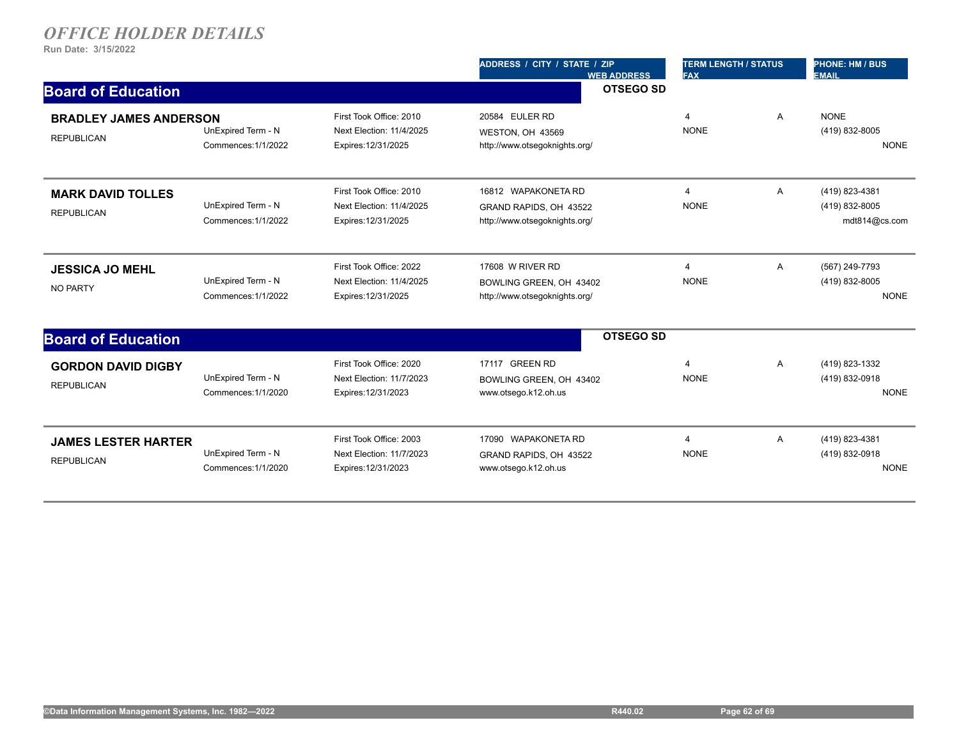|                                                    |                                           |                                                                            | ADDRESS / CITY / STATE / ZIP<br><b>WEB ADDRESS</b>                             | <b>TERM LENGTH / STATUS</b><br><b>FAX</b> |   | <b>PHONE: HM / BUS</b><br><b>EMAIL</b>            |
|----------------------------------------------------|-------------------------------------------|----------------------------------------------------------------------------|--------------------------------------------------------------------------------|-------------------------------------------|---|---------------------------------------------------|
| <b>Board of Education</b>                          |                                           |                                                                            | <b>OTSEGO SD</b>                                                               |                                           |   |                                                   |
| <b>BRADLEY JAMES ANDERSON</b><br><b>REPUBLICAN</b> | UnExpired Term - N<br>Commences: 1/1/2022 | First Took Office: 2010<br>Next Election: 11/4/2025<br>Expires: 12/31/2025 | 20584 EULER RD<br>WESTON, OH 43569<br>http://www.otsegoknights.org/            | $\boldsymbol{\Delta}$<br><b>NONE</b>      | A | <b>NONE</b><br>(419) 832-8005<br><b>NONE</b>      |
| <b>MARK DAVID TOLLES</b><br><b>REPUBLICAN</b>      | UnExpired Term - N<br>Commences: 1/1/2022 | First Took Office: 2010<br>Next Election: 11/4/2025<br>Expires: 12/31/2025 | 16812 WAPAKONETA RD<br>GRAND RAPIDS, OH 43522<br>http://www.otsegoknights.org/ | $\overline{4}$<br><b>NONE</b>             | Α | (419) 823-4381<br>(419) 832-8005<br>mdt814@cs.com |
| <b>JESSICA JO MEHL</b><br><b>NO PARTY</b>          | UnExpired Term - N<br>Commences: 1/1/2022 | First Took Office: 2022<br>Next Election: 11/4/2025<br>Expires: 12/31/2025 | 17608 W RIVER RD<br>BOWLING GREEN, OH 43402<br>http://www.otsegoknights.org/   | $\overline{4}$<br><b>NONE</b>             | Α | (567) 249-7793<br>(419) 832-8005<br><b>NONE</b>   |
| <b>Board of Education</b>                          |                                           |                                                                            | <b>OTSEGO SD</b>                                                               |                                           |   |                                                   |
| <b>GORDON DAVID DIGBY</b><br><b>REPUBLICAN</b>     | UnExpired Term - N<br>Commences: 1/1/2020 | First Took Office: 2020<br>Next Election: 11/7/2023<br>Expires: 12/31/2023 | 17117 GREEN RD<br>BOWLING GREEN, OH 43402<br>www.otsego.k12.oh.us              | $\overline{4}$<br><b>NONE</b>             | Α | (419) 823-1332<br>(419) 832-0918<br><b>NONE</b>   |
| <b>JAMES LESTER HARTER</b><br><b>REPUBLICAN</b>    | UnExpired Term - N<br>Commences: 1/1/2020 | First Took Office: 2003<br>Next Election: 11/7/2023<br>Expires: 12/31/2023 | 17090 WAPAKONETA RD<br>GRAND RAPIDS, OH 43522<br>www.otsego.k12.oh.us          | $\overline{4}$<br><b>NONE</b>             | Α | (419) 823-4381<br>(419) 832-0918<br><b>NONE</b>   |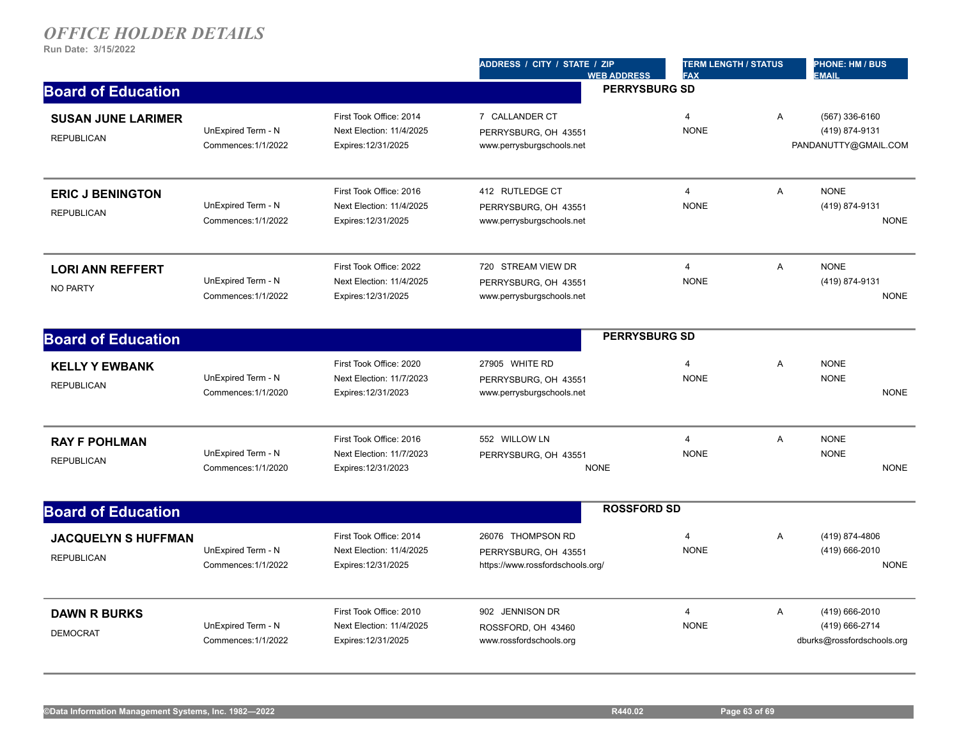|                                                 |                                           |                                                                            | ADDRESS / CITY / STATE / ZIP<br><b>WEB ADDRESS</b>                            | <b>TERM LENGTH / STATUS</b><br><b>FAX</b> |                | <b>PHONE: HM / BUS</b><br><b>EMAIL</b>                         |
|-------------------------------------------------|-------------------------------------------|----------------------------------------------------------------------------|-------------------------------------------------------------------------------|-------------------------------------------|----------------|----------------------------------------------------------------|
| <b>Board of Education</b>                       |                                           |                                                                            |                                                                               | <b>PERRYSBURG SD</b>                      |                |                                                                |
| <b>SUSAN JUNE LARIMER</b><br><b>REPUBLICAN</b>  | UnExpired Term - N<br>Commences: 1/1/2022 | First Took Office: 2014<br>Next Election: 11/4/2025<br>Expires: 12/31/2025 | 7 CALLANDER CT<br>PERRYSBURG, OH 43551<br>www.perrysburgschools.net           | $\overline{4}$<br><b>NONE</b>             | A              | (567) 336-6160<br>(419) 874-9131<br>PANDANUTTY@GMAIL.COM       |
| <b>ERIC J BENINGTON</b><br><b>REPUBLICAN</b>    | UnExpired Term - N<br>Commences: 1/1/2022 | First Took Office: 2016<br>Next Election: 11/4/2025<br>Expires: 12/31/2025 | 412 RUTLEDGE CT<br>PERRYSBURG, OH 43551<br>www.perrysburgschools.net          | $\overline{4}$<br><b>NONE</b>             | A              | <b>NONE</b><br>(419) 874-9131<br><b>NONE</b>                   |
| <b>LORI ANN REFFERT</b><br><b>NO PARTY</b>      | UnExpired Term - N<br>Commences: 1/1/2022 | First Took Office: 2022<br>Next Election: 11/4/2025<br>Expires: 12/31/2025 | 720 STREAM VIEW DR<br>PERRYSBURG, OH 43551<br>www.perrysburgschools.net       | $\overline{4}$<br><b>NONE</b>             | $\overline{A}$ | <b>NONE</b><br>(419) 874-9131<br><b>NONE</b>                   |
| <b>Board of Education</b>                       |                                           |                                                                            |                                                                               | <b>PERRYSBURG SD</b>                      |                |                                                                |
| <b>KELLY Y EWBANK</b><br><b>REPUBLICAN</b>      | UnExpired Term - N<br>Commences: 1/1/2020 | First Took Office: 2020<br>Next Election: 11/7/2023<br>Expires: 12/31/2023 | 27905 WHITE RD<br>PERRYSBURG, OH 43551<br>www.perrysburgschools.net           | $\overline{4}$<br><b>NONE</b>             | A              | <b>NONE</b><br><b>NONE</b><br><b>NONE</b>                      |
| <b>RAY F POHLMAN</b><br><b>REPUBLICAN</b>       | UnExpired Term - N<br>Commences: 1/1/2020 | First Took Office: 2016<br>Next Election: 11/7/2023<br>Expires: 12/31/2023 | 552 WILLOW LN<br>PERRYSBURG, OH 43551<br><b>NONE</b>                          | $\overline{4}$<br><b>NONE</b>             | Α              | <b>NONE</b><br><b>NONE</b><br><b>NONE</b>                      |
| <b>Board of Education</b>                       |                                           |                                                                            | <b>ROSSFORD SD</b>                                                            |                                           |                |                                                                |
| <b>JACQUELYN S HUFFMAN</b><br><b>REPUBLICAN</b> | UnExpired Term - N<br>Commences: 1/1/2022 | First Took Office: 2014<br>Next Election: 11/4/2025<br>Expires: 12/31/2025 | 26076 THOMPSON RD<br>PERRYSBURG, OH 43551<br>https://www.rossfordschools.org/ | $\overline{4}$<br><b>NONE</b>             | A              | (419) 874-4806<br>(419) 666-2010<br><b>NONE</b>                |
| <b>DAWN R BURKS</b><br><b>DEMOCRAT</b>          | UnExpired Term - N<br>Commences: 1/1/2022 | First Took Office: 2010<br>Next Election: 11/4/2025<br>Expires: 12/31/2025 | 902 JENNISON DR<br>ROSSFORD, OH 43460<br>www.rossfordschools.org              | $\overline{4}$<br><b>NONE</b>             | $\overline{A}$ | (419) 666-2010<br>(419) 666-2714<br>dburks@rossfordschools.org |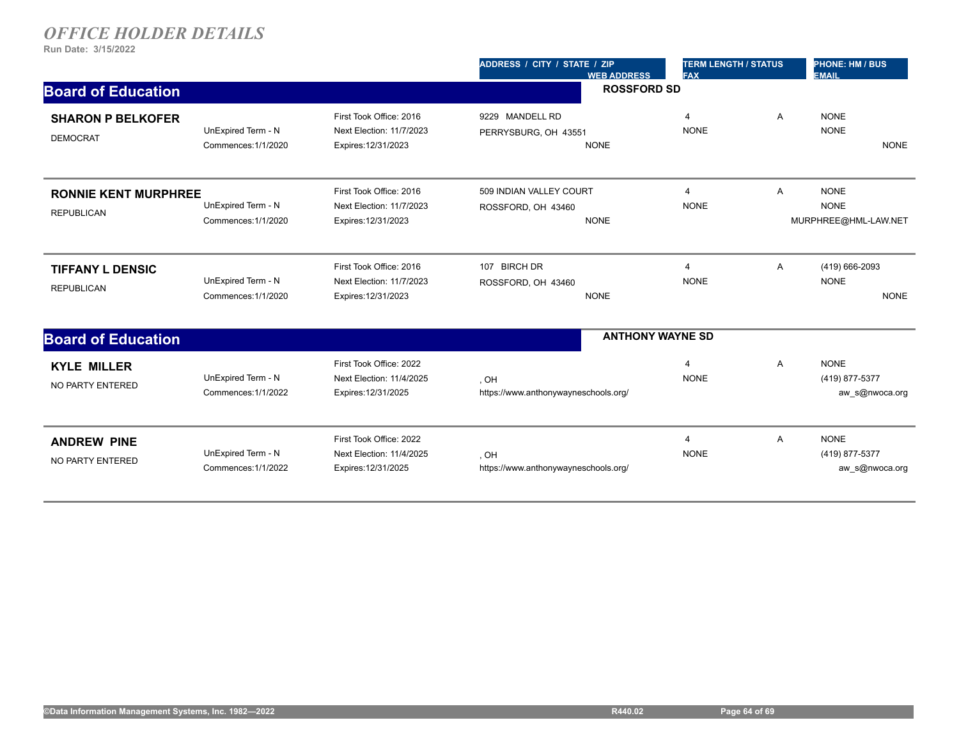|                                                  |                                           |                                                                            | ADDRESS / CITY / STATE / ZIP<br><b>WEB ADDRESS</b>           | <b>TERM LENGTH / STATUS</b><br><b>FAX</b> |   | <b>PHONE: HM / BUS</b><br><b>EMAIL</b>             |  |
|--------------------------------------------------|-------------------------------------------|----------------------------------------------------------------------------|--------------------------------------------------------------|-------------------------------------------|---|----------------------------------------------------|--|
| <b>Board of Education</b>                        |                                           |                                                                            | <b>ROSSFORD SD</b>                                           |                                           |   |                                                    |  |
| <b>SHARON P BELKOFER</b><br><b>DEMOCRAT</b>      | UnExpired Term - N<br>Commences: 1/1/2020 | First Took Office: 2016<br>Next Election: 11/7/2023<br>Expires: 12/31/2023 | 9229 MANDELL RD<br>PERRYSBURG, OH 43551<br><b>NONE</b>       | $\overline{4}$<br><b>NONE</b>             | Α | <b>NONE</b><br><b>NONE</b><br><b>NONE</b>          |  |
| <b>RONNIE KENT MURPHREE</b><br><b>REPUBLICAN</b> | UnExpired Term - N<br>Commences: 1/1/2020 | First Took Office: 2016<br>Next Election: 11/7/2023<br>Expires: 12/31/2023 | 509 INDIAN VALLEY COURT<br>ROSSFORD, OH 43460<br><b>NONE</b> | $\overline{4}$<br><b>NONE</b>             | Α | <b>NONE</b><br><b>NONE</b><br>MURPHREE@HML-LAW.NET |  |
| <b>TIFFANY L DENSIC</b><br><b>REPUBLICAN</b>     | UnExpired Term - N<br>Commences: 1/1/2020 | First Took Office: 2016<br>Next Election: 11/7/2023<br>Expires: 12/31/2023 | 107 BIRCH DR<br>ROSSFORD, OH 43460<br><b>NONE</b>            | $\overline{4}$<br><b>NONE</b>             | Α | (419) 666-2093<br><b>NONE</b><br><b>NONE</b>       |  |
| <b>Board of Education</b>                        |                                           |                                                                            |                                                              | <b>ANTHONY WAYNE SD</b>                   |   |                                                    |  |
| <b>KYLE MILLER</b><br>NO PARTY ENTERED           | UnExpired Term - N<br>Commences: 1/1/2022 | First Took Office: 2022<br>Next Election: 11/4/2025<br>Expires: 12/31/2025 | , OH<br>https://www.anthonywayneschools.org/                 | $\overline{4}$<br><b>NONE</b>             | Α | <b>NONE</b><br>(419) 877-5377<br>aw s@nwoca.org    |  |
| <b>ANDREW PINE</b><br>NO PARTY ENTERED           | UnExpired Term - N<br>Commences: 1/1/2022 | First Took Office: 2022<br>Next Election: 11/4/2025<br>Expires: 12/31/2025 | , OH<br>https://www.anthonywayneschools.org/                 | $\overline{4}$<br><b>NONE</b>             | Α | <b>NONE</b><br>(419) 877-5377<br>aw s@nwoca.org    |  |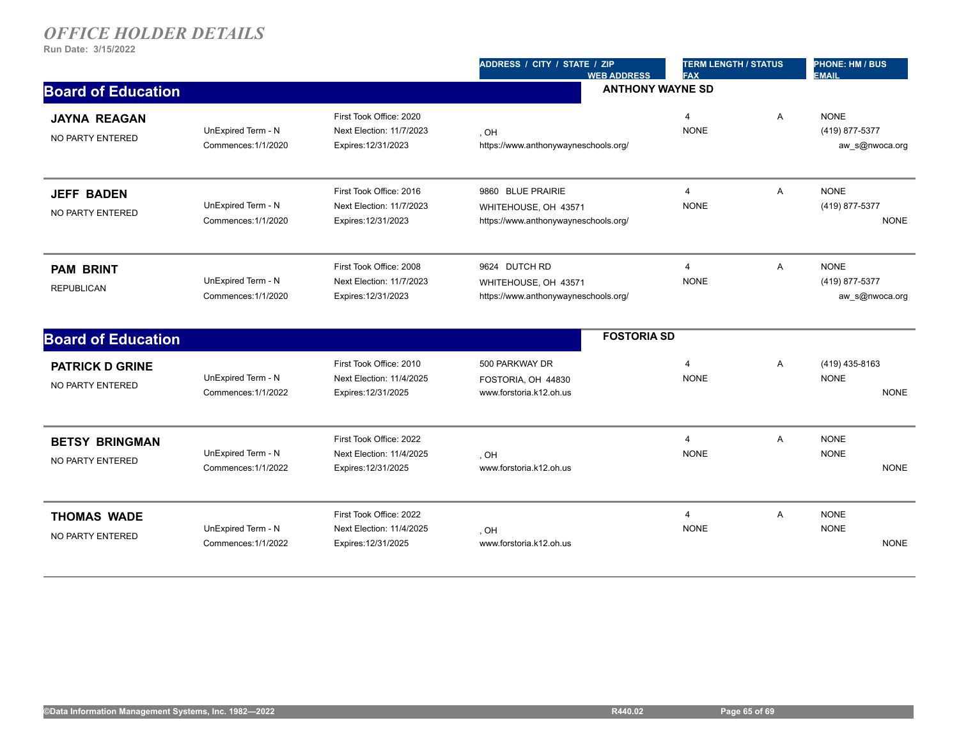|                                            |                                           |                                                                            | ADDRESS / CITY / STATE / ZIP<br><b>WEB ADDRESS</b>                                | <b>TERM LENGTH / STATUS</b><br><b>FAX</b> |                | <b>PHONE: HM / BUS</b><br><b>EMAIL</b>          |  |
|--------------------------------------------|-------------------------------------------|----------------------------------------------------------------------------|-----------------------------------------------------------------------------------|-------------------------------------------|----------------|-------------------------------------------------|--|
| <b>Board of Education</b>                  |                                           |                                                                            |                                                                                   | <b>ANTHONY WAYNE SD</b>                   |                |                                                 |  |
| <b>JAYNA REAGAN</b><br>NO PARTY ENTERED    | UnExpired Term - N<br>Commences: 1/1/2020 | First Took Office: 2020<br>Next Election: 11/7/2023<br>Expires: 12/31/2023 | HO.<br>https://www.anthonywayneschools.org/                                       | $\overline{4}$<br><b>NONE</b>             | $\overline{A}$ | <b>NONE</b><br>(419) 877-5377<br>aw s@nwoca.org |  |
| <b>JEFF BADEN</b><br>NO PARTY ENTERED      | UnExpired Term - N<br>Commences: 1/1/2020 | First Took Office: 2016<br>Next Election: 11/7/2023<br>Expires: 12/31/2023 | 9860 BLUE PRAIRIE<br>WHITEHOUSE, OH 43571<br>https://www.anthonywayneschools.org/ | $\overline{4}$<br><b>NONE</b>             | A              | <b>NONE</b><br>(419) 877-5377<br><b>NONE</b>    |  |
| <b>PAM BRINT</b><br><b>REPUBLICAN</b>      | UnExpired Term - N<br>Commences: 1/1/2020 | First Took Office: 2008<br>Next Election: 11/7/2023<br>Expires: 12/31/2023 | 9624 DUTCH RD<br>WHITEHOUSE, OH 43571<br>https://www.anthonywayneschools.org/     | $\overline{4}$<br><b>NONE</b>             | $\overline{A}$ | <b>NONE</b><br>(419) 877-5377<br>aw_s@nwoca.org |  |
| <b>Board of Education</b>                  |                                           |                                                                            | <b>FOSTORIA SD</b>                                                                |                                           |                |                                                 |  |
| <b>PATRICK D GRINE</b><br>NO PARTY ENTERED | UnExpired Term - N<br>Commences: 1/1/2022 | First Took Office: 2010<br>Next Election: 11/4/2025<br>Expires: 12/31/2025 | 500 PARKWAY DR<br>FOSTORIA, OH 44830<br>www.forstoria.k12.oh.us                   | 4<br><b>NONE</b>                          | $\overline{A}$ | (419) 435-8163<br><b>NONE</b><br><b>NONE</b>    |  |
| <b>BETSY BRINGMAN</b><br>NO PARTY ENTERED  | UnExpired Term - N<br>Commences: 1/1/2022 | First Took Office: 2022<br>Next Election: 11/4/2025<br>Expires: 12/31/2025 | HO.<br>www.forstoria.k12.oh.us                                                    | $\overline{4}$<br><b>NONE</b>             | A              | <b>NONE</b><br><b>NONE</b><br><b>NONE</b>       |  |
| <b>THOMAS WADE</b><br>NO PARTY ENTERED     | UnExpired Term - N<br>Commences: 1/1/2022 | First Took Office: 2022<br>Next Election: 11/4/2025<br>Expires: 12/31/2025 | . OH<br>www.forstoria.k12.oh.us                                                   | $\overline{4}$<br><b>NONE</b>             | A              | <b>NONE</b><br><b>NONE</b><br><b>NONE</b>       |  |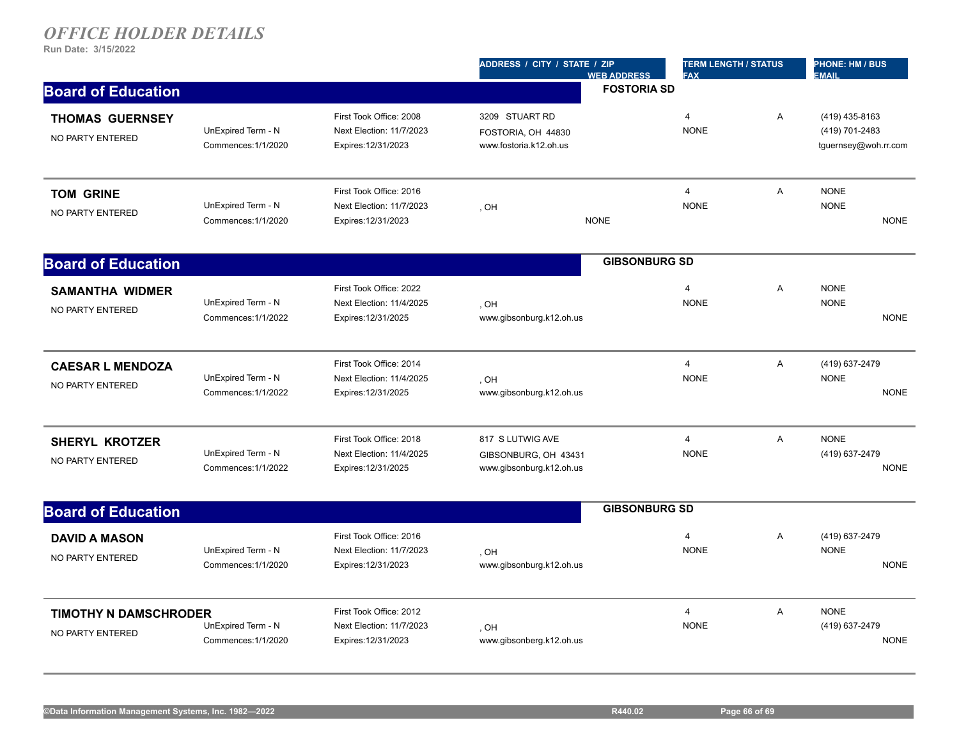|                                                  |                                           |                                                                            | ADDRESS / CITY / STATE / ZIP<br><b>WEB ADDRESS</b>                   | <b>TERM LENGTH / STATUS</b><br><b>FAX</b> |   | PHONE: HM / BUS<br><b>EMAIL</b>                          |
|--------------------------------------------------|-------------------------------------------|----------------------------------------------------------------------------|----------------------------------------------------------------------|-------------------------------------------|---|----------------------------------------------------------|
| <b>Board of Education</b>                        |                                           |                                                                            | <b>FOSTORIA SD</b>                                                   |                                           |   |                                                          |
| <b>THOMAS GUERNSEY</b><br>NO PARTY ENTERED       | UnExpired Term - N<br>Commences: 1/1/2020 | First Took Office: 2008<br>Next Election: 11/7/2023<br>Expires: 12/31/2023 | 3209 STUART RD<br>FOSTORIA, OH 44830<br>www.fostoria.k12.oh.us       | $\overline{4}$<br><b>NONE</b>             | A | (419) 435-8163<br>(419) 701-2483<br>tguernsey@woh.rr.com |
| <b>TOM GRINE</b><br>NO PARTY ENTERED             | UnExpired Term - N<br>Commences: 1/1/2020 | First Took Office: 2016<br>Next Election: 11/7/2023<br>Expires: 12/31/2023 | HO,<br><b>NONE</b>                                                   | $\overline{4}$<br><b>NONE</b>             | A | <b>NONE</b><br><b>NONE</b><br><b>NONE</b>                |
| <b>Board of Education</b>                        |                                           |                                                                            |                                                                      | <b>GIBSONBURG SD</b>                      |   |                                                          |
| <b>SAMANTHA WIDMER</b><br>NO PARTY ENTERED       | UnExpired Term - N<br>Commences: 1/1/2022 | First Took Office: 2022<br>Next Election: 11/4/2025<br>Expires: 12/31/2025 | . OH<br>www.gibsonburg.k12.oh.us                                     | 4<br><b>NONE</b>                          | A | <b>NONE</b><br><b>NONE</b><br><b>NONE</b>                |
| <b>CAESAR L MENDOZA</b><br>NO PARTY ENTERED      | UnExpired Term - N<br>Commences: 1/1/2022 | First Took Office: 2014<br>Next Election: 11/4/2025<br>Expires: 12/31/2025 | . OH<br>www.gibsonburg.k12.oh.us                                     | $\overline{4}$<br><b>NONE</b>             | A | (419) 637-2479<br><b>NONE</b><br><b>NONE</b>             |
| <b>SHERYL KROTZER</b><br>NO PARTY ENTERED        | UnExpired Term - N<br>Commences: 1/1/2022 | First Took Office: 2018<br>Next Election: 11/4/2025<br>Expires: 12/31/2025 | 817 S LUTWIG AVE<br>GIBSONBURG, OH 43431<br>www.gibsonburg.k12.oh.us | $\overline{4}$<br><b>NONE</b>             | A | <b>NONE</b><br>(419) 637-2479<br><b>NONE</b>             |
| <b>Board of Education</b>                        |                                           |                                                                            |                                                                      | <b>GIBSONBURG SD</b>                      |   |                                                          |
| <b>DAVID A MASON</b><br>NO PARTY ENTERED         | UnExpired Term - N<br>Commences: 1/1/2020 | First Took Office: 2016<br>Next Election: 11/7/2023<br>Expires: 12/31/2023 | . OH<br>www.gibsonburg.k12.oh.us                                     | $\overline{4}$<br><b>NONE</b>             | A | (419) 637-2479<br><b>NONE</b><br><b>NONE</b>             |
| <b>TIMOTHY N DAMSCHRODER</b><br>NO PARTY ENTERED | UnExpired Term - N<br>Commences: 1/1/2020 | First Took Office: 2012<br>Next Election: 11/7/2023<br>Expires: 12/31/2023 | , OH<br>www.gibsonberg.k12.oh.us                                     | $\overline{4}$<br><b>NONE</b>             | A | <b>NONE</b><br>(419) 637-2479<br><b>NONE</b>             |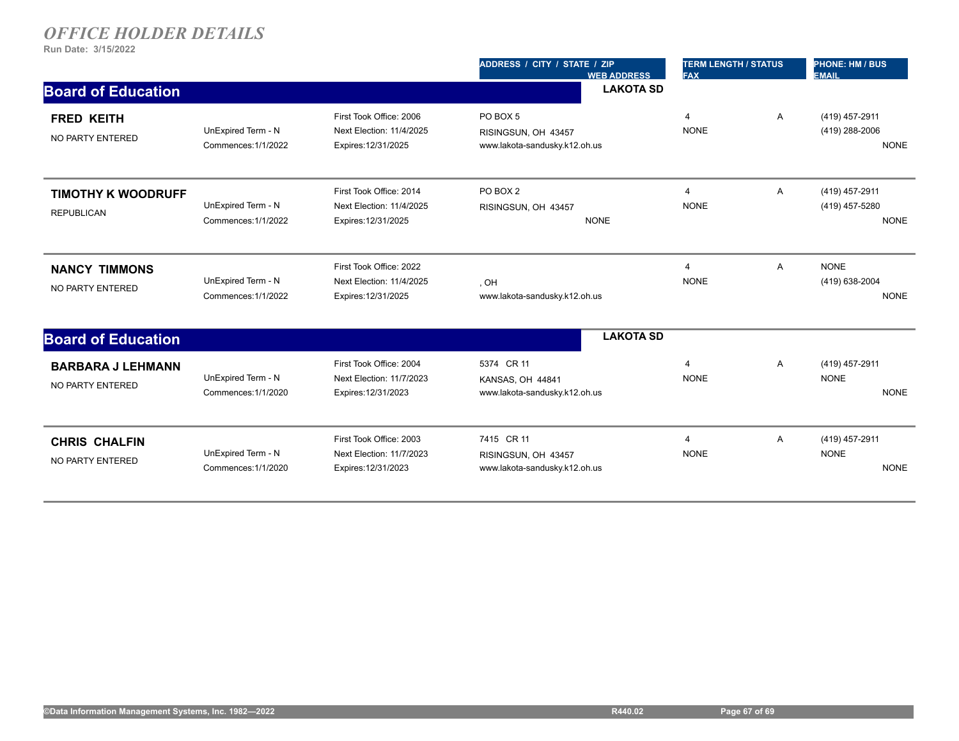|                                                |                                           |                                                                            | ADDRESS / CITY / STATE / ZIP<br><b>WEB ADDRESS</b>                 | <b>TERM LENGTH / STATUS</b><br><b>FAX</b> |                | <b>PHONE: HM / BUS</b><br><b>EMAIL</b>          |
|------------------------------------------------|-------------------------------------------|----------------------------------------------------------------------------|--------------------------------------------------------------------|-------------------------------------------|----------------|-------------------------------------------------|
| <b>Board of Education</b>                      |                                           |                                                                            | <b>LAKOTA SD</b>                                                   |                                           |                |                                                 |
| <b>FRED KEITH</b><br>NO PARTY ENTERED          | UnExpired Term - N<br>Commences: 1/1/2022 | First Took Office: 2006<br>Next Election: 11/4/2025<br>Expires: 12/31/2025 | PO BOX 5<br>RISINGSUN, OH 43457<br>www.lakota-sandusky.k12.oh.us   | 4<br><b>NONE</b>                          | A              | (419) 457-2911<br>(419) 288-2006<br><b>NONE</b> |
| <b>TIMOTHY K WOODRUFF</b><br><b>REPUBLICAN</b> | UnExpired Term - N<br>Commences: 1/1/2022 | First Took Office: 2014<br>Next Election: 11/4/2025<br>Expires: 12/31/2025 | PO BOX 2<br>RISINGSUN, OH 43457<br><b>NONE</b>                     | $\overline{4}$<br><b>NONE</b>             | A              | (419) 457-2911<br>(419) 457-5280<br><b>NONE</b> |
| <b>NANCY TIMMONS</b><br>NO PARTY ENTERED       | UnExpired Term - N<br>Commences: 1/1/2022 | First Took Office: 2022<br>Next Election: 11/4/2025<br>Expires: 12/31/2025 | , OH<br>www.lakota-sandusky.k12.oh.us                              | $\overline{4}$<br><b>NONE</b>             | $\overline{A}$ | <b>NONE</b><br>(419) 638-2004<br><b>NONE</b>    |
| <b>Board of Education</b>                      |                                           |                                                                            | <b>LAKOTA SD</b>                                                   |                                           |                |                                                 |
| <b>BARBARA J LEHMANN</b><br>NO PARTY ENTERED   | UnExpired Term - N<br>Commences: 1/1/2020 | First Took Office: 2004<br>Next Election: 11/7/2023<br>Expires: 12/31/2023 | 5374 CR 11<br>KANSAS, OH 44841<br>www.lakota-sandusky.k12.oh.us    | 4<br><b>NONE</b>                          | A              | (419) 457-2911<br><b>NONE</b><br><b>NONE</b>    |
| <b>CHRIS CHALFIN</b><br>NO PARTY ENTERED       | UnExpired Term - N<br>Commences: 1/1/2020 | First Took Office: 2003<br>Next Election: 11/7/2023<br>Expires: 12/31/2023 | 7415 CR 11<br>RISINGSUN, OH 43457<br>www.lakota-sandusky.k12.oh.us | $\overline{4}$<br><b>NONE</b>             | A              | (419) 457-2911<br><b>NONE</b><br><b>NONE</b>    |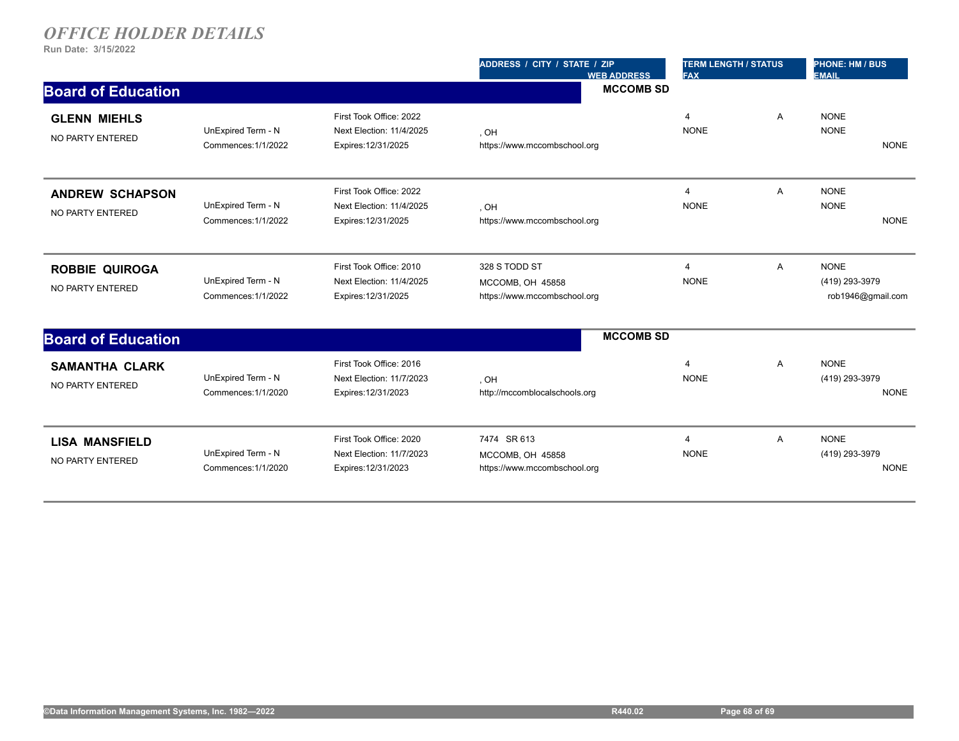|                                            |                                           |                                                                            | ADDRESS / CITY / STATE / ZIP<br><b>WEB ADDRESS</b>                | <b>TERM LENGTH / STATUS</b><br><b>FAX</b> |   | <b>PHONE: HM / BUS</b><br><b>EMAIL</b>             |
|--------------------------------------------|-------------------------------------------|----------------------------------------------------------------------------|-------------------------------------------------------------------|-------------------------------------------|---|----------------------------------------------------|
| <b>Board of Education</b>                  |                                           |                                                                            | <b>MCCOMB SD</b>                                                  |                                           |   |                                                    |
| <b>GLENN MIEHLS</b><br>NO PARTY ENTERED    | UnExpired Term - N<br>Commences: 1/1/2022 | First Took Office: 2022<br>Next Election: 11/4/2025<br>Expires: 12/31/2025 | . OH<br>https://www.mccombschool.org                              | $\overline{4}$<br><b>NONE</b>             | A | <b>NONE</b><br><b>NONE</b><br><b>NONE</b>          |
| <b>ANDREW SCHAPSON</b><br>NO PARTY ENTERED | UnExpired Term - N<br>Commences: 1/1/2022 | First Took Office: 2022<br>Next Election: 11/4/2025<br>Expires: 12/31/2025 | . OH<br>https://www.mccombschool.org                              | $\overline{4}$<br><b>NONE</b>             | A | <b>NONE</b><br><b>NONE</b><br><b>NONE</b>          |
| <b>ROBBIE QUIROGA</b><br>NO PARTY ENTERED  | UnExpired Term - N<br>Commences: 1/1/2022 | First Took Office: 2010<br>Next Election: 11/4/2025<br>Expires: 12/31/2025 | 328 S TODD ST<br>MCCOMB, OH 45858<br>https://www.mccombschool.org | 4<br><b>NONE</b>                          | Α | <b>NONE</b><br>(419) 293-3979<br>rob1946@gmail.com |
| <b>Board of Education</b>                  |                                           |                                                                            | <b>MCCOMB SD</b>                                                  |                                           |   |                                                    |
| <b>SAMANTHA CLARK</b><br>NO PARTY ENTERED  | UnExpired Term - N<br>Commences: 1/1/2020 | First Took Office: 2016<br>Next Election: 11/7/2023<br>Expires: 12/31/2023 | , OH<br>http://mccomblocalschools.org                             | 4<br><b>NONE</b>                          | Α | <b>NONE</b><br>(419) 293-3979<br><b>NONE</b>       |
| <b>LISA MANSFIELD</b><br>NO PARTY ENTERED  | UnExpired Term - N<br>Commences: 1/1/2020 | First Took Office: 2020<br>Next Election: 11/7/2023<br>Expires: 12/31/2023 | 7474 SR 613<br>MCCOMB, OH 45858<br>https://www.mccombschool.org   | 4<br><b>NONE</b>                          | Α | <b>NONE</b><br>(419) 293-3979<br><b>NONE</b>       |